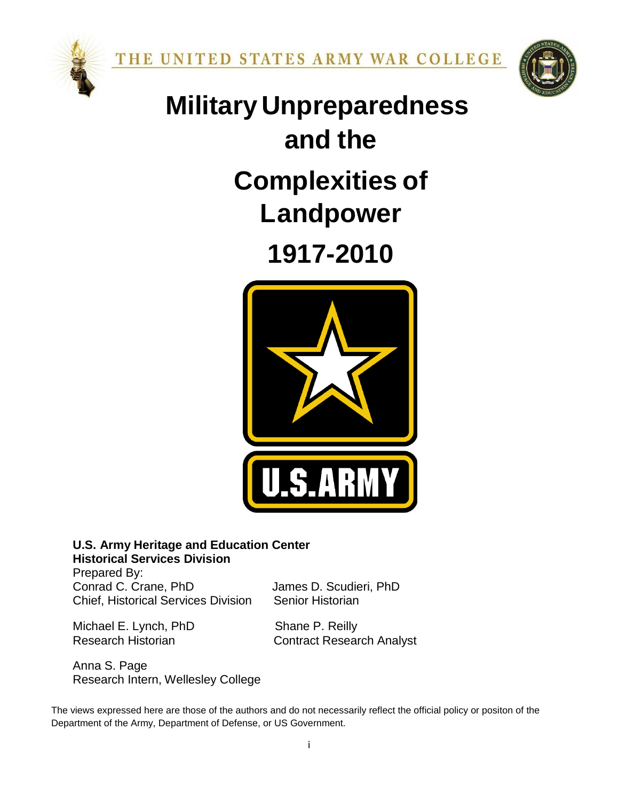



# **and the Complexities of Landpower MilitaryUnpreparedness**

**1917-2010**



# **U.S. Army Heritage and Education Center Historical Services Division**

Prepared By: Conrad C. Crane, PhD James D. Scudieri, PhD Chief, Historical Services Division Senior Historian

Michael E. Lynch, PhD Shane P. Reilly

Research Historian **Contract Research Analyst** 

Anna S. Page Research Intern, Wellesley College

The views expressed here are those of the authors and do not necessarily reflect the official policy or positon of the Department of the Army, Department of Defense, or US Government.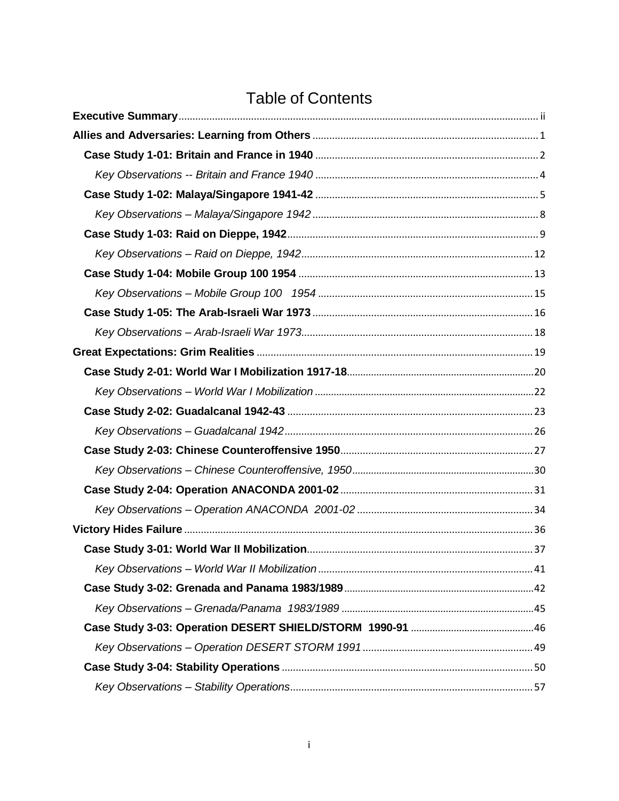# Table of Contents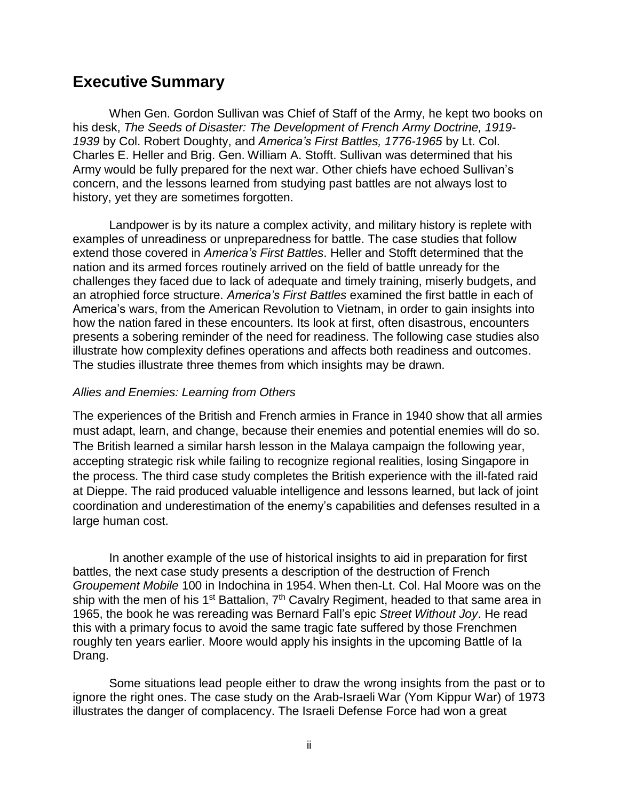# <span id="page-2-0"></span>**Executive Summary**

When Gen. Gordon Sullivan was Chief of Staff of the Army, he kept two books on his desk, *The Seeds of Disaster: The Development of French Army Doctrine, 1919- 1939* by Col. Robert Doughty, and *America's First Battles, 1776-1965* by Lt. Col. Charles E. Heller and Brig. Gen. William A. Stofft. Sullivan was determined that his Army would be fully prepared for the next war. Other chiefs have echoed Sullivan's concern, and the lessons learned from studying past battles are not always lost to history, yet they are sometimes forgotten.

Landpower is by its nature a complex activity, and military history is replete with examples of unreadiness or unpreparedness for battle. The case studies that follow extend those covered in *America's First Battles*. Heller and Stofft determined that the nation and its armed forces routinely arrived on the field of battle unready for the challenges they faced due to lack of adequate and timely training, miserly budgets, and an atrophied force structure. *America's First Battles* examined the first battle in each of America's wars, from the American Revolution to Vietnam, in order to gain insights into how the nation fared in these encounters. Its look at first, often disastrous, encounters presents a sobering reminder of the need for readiness. The following case studies also illustrate how complexity defines operations and affects both readiness and outcomes. The studies illustrate three themes from which insights may be drawn.

# *Allies and Enemies: Learning from Others*

The experiences of the British and French armies in France in 1940 show that all armies must adapt, learn, and change, because their enemies and potential enemies will do so. The British learned a similar harsh lesson in the Malaya campaign the following year, accepting strategic risk while failing to recognize regional realities, losing Singapore in the process. The third case study completes the British experience with the ill-fated raid at Dieppe. The raid produced valuable intelligence and lessons learned, but lack of joint coordination and underestimation of the enemy's capabilities and defenses resulted in a large human cost.

In another example of the use of historical insights to aid in preparation for first battles, the next case study presents a description of the destruction of French *Groupement Mobile* 100 in Indochina in 1954. When then-Lt. Col. Hal Moore was on the ship with the men of his 1<sup>st</sup> Battalion, 7<sup>th</sup> Cavalry Regiment, headed to that same area in 1965, the book he was rereading was Bernard Fall's epic *Street Without Joy*. He read this with a primary focus to avoid the same tragic fate suffered by those Frenchmen roughly ten years earlier. Moore would apply his insights in the upcoming Battle of Ia Drang.

Some situations lead people either to draw the wrong insights from the past or to ignore the right ones. The case study on the Arab-Israeli War (Yom Kippur War) of 1973 illustrates the danger of complacency. The Israeli Defense Force had won a great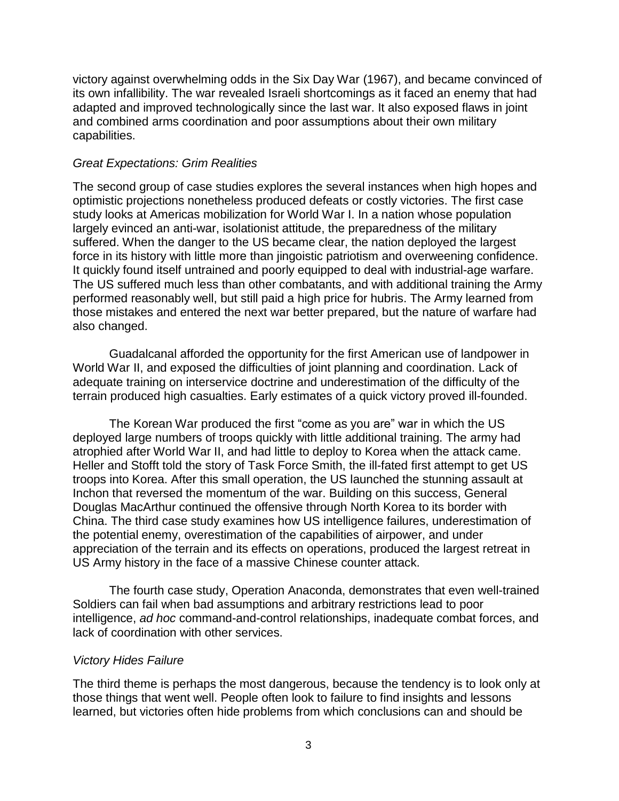victory against overwhelming odds in the Six Day War (1967), and became convinced of its own infallibility. The war revealed Israeli shortcomings as it faced an enemy that had adapted and improved technologically since the last war. It also exposed flaws in joint and combined arms coordination and poor assumptions about their own military capabilities.

### *Great Expectations: Grim Realities*

The second group of case studies explores the several instances when high hopes and optimistic projections nonetheless produced defeats or costly victories. The first case study looks at Americas mobilization for World War I. In a nation whose population largely evinced an anti-war, isolationist attitude, the preparedness of the military suffered. When the danger to the US became clear, the nation deployed the largest force in its history with little more than jingoistic patriotism and overweening confidence. It quickly found itself untrained and poorly equipped to deal with industrial-age warfare. The US suffered much less than other combatants, and with additional training the Army performed reasonably well, but still paid a high price for hubris. The Army learned from those mistakes and entered the next war better prepared, but the nature of warfare had also changed.

Guadalcanal afforded the opportunity for the first American use of landpower in World War II, and exposed the difficulties of joint planning and coordination. Lack of adequate training on interservice doctrine and underestimation of the difficulty of the terrain produced high casualties. Early estimates of a quick victory proved ill-founded.

The Korean War produced the first "come as you are" war in which the US deployed large numbers of troops quickly with little additional training. The army had atrophied after World War II, and had little to deploy to Korea when the attack came. Heller and Stofft told the story of Task Force Smith, the ill-fated first attempt to get US troops into Korea. After this small operation, the US launched the stunning assault at Inchon that reversed the momentum of the war. Building on this success, General Douglas MacArthur continued the offensive through North Korea to its border with China. The third case study examines how US intelligence failures, underestimation of the potential enemy, overestimation of the capabilities of airpower, and under appreciation of the terrain and its effects on operations, produced the largest retreat in US Army history in the face of a massive Chinese counter attack.

The fourth case study, Operation Anaconda, demonstrates that even well-trained Soldiers can fail when bad assumptions and arbitrary restrictions lead to poor intelligence, *ad hoc* command-and-control relationships, inadequate combat forces, and lack of coordination with other services.

#### *Victory Hides Failure*

The third theme is perhaps the most dangerous, because the tendency is to look only at those things that went well. People often look to failure to find insights and lessons learned, but victories often hide problems from which conclusions can and should be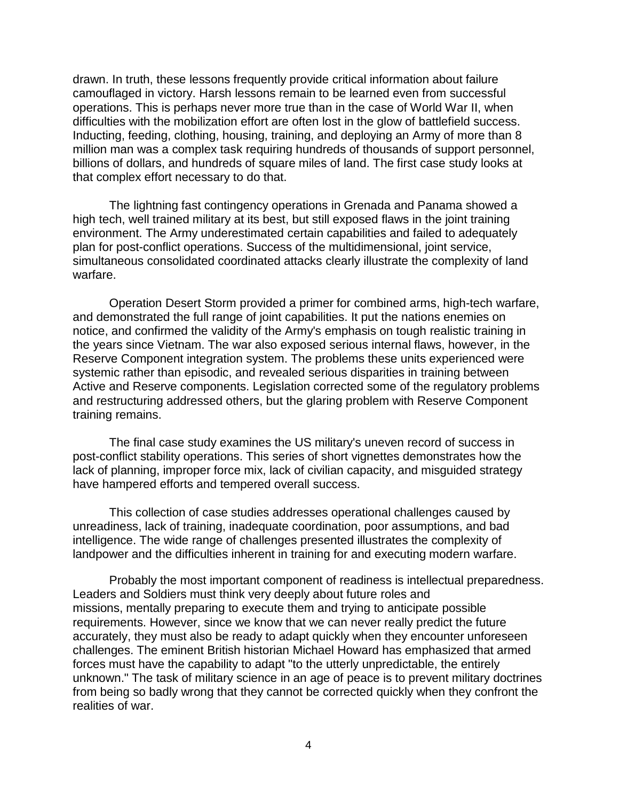drawn. In truth, these lessons frequently provide critical information about failure camouflaged in victory. Harsh lessons remain to be learned even from successful operations. This is perhaps never more true than in the case of World War II, when difficulties with the mobilization effort are often lost in the glow of battlefield success. Inducting, feeding, clothing, housing, training, and deploying an Army of more than 8 million man was a complex task requiring hundreds of thousands of support personnel, billions of dollars, and hundreds of square miles of land. The first case study looks at that complex effort necessary to do that.

The lightning fast contingency operations in Grenada and Panama showed a high tech, well trained military at its best, but still exposed flaws in the joint training environment. The Army underestimated certain capabilities and failed to adequately plan for post-conflict operations. Success of the multidimensional, joint service, simultaneous consolidated coordinated attacks clearly illustrate the complexity of land warfare.

Operation Desert Storm provided a primer for combined arms, high-tech warfare, and demonstrated the full range of joint capabilities. It put the nations enemies on notice, and confirmed the validity of the Army's emphasis on tough realistic training in the years since Vietnam. The war also exposed serious internal flaws, however, in the Reserve Component integration system. The problems these units experienced were systemic rather than episodic, and revealed serious disparities in training between Active and Reserve components. Legislation corrected some of the regulatory problems and restructuring addressed others, but the glaring problem with Reserve Component training remains.

The final case study examines the US military's uneven record of success in post-conflict stability operations. This series of short vignettes demonstrates how the lack of planning, improper force mix, lack of civilian capacity, and misguided strategy have hampered efforts and tempered overall success.

This collection of case studies addresses operational challenges caused by unreadiness, lack of training, inadequate coordination, poor assumptions, and bad intelligence. The wide range of challenges presented illustrates the complexity of landpower and the difficulties inherent in training for and executing modern warfare.

Probably the most important component of readiness is intellectual preparedness. Leaders and Soldiers must think very deeply about future roles and missions, mentally preparing to execute them and trying to anticipate possible requirements. However, since we know that we can never really predict the future accurately, they must also be ready to adapt quickly when they encounter unforeseen challenges. The eminent British historian Michael Howard has emphasized that armed forces must have the capability to adapt "to the utterly unpredictable, the entirely unknown." The task of military science in an age of peace is to prevent military doctrines from being so badly wrong that they cannot be corrected quickly when they confront the realities of war.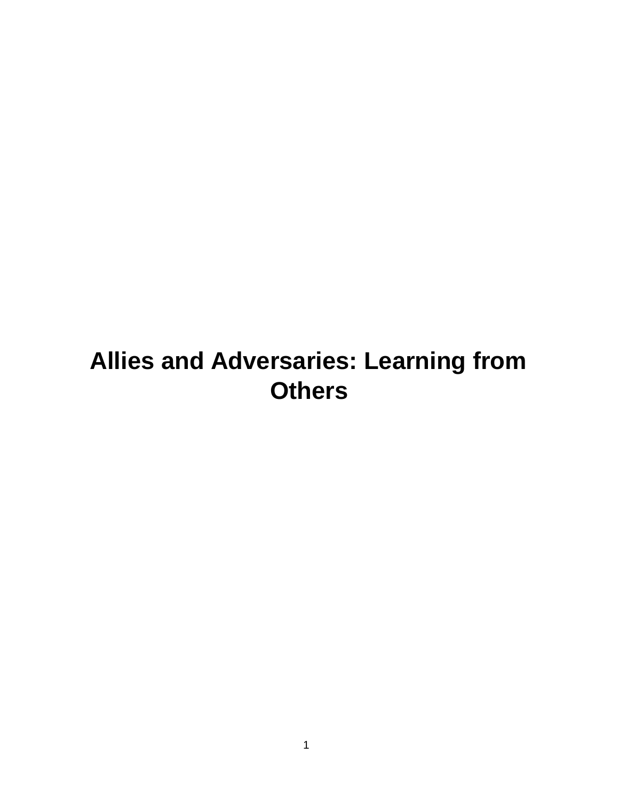# <span id="page-5-0"></span>**Allies and Adversaries: Learning from Others**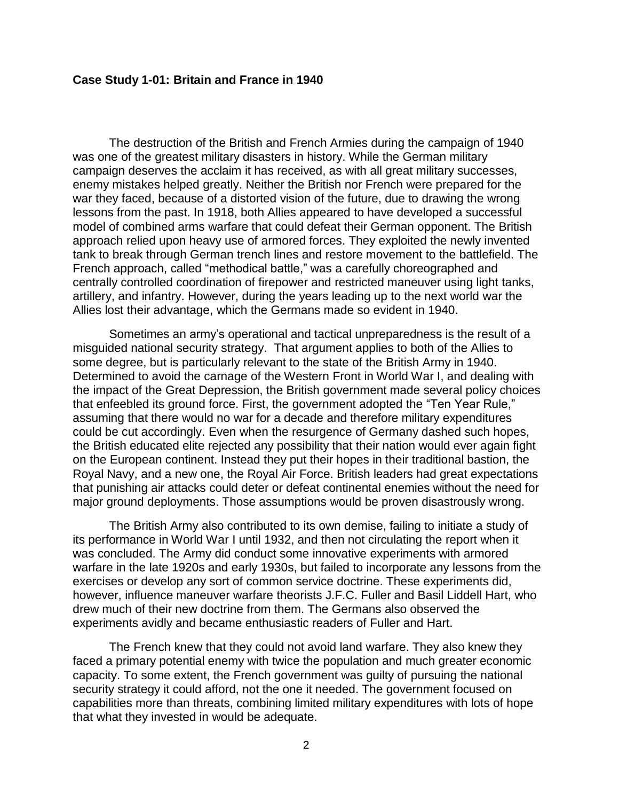#### <span id="page-6-0"></span>**Case Study 1-01: Britain and France in 1940**

The destruction of the British and French Armies during the campaign of 1940 was one of the greatest military disasters in history. While the German military campaign deserves the acclaim it has received, as with all great military successes, enemy mistakes helped greatly. Neither the British nor French were prepared for the war they faced, because of a distorted vision of the future, due to drawing the wrong lessons from the past. In 1918, both Allies appeared to have developed a successful model of combined arms warfare that could defeat their German opponent. The British approach relied upon heavy use of armored forces. They exploited the newly invented tank to break through German trench lines and restore movement to the battlefield. The French approach, called "methodical battle," was a carefully choreographed and centrally controlled coordination of firepower and restricted maneuver using light tanks, artillery, and infantry. However, during the years leading up to the next world war the Allies lost their advantage, which the Germans made so evident in 1940.

Sometimes an army's operational and tactical unpreparedness is the result of a misguided national security strategy. That argument applies to both of the Allies to some degree, but is particularly relevant to the state of the British Army in 1940. Determined to avoid the carnage of the Western Front in World War I, and dealing with the impact of the Great Depression, the British government made several policy choices that enfeebled its ground force. First, the government adopted the "Ten Year Rule," assuming that there would no war for a decade and therefore military expenditures could be cut accordingly. Even when the resurgence of Germany dashed such hopes, the British educated elite rejected any possibility that their nation would ever again fight on the European continent. Instead they put their hopes in their traditional bastion, the Royal Navy, and a new one, the Royal Air Force. British leaders had great expectations that punishing air attacks could deter or defeat continental enemies without the need for major ground deployments. Those assumptions would be proven disastrously wrong.

The British Army also contributed to its own demise, failing to initiate a study of its performance in World War I until 1932, and then not circulating the report when it was concluded. The Army did conduct some innovative experiments with armored warfare in the late 1920s and early 1930s, but failed to incorporate any lessons from the exercises or develop any sort of common service doctrine. These experiments did, however, influence maneuver warfare theorists J.F.C. Fuller and Basil Liddell Hart, who drew much of their new doctrine from them. The Germans also observed the experiments avidly and became enthusiastic readers of Fuller and Hart.

The French knew that they could not avoid land warfare. They also knew they faced a primary potential enemy with twice the population and much greater economic capacity. To some extent, the French government was guilty of pursuing the national security strategy it could afford, not the one it needed. The government focused on capabilities more than threats, combining limited military expenditures with lots of hope that what they invested in would be adequate.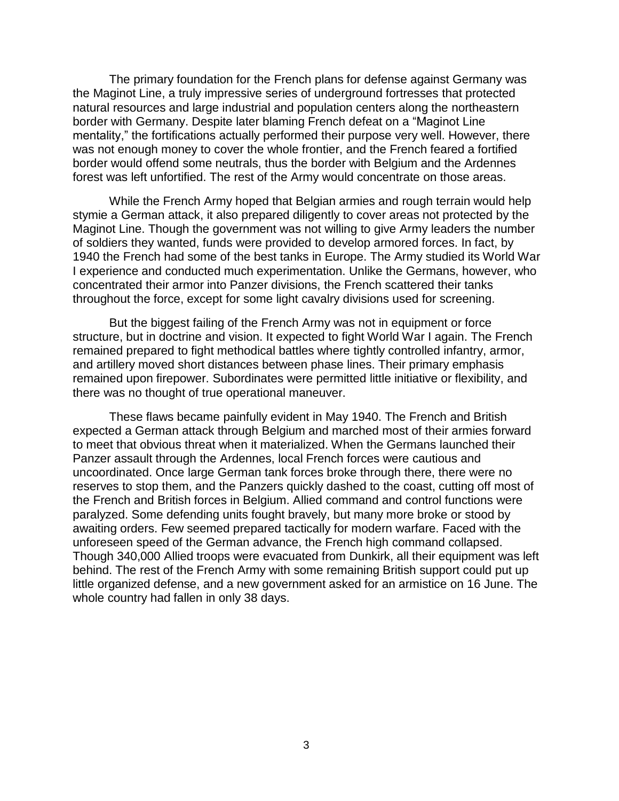The primary foundation for the French plans for defense against Germany was the Maginot Line, a truly impressive series of underground fortresses that protected natural resources and large industrial and population centers along the northeastern border with Germany. Despite later blaming French defeat on a "Maginot Line mentality," the fortifications actually performed their purpose very well. However, there was not enough money to cover the whole frontier, and the French feared a fortified border would offend some neutrals, thus the border with Belgium and the Ardennes forest was left unfortified. The rest of the Army would concentrate on those areas.

While the French Army hoped that Belgian armies and rough terrain would help stymie a German attack, it also prepared diligently to cover areas not protected by the Maginot Line. Though the government was not willing to give Army leaders the number of soldiers they wanted, funds were provided to develop armored forces. In fact, by 1940 the French had some of the best tanks in Europe. The Army studied its World War I experience and conducted much experimentation. Unlike the Germans, however, who concentrated their armor into Panzer divisions, the French scattered their tanks throughout the force, except for some light cavalry divisions used for screening.

But the biggest failing of the French Army was not in equipment or force structure, but in doctrine and vision. It expected to fight World War I again. The French remained prepared to fight methodical battles where tightly controlled infantry, armor, and artillery moved short distances between phase lines. Their primary emphasis remained upon firepower. Subordinates were permitted little initiative or flexibility, and there was no thought of true operational maneuver.

These flaws became painfully evident in May 1940. The French and British expected a German attack through Belgium and marched most of their armies forward to meet that obvious threat when it materialized. When the Germans launched their Panzer assault through the Ardennes, local French forces were cautious and uncoordinated. Once large German tank forces broke through there, there were no reserves to stop them, and the Panzers quickly dashed to the coast, cutting off most of the French and British forces in Belgium. Allied command and control functions were paralyzed. Some defending units fought bravely, but many more broke or stood by awaiting orders. Few seemed prepared tactically for modern warfare. Faced with the unforeseen speed of the German advance, the French high command collapsed. Though 340,000 Allied troops were evacuated from Dunkirk, all their equipment was left behind. The rest of the French Army with some remaining British support could put up little organized defense, and a new government asked for an armistice on 16 June. The whole country had fallen in only 38 days.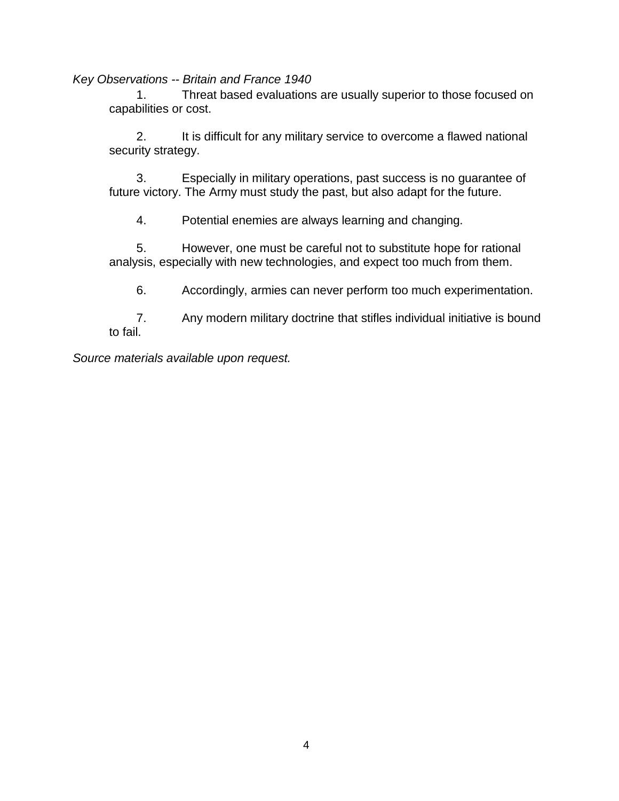<span id="page-8-0"></span>*Key Observations -- Britain and France 1940*

1. Threat based evaluations are usually superior to those focused on capabilities or cost.

2. It is difficult for any military service to overcome a flawed national security strategy.

3. Especially in military operations, past success is no guarantee of future victory. The Army must study the past, but also adapt for the future.

4. Potential enemies are always learning and changing.

5. However, one must be careful not to substitute hope for rational analysis, especially with new technologies, and expect too much from them.

6. Accordingly, armies can never perform too much experimentation.

7. Any modern military doctrine that stifles individual initiative is bound to fail.

*Source materials available upon request.*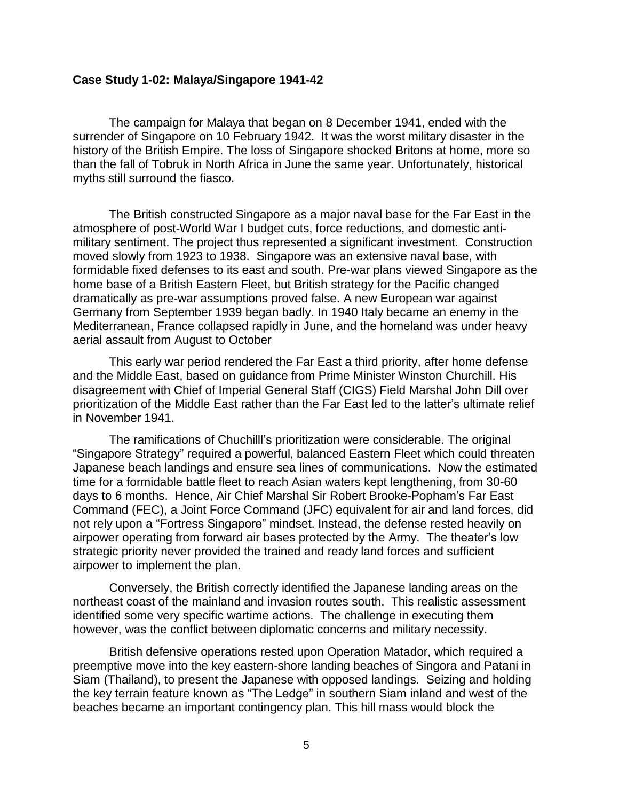#### <span id="page-9-0"></span>**Case Study 1-02: Malaya/Singapore 1941-42**

The campaign for Malaya that began on 8 December 1941, ended with the surrender of Singapore on 10 February 1942. It was the worst military disaster in the history of the British Empire. The loss of Singapore shocked Britons at home, more so than the fall of Tobruk in North Africa in June the same year. Unfortunately, historical myths still surround the fiasco.

The British constructed Singapore as a major naval base for the Far East in the atmosphere of post-World War I budget cuts, force reductions, and domestic antimilitary sentiment. The project thus represented a significant investment. Construction moved slowly from 1923 to 1938. Singapore was an extensive naval base, with formidable fixed defenses to its east and south. Pre-war plans viewed Singapore as the home base of a British Eastern Fleet, but British strategy for the Pacific changed dramatically as pre-war assumptions proved false. A new European war against Germany from September 1939 began badly. In 1940 Italy became an enemy in the Mediterranean, France collapsed rapidly in June, and the homeland was under heavy aerial assault from August to October

This early war period rendered the Far East a third priority, after home defense and the Middle East, based on guidance from Prime Minister Winston Churchill. His disagreement with Chief of Imperial General Staff (CIGS) Field Marshal John Dill over prioritization of the Middle East rather than the Far East led to the latter's ultimate relief in November 1941.

The ramifications of Chuchilll's prioritization were considerable. The original "Singapore Strategy" required a powerful, balanced Eastern Fleet which could threaten Japanese beach landings and ensure sea lines of communications. Now the estimated time for a formidable battle fleet to reach Asian waters kept lengthening, from 30-60 days to 6 months. Hence, Air Chief Marshal Sir Robert Brooke-Popham's Far East Command (FEC), a Joint Force Command (JFC) equivalent for air and land forces, did not rely upon a "Fortress Singapore" mindset. Instead, the defense rested heavily on airpower operating from forward air bases protected by the Army. The theater's low strategic priority never provided the trained and ready land forces and sufficient airpower to implement the plan.

Conversely, the British correctly identified the Japanese landing areas on the northeast coast of the mainland and invasion routes south. This realistic assessment identified some very specific wartime actions. The challenge in executing them however, was the conflict between diplomatic concerns and military necessity.

British defensive operations rested upon Operation Matador, which required a preemptive move into the key eastern-shore landing beaches of Singora and Patani in Siam (Thailand), to present the Japanese with opposed landings. Seizing and holding the key terrain feature known as "The Ledge" in southern Siam inland and west of the beaches became an important contingency plan. This hill mass would block the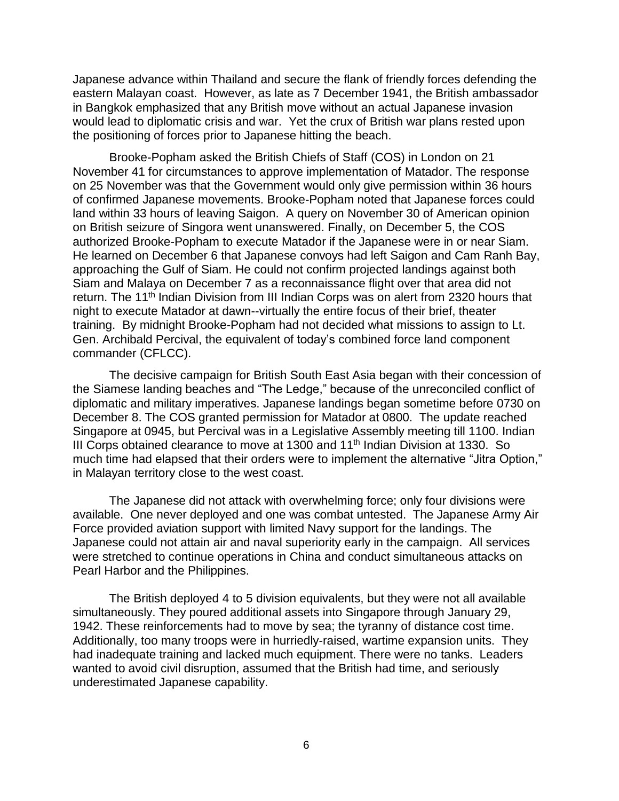Japanese advance within Thailand and secure the flank of friendly forces defending the eastern Malayan coast. However, as late as 7 December 1941, the British ambassador in Bangkok emphasized that any British move without an actual Japanese invasion would lead to diplomatic crisis and war. Yet the crux of British war plans rested upon the positioning of forces prior to Japanese hitting the beach.

Brooke-Popham asked the British Chiefs of Staff (COS) in London on 21 November 41 for circumstances to approve implementation of Matador. The response on 25 November was that the Government would only give permission within 36 hours of confirmed Japanese movements. Brooke-Popham noted that Japanese forces could land within 33 hours of leaving Saigon. A query on November 30 of American opinion on British seizure of Singora went unanswered. Finally, on December 5, the COS authorized Brooke-Popham to execute Matador if the Japanese were in or near Siam. He learned on December 6 that Japanese convoys had left Saigon and Cam Ranh Bay, approaching the Gulf of Siam. He could not confirm projected landings against both Siam and Malaya on December 7 as a reconnaissance flight over that area did not return. The 11<sup>th</sup> Indian Division from III Indian Corps was on alert from 2320 hours that night to execute Matador at dawn--virtually the entire focus of their brief, theater training. By midnight Brooke-Popham had not decided what missions to assign to Lt. Gen. Archibald Percival, the equivalent of today's combined force land component commander (CFLCC).

The decisive campaign for British South East Asia began with their concession of the Siamese landing beaches and "The Ledge," because of the unreconciled conflict of diplomatic and military imperatives. Japanese landings began sometime before 0730 on December 8. The COS granted permission for Matador at 0800. The update reached Singapore at 0945, but Percival was in a Legislative Assembly meeting till 1100. Indian III Corps obtained clearance to move at 1300 and  $11<sup>th</sup>$  Indian Division at 1330. So much time had elapsed that their orders were to implement the alternative "Jitra Option," in Malayan territory close to the west coast.

The Japanese did not attack with overwhelming force; only four divisions were available. One never deployed and one was combat untested. The Japanese Army Air Force provided aviation support with limited Navy support for the landings. The Japanese could not attain air and naval superiority early in the campaign. All services were stretched to continue operations in China and conduct simultaneous attacks on Pearl Harbor and the Philippines.

The British deployed 4 to 5 division equivalents, but they were not all available simultaneously. They poured additional assets into Singapore through January 29, 1942. These reinforcements had to move by sea; the tyranny of distance cost time. Additionally, too many troops were in hurriedly-raised, wartime expansion units. They had inadequate training and lacked much equipment. There were no tanks. Leaders wanted to avoid civil disruption, assumed that the British had time, and seriously underestimated Japanese capability.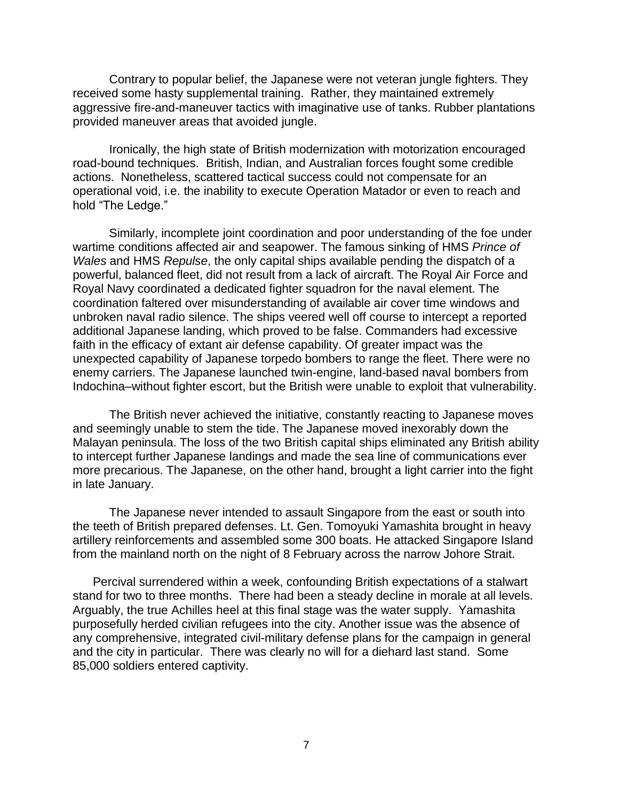Contrary to popular belief, the Japanese were not veteran jungle fighters. They received some hasty supplemental training. Rather, they maintained extremely aggressive fire-and-maneuver tactics with imaginative use of tanks. Rubber plantations provided maneuver areas that avoided jungle.

Ironically, the high state of British modernization with motorization encouraged road-bound techniques. British, Indian, and Australian forces fought some credible actions. Nonetheless, scattered tactical success could not compensate for an operational void, i.e. the inability to execute Operation Matador or even to reach and hold "The Ledge."

Similarly, incomplete joint coordination and poor understanding of the foe under wartime conditions affected air and seapower. The famous sinking of HMS *Prince of Wales* and HMS *Repulse*, the only capital ships available pending the dispatch of a powerful, balanced fleet, did not result from a lack of aircraft. The Royal Air Force and Royal Navy coordinated a dedicated fighter squadron for the naval element. The coordination faltered over misunderstanding of available air cover time windows and unbroken naval radio silence. The ships veered well off course to intercept a reported additional Japanese landing, which proved to be false. Commanders had excessive faith in the efficacy of extant air defense capability. Of greater impact was the unexpected capability of Japanese torpedo bombers to range the fleet. There were no enemy carriers. The Japanese launched twin-engine, land-based naval bombers from Indochina–without fighter escort, but the British were unable to exploit that vulnerability.

The British never achieved the initiative, constantly reacting to Japanese moves and seemingly unable to stem the tide. The Japanese moved inexorably down the Malayan peninsula. The loss of the two British capital ships eliminated any British ability to intercept further Japanese landings and made the sea line of communications ever more precarious. The Japanese, on the other hand, brought a light carrier into the fight in late January.

The Japanese never intended to assault Singapore from the east or south into the teeth of British prepared defenses. Lt. Gen. Tomoyuki Yamashita brought in heavy artillery reinforcements and assembled some 300 boats. He attacked Singapore Island from the mainland north on the night of 8 February across the narrow Johore Strait.

Percival surrendered within a week, confounding British expectations of a stalwart stand for two to three months. There had been a steady decline in morale at all levels. Arguably, the true Achilles heel at this final stage was the water supply. Yamashita purposefully herded civilian refugees into the city. Another issue was the absence of any comprehensive, integrated civil-military defense plans for the campaign in general and the city in particular. There was clearly no will for a diehard last stand. Some 85,000 soldiers entered captivity.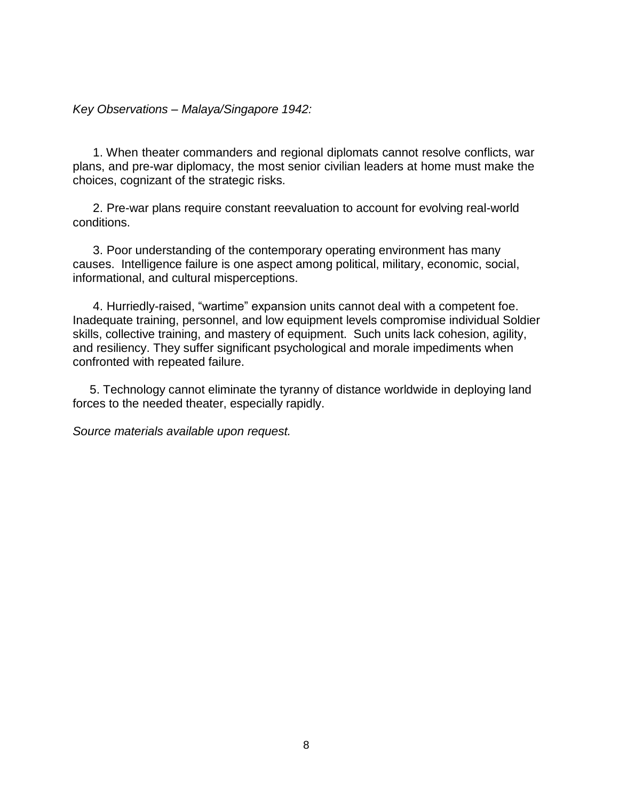<span id="page-12-0"></span>*Key Observations – Malaya/Singapore 1942:*

1. When theater commanders and regional diplomats cannot resolve conflicts, war plans, and pre-war diplomacy, the most senior civilian leaders at home must make the choices, cognizant of the strategic risks.

2. Pre-war plans require constant reevaluation to account for evolving real-world conditions.

3. Poor understanding of the contemporary operating environment has many causes. Intelligence failure is one aspect among political, military, economic, social, informational, and cultural misperceptions.

4. Hurriedly-raised, "wartime" expansion units cannot deal with a competent foe. Inadequate training, personnel, and low equipment levels compromise individual Soldier skills, collective training, and mastery of equipment. Such units lack cohesion, agility, and resiliency. They suffer significant psychological and morale impediments when confronted with repeated failure.

5. Technology cannot eliminate the tyranny of distance worldwide in deploying land forces to the needed theater, especially rapidly.

*Source materials available upon request.*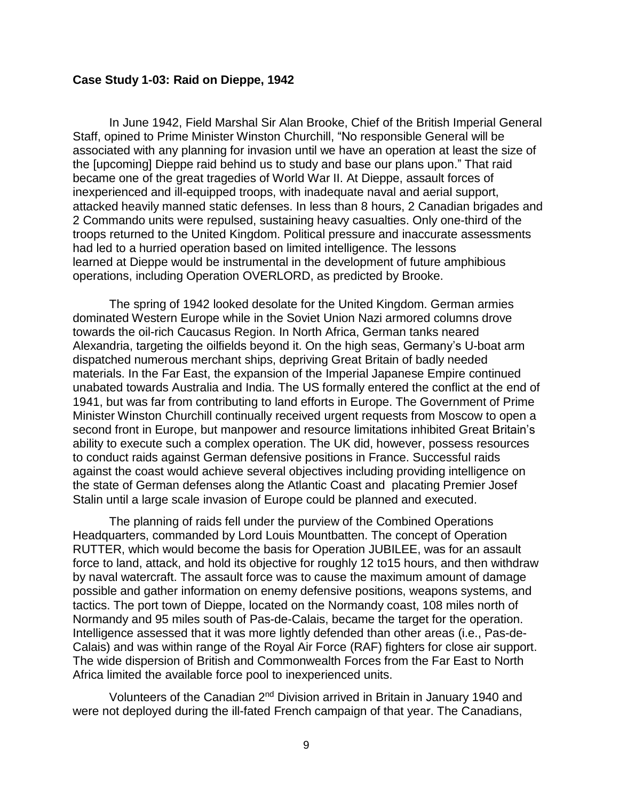#### <span id="page-13-0"></span>**Case Study 1-03: Raid on Dieppe, 1942**

In June 1942, Field Marshal Sir Alan Brooke, Chief of the British Imperial General Staff, opined to Prime Minister Winston Churchill, "No responsible General will be associated with any planning for invasion until we have an operation at least the size of the [upcoming] Dieppe raid behind us to study and base our plans upon." That raid became one of the great tragedies of World War II. At Dieppe, assault forces of inexperienced and ill-equipped troops, with inadequate naval and aerial support, attacked heavily manned static defenses. In less than 8 hours, 2 Canadian brigades and 2 Commando units were repulsed, sustaining heavy casualties. Only one-third of the troops returned to the United Kingdom. Political pressure and inaccurate assessments had led to a hurried operation based on limited intelligence. The lessons learned at Dieppe would be instrumental in the development of future amphibious operations, including Operation OVERLORD, as predicted by Brooke.

The spring of 1942 looked desolate for the United Kingdom. German armies dominated Western Europe while in the Soviet Union Nazi armored columns drove towards the oil-rich Caucasus Region. In North Africa, German tanks neared Alexandria, targeting the oilfields beyond it. On the high seas, Germany's U-boat arm dispatched numerous merchant ships, depriving Great Britain of badly needed materials. In the Far East, the expansion of the Imperial Japanese Empire continued unabated towards Australia and India. The US formally entered the conflict at the end of 1941, but was far from contributing to land efforts in Europe. The Government of Prime Minister Winston Churchill continually received urgent requests from Moscow to open a second front in Europe, but manpower and resource limitations inhibited Great Britain's ability to execute such a complex operation. The UK did, however, possess resources to conduct raids against German defensive positions in France. Successful raids against the coast would achieve several objectives including providing intelligence on the state of German defenses along the Atlantic Coast and placating Premier Josef Stalin until a large scale invasion of Europe could be planned and executed.

The planning of raids fell under the purview of the Combined Operations Headquarters, commanded by Lord Louis Mountbatten. The concept of Operation RUTTER, which would become the basis for Operation JUBILEE, was for an assault force to land, attack, and hold its objective for roughly 12 to15 hours, and then withdraw by naval watercraft. The assault force was to cause the maximum amount of damage possible and gather information on enemy defensive positions, weapons systems, and tactics. The port town of Dieppe, located on the Normandy coast, 108 miles north of Normandy and 95 miles south of Pas-de-Calais, became the target for the operation. Intelligence assessed that it was more lightly defended than other areas (i.e., Pas-de-Calais) and was within range of the Royal Air Force (RAF) fighters for close air support. The wide dispersion of British and Commonwealth Forces from the Far East to North Africa limited the available force pool to inexperienced units.

Volunteers of the Canadian 2nd Division arrived in Britain in January 1940 and were not deployed during the ill-fated French campaign of that year. The Canadians,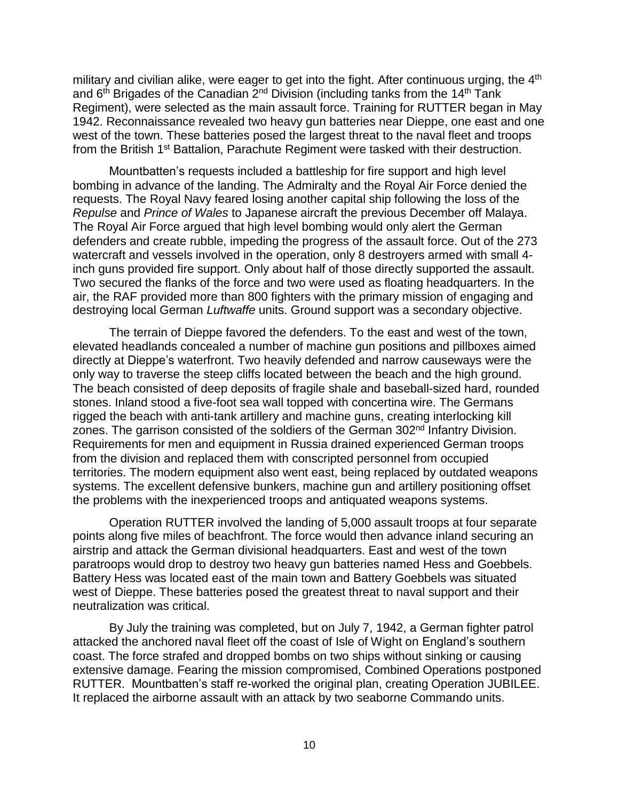military and civilian alike, were eager to get into the fight. After continuous urging, the 4<sup>th</sup> and 6<sup>th</sup> Brigades of the Canadian 2<sup>nd</sup> Division (including tanks from the 14<sup>th</sup> Tank Regiment), were selected as the main assault force. Training for RUTTER began in May 1942. Reconnaissance revealed two heavy gun batteries near Dieppe, one east and one west of the town. These batteries posed the largest threat to the naval fleet and troops from the British 1<sup>st</sup> Battalion, Parachute Regiment were tasked with their destruction.

Mountbatten's requests included a battleship for fire support and high level bombing in advance of the landing. The Admiralty and the Royal Air Force denied the requests. The Royal Navy feared losing another capital ship following the loss of the *Repulse* and *Prince of Wales* to Japanese aircraft the previous December off Malaya. The Royal Air Force argued that high level bombing would only alert the German defenders and create rubble, impeding the progress of the assault force. Out of the 273 watercraft and vessels involved in the operation, only 8 destroyers armed with small 4 inch guns provided fire support. Only about half of those directly supported the assault. Two secured the flanks of the force and two were used as floating headquarters. In the air, the RAF provided more than 800 fighters with the primary mission of engaging and destroying local German *Luftwaffe* units. Ground support was a secondary objective.

The terrain of Dieppe favored the defenders. To the east and west of the town, elevated headlands concealed a number of machine gun positions and pillboxes aimed directly at Dieppe's waterfront. Two heavily defended and narrow causeways were the only way to traverse the steep cliffs located between the beach and the high ground. The beach consisted of deep deposits of fragile shale and baseball-sized hard, rounded stones. Inland stood a five-foot sea wall topped with concertina wire. The Germans rigged the beach with anti-tank artillery and machine guns, creating interlocking kill zones. The garrison consisted of the soldiers of the German 302<sup>nd</sup> Infantry Division. Requirements for men and equipment in Russia drained experienced German troops from the division and replaced them with conscripted personnel from occupied territories. The modern equipment also went east, being replaced by outdated weapons systems. The excellent defensive bunkers, machine gun and artillery positioning offset the problems with the inexperienced troops and antiquated weapons systems.

Operation RUTTER involved the landing of 5,000 assault troops at four separate points along five miles of beachfront. The force would then advance inland securing an airstrip and attack the German divisional headquarters. East and west of the town paratroops would drop to destroy two heavy gun batteries named Hess and Goebbels. Battery Hess was located east of the main town and Battery Goebbels was situated west of Dieppe. These batteries posed the greatest threat to naval support and their neutralization was critical.

By July the training was completed, but on July 7, 1942, a German fighter patrol attacked the anchored naval fleet off the coast of Isle of Wight on England's southern coast. The force strafed and dropped bombs on two ships without sinking or causing extensive damage. Fearing the mission compromised, Combined Operations postponed RUTTER. Mountbatten's staff re-worked the original plan, creating Operation JUBILEE. It replaced the airborne assault with an attack by two seaborne Commando units.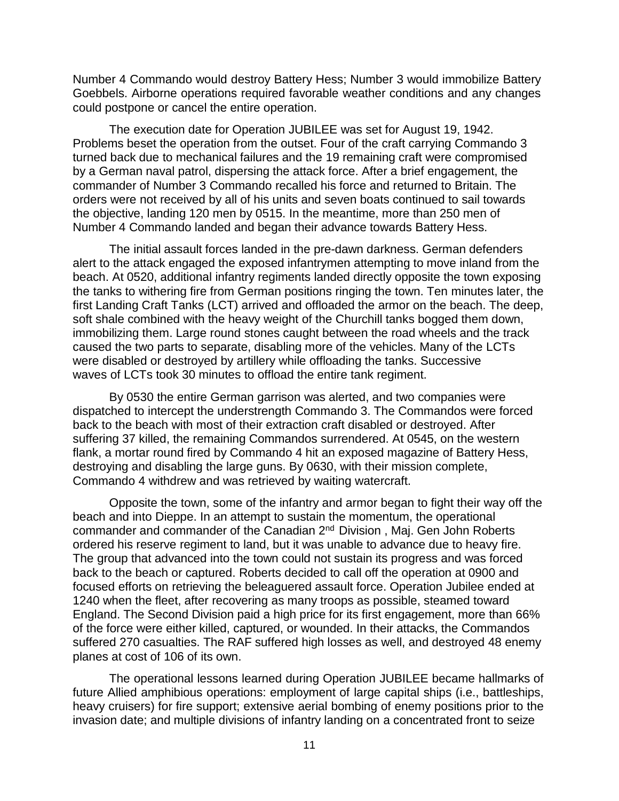Number 4 Commando would destroy Battery Hess; Number 3 would immobilize Battery Goebbels. Airborne operations required favorable weather conditions and any changes could postpone or cancel the entire operation.

The execution date for Operation JUBILEE was set for August 19, 1942. Problems beset the operation from the outset. Four of the craft carrying Commando 3 turned back due to mechanical failures and the 19 remaining craft were compromised by a German naval patrol, dispersing the attack force. After a brief engagement, the commander of Number 3 Commando recalled his force and returned to Britain. The orders were not received by all of his units and seven boats continued to sail towards the objective, landing 120 men by 0515. In the meantime, more than 250 men of Number 4 Commando landed and began their advance towards Battery Hess.

The initial assault forces landed in the pre-dawn darkness. German defenders alert to the attack engaged the exposed infantrymen attempting to move inland from the beach. At 0520, additional infantry regiments landed directly opposite the town exposing the tanks to withering fire from German positions ringing the town. Ten minutes later, the first Landing Craft Tanks (LCT) arrived and offloaded the armor on the beach. The deep, soft shale combined with the heavy weight of the Churchill tanks bogged them down, immobilizing them. Large round stones caught between the road wheels and the track caused the two parts to separate, disabling more of the vehicles. Many of the LCTs were disabled or destroyed by artillery while offloading the tanks. Successive waves of LCTs took 30 minutes to offload the entire tank regiment.

By 0530 the entire German garrison was alerted, and two companies were dispatched to intercept the understrength Commando 3. The Commandos were forced back to the beach with most of their extraction craft disabled or destroyed. After suffering 37 killed, the remaining Commandos surrendered. At 0545, on the western flank, a mortar round fired by Commando 4 hit an exposed magazine of Battery Hess, destroying and disabling the large guns. By 0630, with their mission complete, Commando 4 withdrew and was retrieved by waiting watercraft.

Opposite the town, some of the infantry and armor began to fight their way off the beach and into Dieppe. In an attempt to sustain the momentum, the operational commander and commander of the Canadian 2nd Division , Maj. Gen John Roberts ordered his reserve regiment to land, but it was unable to advance due to heavy fire. The group that advanced into the town could not sustain its progress and was forced back to the beach or captured. Roberts decided to call off the operation at 0900 and focused efforts on retrieving the beleaguered assault force. Operation Jubilee ended at 1240 when the fleet, after recovering as many troops as possible, steamed toward England. The Second Division paid a high price for its first engagement, more than 66% of the force were either killed, captured, or wounded. In their attacks, the Commandos suffered 270 casualties. The RAF suffered high losses as well, and destroyed 48 enemy planes at cost of 106 of its own.

The operational lessons learned during Operation JUBILEE became hallmarks of future Allied amphibious operations: employment of large capital ships (i.e., battleships, heavy cruisers) for fire support; extensive aerial bombing of enemy positions prior to the invasion date; and multiple divisions of infantry landing on a concentrated front to seize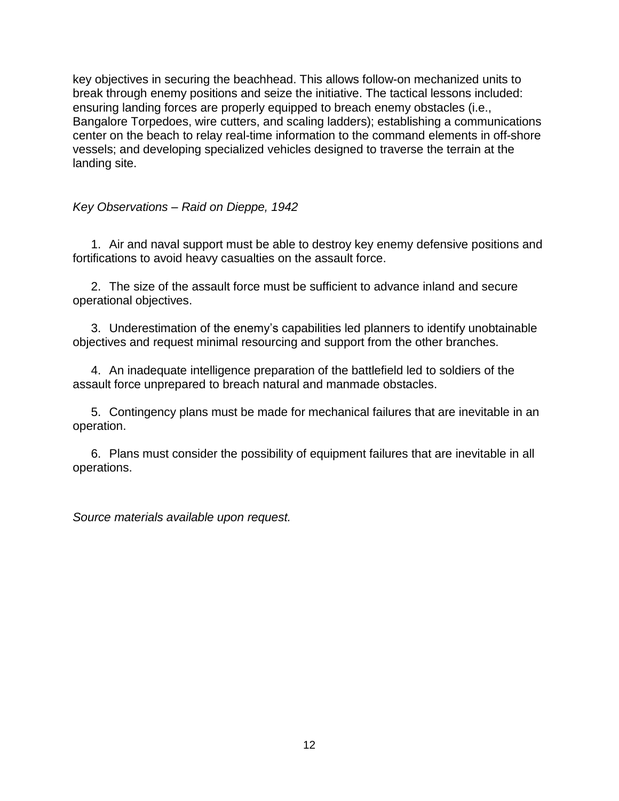key objectives in securing the beachhead. This allows follow-on mechanized units to break through enemy positions and seize the initiative. The tactical lessons included: ensuring landing forces are properly equipped to breach enemy obstacles (i.e., Bangalore Torpedoes, wire cutters, and scaling ladders); establishing a communications center on the beach to relay real-time information to the command elements in off-shore vessels; and developing specialized vehicles designed to traverse the terrain at the landing site.

# <span id="page-16-0"></span>*Key Observations – Raid on Dieppe, 1942*

1. Air and naval support must be able to destroy key enemy defensive positions and fortifications to avoid heavy casualties on the assault force.

2. The size of the assault force must be sufficient to advance inland and secure operational objectives.

3. Underestimation of the enemy's capabilities led planners to identify unobtainable objectives and request minimal resourcing and support from the other branches.

4. An inadequate intelligence preparation of the battlefield led to soldiers of the assault force unprepared to breach natural and manmade obstacles.

5. Contingency plans must be made for mechanical failures that are inevitable in an operation.

6. Plans must consider the possibility of equipment failures that are inevitable in all operations.

*Source materials available upon request.*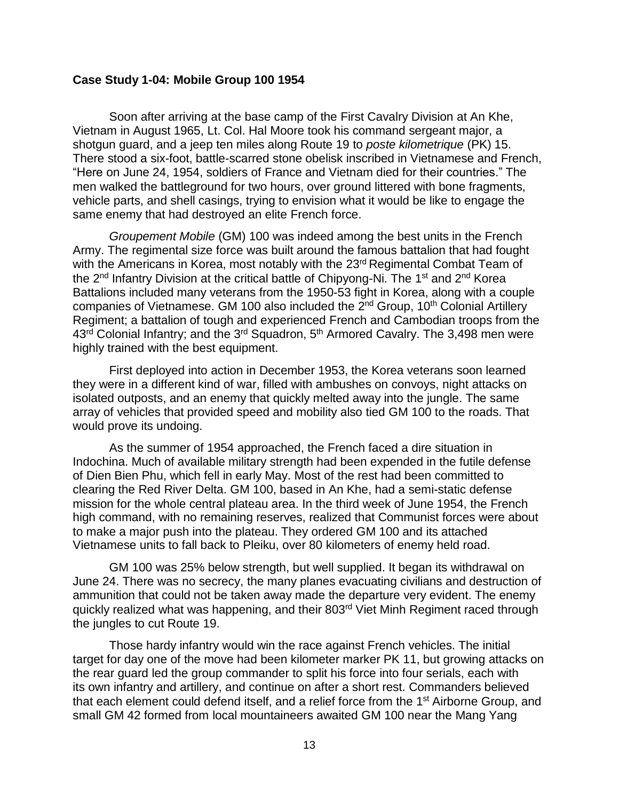#### <span id="page-17-0"></span>**Case Study 1-04: Mobile Group 100 1954**

Soon after arriving at the base camp of the First Cavalry Division at An Khe, Vietnam in August 1965, Lt. Col. Hal Moore took his command sergeant major, a shotgun guard, and a jeep ten miles along Route 19 to *poste kilometrique* (PK) 15. There stood a six-foot, battle-scarred stone obelisk inscribed in Vietnamese and French, "Here on June 24, 1954, soldiers of France and Vietnam died for their countries." The men walked the battleground for two hours, over ground littered with bone fragments, vehicle parts, and shell casings, trying to envision what it would be like to engage the same enemy that had destroyed an elite French force.

*Groupement Mobile* (GM) 100 was indeed among the best units in the French Army. The regimental size force was built around the famous battalion that had fought with the Americans in Korea, most notably with the 23<sup>rd</sup> Regimental Combat Team of the 2<sup>nd</sup> Infantry Division at the critical battle of Chipyong-Ni. The 1<sup>st</sup> and 2<sup>nd</sup> Korea Battalions included many veterans from the 1950-53 fight in Korea, along with a couple companies of Vietnamese. GM 100 also included the 2<sup>nd</sup> Group, 10<sup>th</sup> Colonial Artillery Regiment; a battalion of tough and experienced French and Cambodian troops from the 43<sup>rd</sup> Colonial Infantry; and the 3<sup>rd</sup> Squadron, 5<sup>th</sup> Armored Cavalry. The 3,498 men were highly trained with the best equipment.

First deployed into action in December 1953, the Korea veterans soon learned they were in a different kind of war, filled with ambushes on convoys, night attacks on isolated outposts, and an enemy that quickly melted away into the jungle. The same array of vehicles that provided speed and mobility also tied GM 100 to the roads. That would prove its undoing.

As the summer of 1954 approached, the French faced a dire situation in Indochina. Much of available military strength had been expended in the futile defense of Dien Bien Phu, which fell in early May. Most of the rest had been committed to clearing the Red River Delta. GM 100, based in An Khe, had a semi-static defense mission for the whole central plateau area. In the third week of June 1954, the French high command, with no remaining reserves, realized that Communist forces were about to make a major push into the plateau. They ordered GM 100 and its attached Vietnamese units to fall back to Pleiku, over 80 kilometers of enemy held road.

GM 100 was 25% below strength, but well supplied. It began its withdrawal on June 24. There was no secrecy, the many planes evacuating civilians and destruction of ammunition that could not be taken away made the departure very evident. The enemy quickly realized what was happening, and their 803rd Viet Minh Regiment raced through the jungles to cut Route 19.

Those hardy infantry would win the race against French vehicles. The initial target for day one of the move had been kilometer marker PK 11, but growing attacks on the rear guard led the group commander to split his force into four serials, each with its own infantry and artillery, and continue on after a short rest. Commanders believed that each element could defend itself, and a relief force from the 1<sup>st</sup> Airborne Group, and small GM 42 formed from local mountaineers awaited GM 100 near the Mang Yang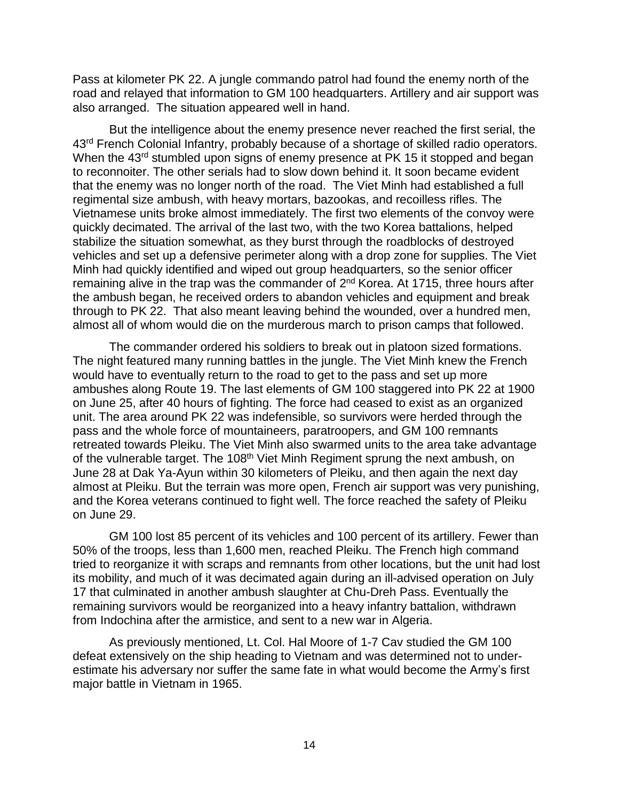Pass at kilometer PK 22. A jungle commando patrol had found the enemy north of the road and relayed that information to GM 100 headquarters. Artillery and air support was also arranged. The situation appeared well in hand.

But the intelligence about the enemy presence never reached the first serial, the 43<sup>rd</sup> French Colonial Infantry, probably because of a shortage of skilled radio operators. When the 43<sup>rd</sup> stumbled upon signs of enemy presence at PK 15 it stopped and began to reconnoiter. The other serials had to slow down behind it. It soon became evident that the enemy was no longer north of the road. The Viet Minh had established a full regimental size ambush, with heavy mortars, bazookas, and recoilless rifles. The Vietnamese units broke almost immediately. The first two elements of the convoy were quickly decimated. The arrival of the last two, with the two Korea battalions, helped stabilize the situation somewhat, as they burst through the roadblocks of destroyed vehicles and set up a defensive perimeter along with a drop zone for supplies. The Viet Minh had quickly identified and wiped out group headquarters, so the senior officer remaining alive in the trap was the commander of 2<sup>nd</sup> Korea. At 1715, three hours after the ambush began, he received orders to abandon vehicles and equipment and break through to PK 22. That also meant leaving behind the wounded, over a hundred men, almost all of whom would die on the murderous march to prison camps that followed.

The commander ordered his soldiers to break out in platoon sized formations. The night featured many running battles in the jungle. The Viet Minh knew the French would have to eventually return to the road to get to the pass and set up more ambushes along Route 19. The last elements of GM 100 staggered into PK 22 at 1900 on June 25, after 40 hours of fighting. The force had ceased to exist as an organized unit. The area around PK 22 was indefensible, so survivors were herded through the pass and the whole force of mountaineers, paratroopers, and GM 100 remnants retreated towards Pleiku. The Viet Minh also swarmed units to the area take advantage of the vulnerable target. The 108<sup>th</sup> Viet Minh Regiment sprung the next ambush, on June 28 at Dak Ya-Ayun within 30 kilometers of Pleiku, and then again the next day almost at Pleiku. But the terrain was more open, French air support was very punishing, and the Korea veterans continued to fight well. The force reached the safety of Pleiku on June 29.

GM 100 lost 85 percent of its vehicles and 100 percent of its artillery. Fewer than 50% of the troops, less than 1,600 men, reached Pleiku. The French high command tried to reorganize it with scraps and remnants from other locations, but the unit had lost its mobility, and much of it was decimated again during an ill-advised operation on July 17 that culminated in another ambush slaughter at Chu-Dreh Pass. Eventually the remaining survivors would be reorganized into a heavy infantry battalion, withdrawn from Indochina after the armistice, and sent to a new war in Algeria.

As previously mentioned, Lt. Col. Hal Moore of 1-7 Cav studied the GM 100 defeat extensively on the ship heading to Vietnam and was determined not to underestimate his adversary nor suffer the same fate in what would become the Army's first major battle in Vietnam in 1965.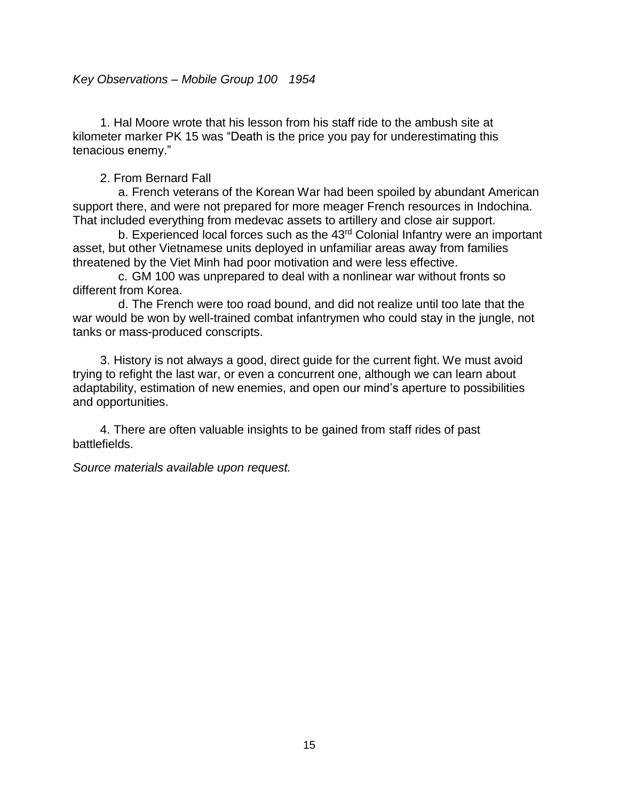<span id="page-19-0"></span>1. Hal Moore wrote that his lesson from his staff ride to the ambush site at kilometer marker PK 15 was "Death is the price you pay for underestimating this tenacious enemy."

2. From Bernard Fall

a. French veterans of the Korean War had been spoiled by abundant American support there, and were not prepared for more meager French resources in Indochina. That included everything from medevac assets to artillery and close air support.

b. Experienced local forces such as the 43<sup>rd</sup> Colonial Infantry were an important asset, but other Vietnamese units deployed in unfamiliar areas away from families threatened by the Viet Minh had poor motivation and were less effective.

c. GM 100 was unprepared to deal with a nonlinear war without fronts so different from Korea.

d. The French were too road bound, and did not realize until too late that the war would be won by well-trained combat infantrymen who could stay in the jungle, not tanks or mass-produced conscripts.

3. History is not always a good, direct guide for the current fight. We must avoid trying to refight the last war, or even a concurrent one, although we can learn about adaptability, estimation of new enemies, and open our mind's aperture to possibilities and opportunities.

4. There are often valuable insights to be gained from staff rides of past battlefields.

*Source materials available upon request.*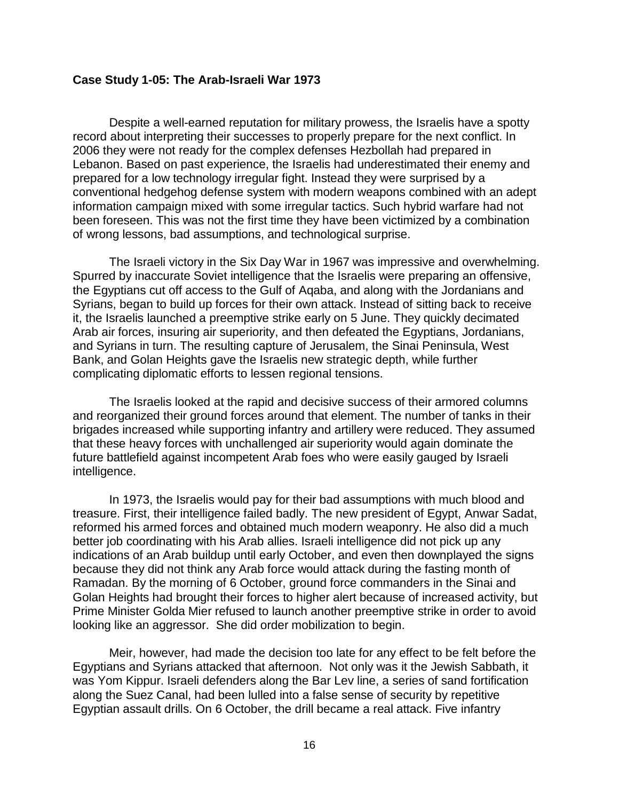#### <span id="page-20-0"></span>**Case Study 1-05: The Arab-Israeli War 1973**

Despite a well-earned reputation for military prowess, the Israelis have a spotty record about interpreting their successes to properly prepare for the next conflict. In 2006 they were not ready for the complex defenses Hezbollah had prepared in Lebanon. Based on past experience, the Israelis had underestimated their enemy and prepared for a low technology irregular fight. Instead they were surprised by a conventional hedgehog defense system with modern weapons combined with an adept information campaign mixed with some irregular tactics. Such hybrid warfare had not been foreseen. This was not the first time they have been victimized by a combination of wrong lessons, bad assumptions, and technological surprise.

The Israeli victory in the Six Day War in 1967 was impressive and overwhelming. Spurred by inaccurate Soviet intelligence that the Israelis were preparing an offensive, the Egyptians cut off access to the Gulf of Aqaba, and along with the Jordanians and Syrians, began to build up forces for their own attack. Instead of sitting back to receive it, the Israelis launched a preemptive strike early on 5 June. They quickly decimated Arab air forces, insuring air superiority, and then defeated the Egyptians, Jordanians, and Syrians in turn. The resulting capture of Jerusalem, the Sinai Peninsula, West Bank, and Golan Heights gave the Israelis new strategic depth, while further complicating diplomatic efforts to lessen regional tensions.

The Israelis looked at the rapid and decisive success of their armored columns and reorganized their ground forces around that element. The number of tanks in their brigades increased while supporting infantry and artillery were reduced. They assumed that these heavy forces with unchallenged air superiority would again dominate the future battlefield against incompetent Arab foes who were easily gauged by Israeli intelligence.

In 1973, the Israelis would pay for their bad assumptions with much blood and treasure. First, their intelligence failed badly. The new president of Egypt, Anwar Sadat, reformed his armed forces and obtained much modern weaponry. He also did a much better job coordinating with his Arab allies. Israeli intelligence did not pick up any indications of an Arab buildup until early October, and even then downplayed the signs because they did not think any Arab force would attack during the fasting month of Ramadan. By the morning of 6 October, ground force commanders in the Sinai and Golan Heights had brought their forces to higher alert because of increased activity, but Prime Minister Golda Mier refused to launch another preemptive strike in order to avoid looking like an aggressor. She did order mobilization to begin.

Meir, however, had made the decision too late for any effect to be felt before the Egyptians and Syrians attacked that afternoon. Not only was it the Jewish Sabbath, it was Yom Kippur. Israeli defenders along the Bar Lev line, a series of sand fortification along the Suez Canal, had been lulled into a false sense of security by repetitive Egyptian assault drills. On 6 October, the drill became a real attack. Five infantry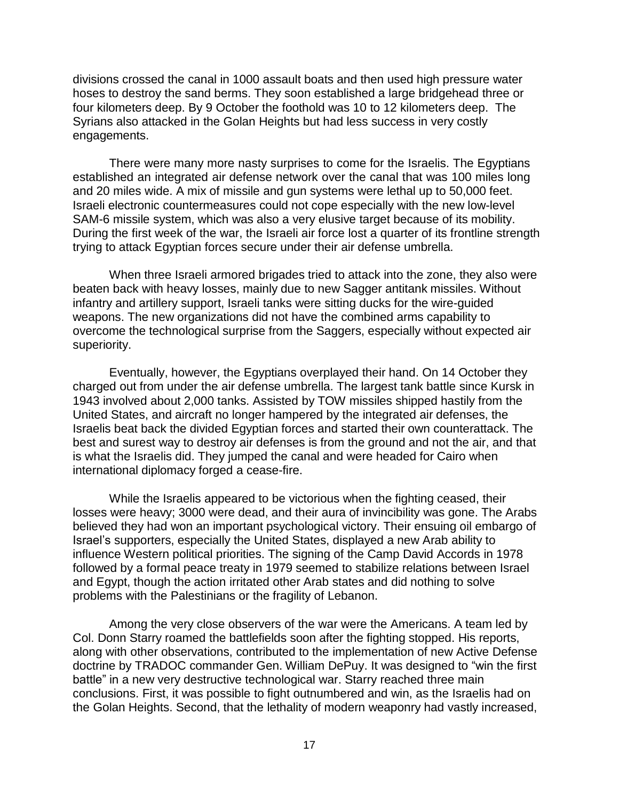divisions crossed the canal in 1000 assault boats and then used high pressure water hoses to destroy the sand berms. They soon established a large bridgehead three or four kilometers deep. By 9 October the foothold was 10 to 12 kilometers deep. The Syrians also attacked in the Golan Heights but had less success in very costly engagements.

There were many more nasty surprises to come for the Israelis. The Egyptians established an integrated air defense network over the canal that was 100 miles long and 20 miles wide. A mix of missile and gun systems were lethal up to 50,000 feet. Israeli electronic countermeasures could not cope especially with the new low-level SAM-6 missile system, which was also a very elusive target because of its mobility. During the first week of the war, the Israeli air force lost a quarter of its frontline strength trying to attack Egyptian forces secure under their air defense umbrella.

When three Israeli armored brigades tried to attack into the zone, they also were beaten back with heavy losses, mainly due to new Sagger antitank missiles. Without infantry and artillery support, Israeli tanks were sitting ducks for the wire-guided weapons. The new organizations did not have the combined arms capability to overcome the technological surprise from the Saggers, especially without expected air superiority.

Eventually, however, the Egyptians overplayed their hand. On 14 October they charged out from under the air defense umbrella. The largest tank battle since Kursk in 1943 involved about 2,000 tanks. Assisted by TOW missiles shipped hastily from the United States, and aircraft no longer hampered by the integrated air defenses, the Israelis beat back the divided Egyptian forces and started their own counterattack. The best and surest way to destroy air defenses is from the ground and not the air, and that is what the Israelis did. They jumped the canal and were headed for Cairo when international diplomacy forged a cease-fire.

While the Israelis appeared to be victorious when the fighting ceased, their losses were heavy; 3000 were dead, and their aura of invincibility was gone. The Arabs believed they had won an important psychological victory. Their ensuing oil embargo of Israel's supporters, especially the United States, displayed a new Arab ability to influence Western political priorities. The signing of the Camp David Accords in 1978 followed by a formal peace treaty in 1979 seemed to stabilize relations between Israel and Egypt, though the action irritated other Arab states and did nothing to solve problems with the Palestinians or the fragility of Lebanon.

Among the very close observers of the war were the Americans. A team led by Col. Donn Starry roamed the battlefields soon after the fighting stopped. His reports, along with other observations, contributed to the implementation of new Active Defense doctrine by TRADOC commander Gen. William DePuy. It was designed to "win the first battle" in a new very destructive technological war. Starry reached three main conclusions. First, it was possible to fight outnumbered and win, as the Israelis had on the Golan Heights. Second, that the lethality of modern weaponry had vastly increased,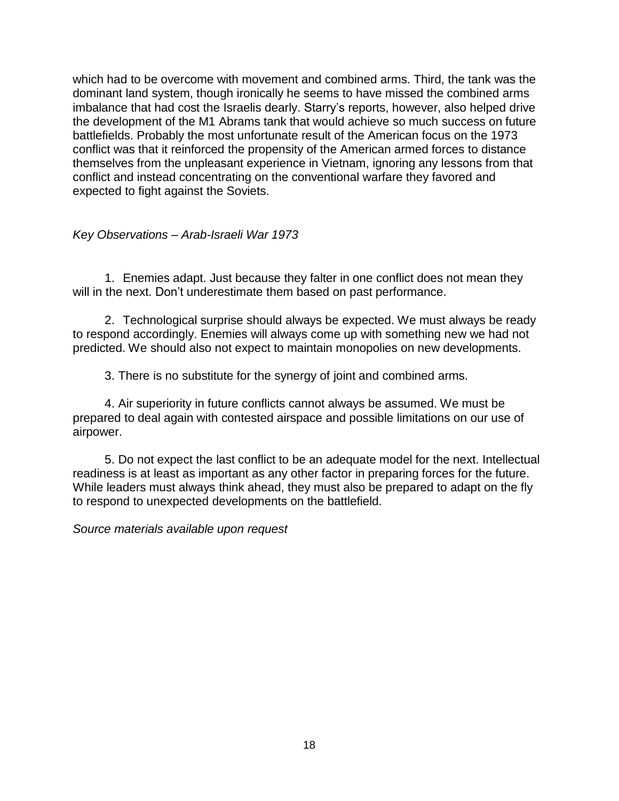which had to be overcome with movement and combined arms. Third, the tank was the dominant land system, though ironically he seems to have missed the combined arms imbalance that had cost the Israelis dearly. Starry's reports, however, also helped drive the development of the M1 Abrams tank that would achieve so much success on future battlefields. Probably the most unfortunate result of the American focus on the 1973 conflict was that it reinforced the propensity of the American armed forces to distance themselves from the unpleasant experience in Vietnam, ignoring any lessons from that conflict and instead concentrating on the conventional warfare they favored and expected to fight against the Soviets.

# <span id="page-22-0"></span>*Key Observations – Arab-Israeli War 1973*

1. Enemies adapt. Just because they falter in one conflict does not mean they will in the next. Don't underestimate them based on past performance.

2. Technological surprise should always be expected. We must always be ready to respond accordingly. Enemies will always come up with something new we had not predicted. We should also not expect to maintain monopolies on new developments.

3. There is no substitute for the synergy of joint and combined arms.

4. Air superiority in future conflicts cannot always be assumed. We must be prepared to deal again with contested airspace and possible limitations on our use of airpower.

5. Do not expect the last conflict to be an adequate model for the next. Intellectual readiness is at least as important as any other factor in preparing forces for the future. While leaders must always think ahead, they must also be prepared to adapt on the fly to respond to unexpected developments on the battlefield.

*Source materials available upon request*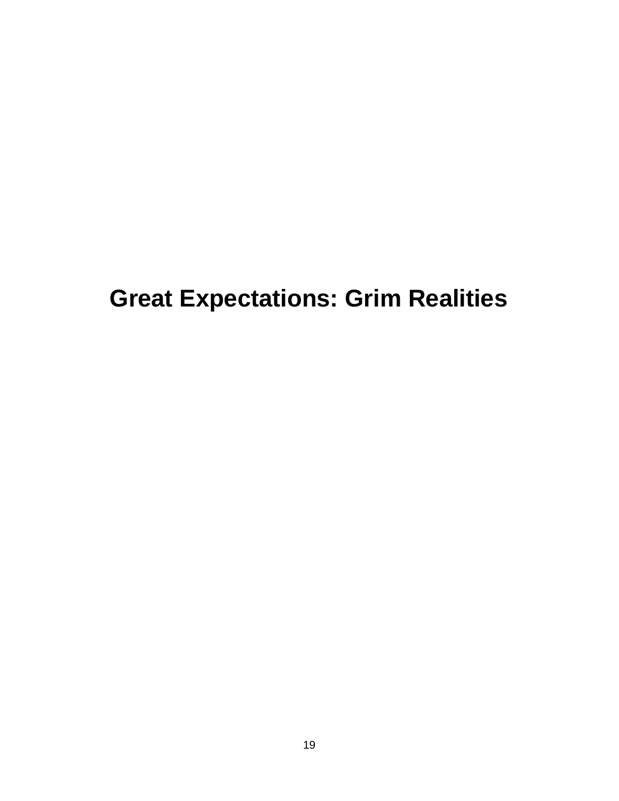# <span id="page-23-0"></span>**Great Expectations: Grim Realities**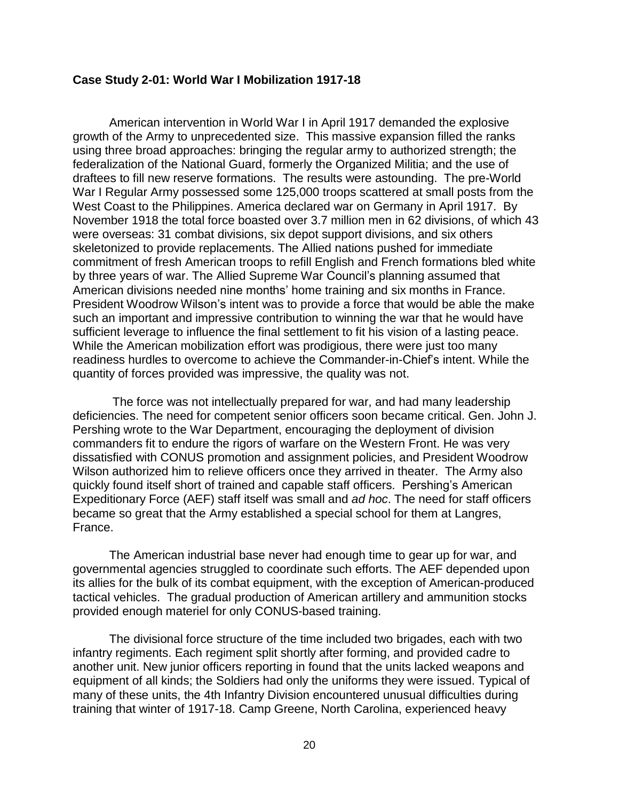#### <span id="page-24-0"></span>**Case Study 2-01: World War I Mobilization 1917-18**

American intervention in World War I in April 1917 demanded the explosive growth of the Army to unprecedented size. This massive expansion filled the ranks using three broad approaches: bringing the regular army to authorized strength; the federalization of the National Guard, formerly the Organized Militia; and the use of draftees to fill new reserve formations. The results were astounding. The pre-World War I Regular Army possessed some 125,000 troops scattered at small posts from the West Coast to the Philippines. America declared war on Germany in April 1917. By November 1918 the total force boasted over 3.7 million men in 62 divisions, of which 43 were overseas: 31 combat divisions, six depot support divisions, and six others skeletonized to provide replacements. The Allied nations pushed for immediate commitment of fresh American troops to refill English and French formations bled white by three years of war. The Allied Supreme War Council's planning assumed that American divisions needed nine months' home training and six months in France. President Woodrow Wilson's intent was to provide a force that would be able the make such an important and impressive contribution to winning the war that he would have sufficient leverage to influence the final settlement to fit his vision of a lasting peace. While the American mobilization effort was prodigious, there were just too many readiness hurdles to overcome to achieve the Commander-in-Chief's intent. While the quantity of forces provided was impressive, the quality was not.

The force was not intellectually prepared for war, and had many leadership deficiencies. The need for competent senior officers soon became critical. Gen. John J. Pershing wrote to the War Department, encouraging the deployment of division commanders fit to endure the rigors of warfare on the Western Front. He was very dissatisfied with CONUS promotion and assignment policies, and President Woodrow Wilson authorized him to relieve officers once they arrived in theater. The Army also quickly found itself short of trained and capable staff officers. Pershing's American Expeditionary Force (AEF) staff itself was small and *ad hoc*. The need for staff officers became so great that the Army established a special school for them at Langres, France.

The American industrial base never had enough time to gear up for war, and governmental agencies struggled to coordinate such efforts. The AEF depended upon its allies for the bulk of its combat equipment, with the exception of American-produced tactical vehicles. The gradual production of American artillery and ammunition stocks provided enough materiel for only CONUS-based training.

The divisional force structure of the time included two brigades, each with two infantry regiments. Each regiment split shortly after forming, and provided cadre to another unit. New junior officers reporting in found that the units lacked weapons and equipment of all kinds; the Soldiers had only the uniforms they were issued. Typical of many of these units, the 4th Infantry Division encountered unusual difficulties during training that winter of 1917-18. Camp Greene, North Carolina, experienced heavy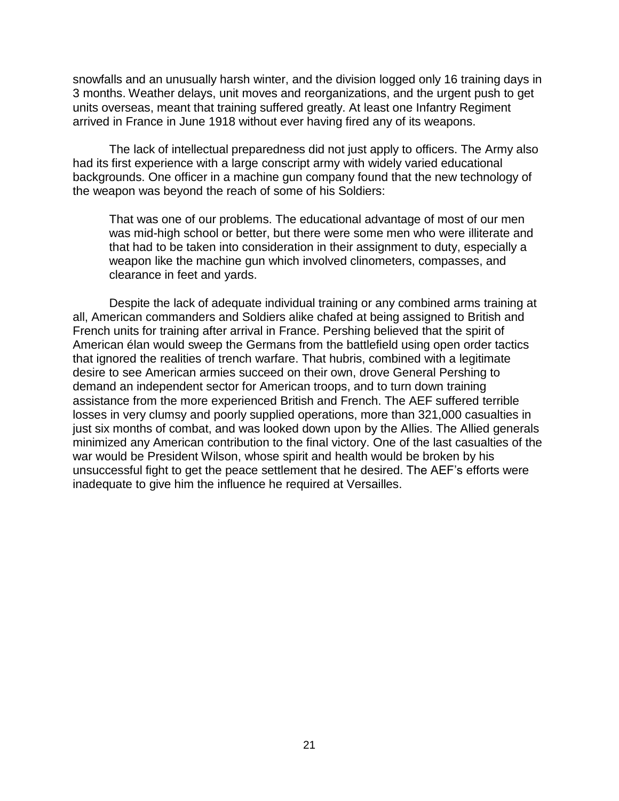snowfalls and an unusually harsh winter, and the division logged only 16 training days in 3 months. Weather delays, unit moves and reorganizations, and the urgent push to get units overseas, meant that training suffered greatly. At least one Infantry Regiment arrived in France in June 1918 without ever having fired any of its weapons.

The lack of intellectual preparedness did not just apply to officers. The Army also had its first experience with a large conscript army with widely varied educational backgrounds. One officer in a machine gun company found that the new technology of the weapon was beyond the reach of some of his Soldiers:

That was one of our problems. The educational advantage of most of our men was mid-high school or better, but there were some men who were illiterate and that had to be taken into consideration in their assignment to duty, especially a weapon like the machine gun which involved clinometers, compasses, and clearance in feet and yards.

Despite the lack of adequate individual training or any combined arms training at all, American commanders and Soldiers alike chafed at being assigned to British and French units for training after arrival in France. Pershing believed that the spirit of American élan would sweep the Germans from the battlefield using open order tactics that ignored the realities of trench warfare. That hubris, combined with a legitimate desire to see American armies succeed on their own, drove General Pershing to demand an independent sector for American troops, and to turn down training assistance from the more experienced British and French. The AEF suffered terrible losses in very clumsy and poorly supplied operations, more than 321,000 casualties in just six months of combat, and was looked down upon by the Allies. The Allied generals minimized any American contribution to the final victory. One of the last casualties of the war would be President Wilson, whose spirit and health would be broken by his unsuccessful fight to get the peace settlement that he desired. The AEF's efforts were inadequate to give him the influence he required at Versailles.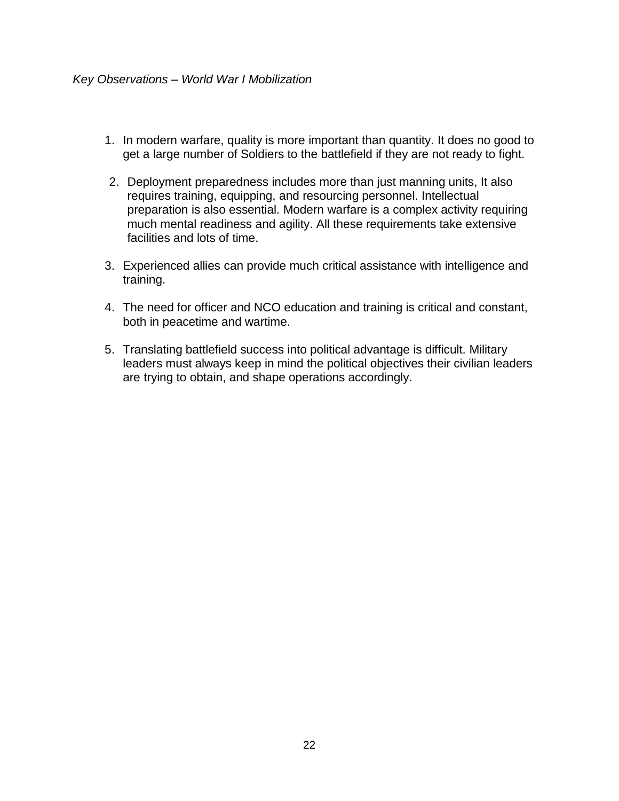- <span id="page-26-0"></span>1. In modern warfare, quality is more important than quantity. It does no good to get a large number of Soldiers to the battlefield if they are not ready to fight.
- 2. Deployment preparedness includes more than just manning units, It also requires training, equipping, and resourcing personnel. Intellectual preparation is also essential. Modern warfare is a complex activity requiring much mental readiness and agility. All these requirements take extensive facilities and lots of time.
- 3. Experienced allies can provide much critical assistance with intelligence and training.
- 4. The need for officer and NCO education and training is critical and constant, both in peacetime and wartime.
- 5. Translating battlefield success into political advantage is difficult. Military leaders must always keep in mind the political objectives their civilian leaders are trying to obtain, and shape operations accordingly.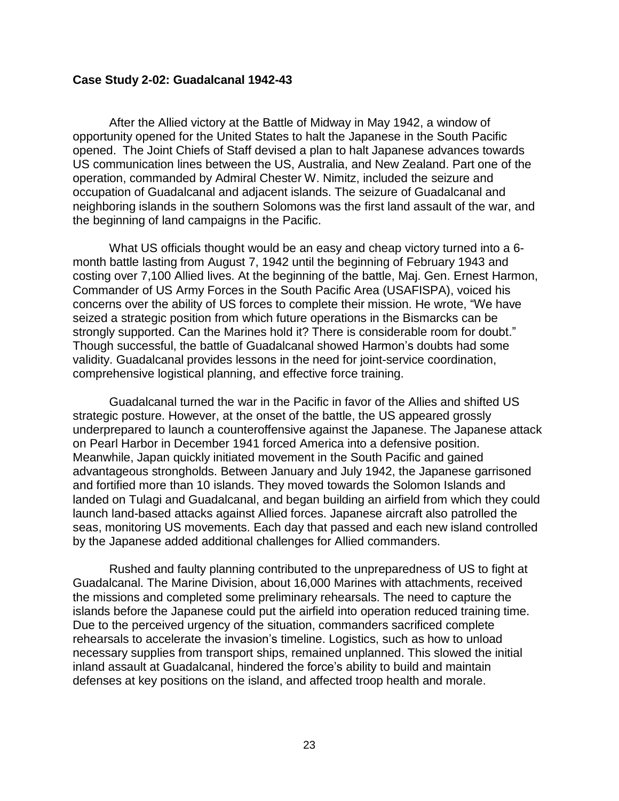#### <span id="page-27-0"></span>**Case Study 2-02: Guadalcanal 1942-43**

After the Allied victory at the Battle of Midway in May 1942, a window of opportunity opened for the United States to halt the Japanese in the South Pacific opened. The Joint Chiefs of Staff devised a plan to halt Japanese advances towards US communication lines between the US, Australia, and New Zealand. Part one of the operation, commanded by Admiral Chester W. Nimitz, included the seizure and occupation of Guadalcanal and adjacent islands. The seizure of Guadalcanal and neighboring islands in the southern Solomons was the first land assault of the war, and the beginning of land campaigns in the Pacific.

What US officials thought would be an easy and cheap victory turned into a 6 month battle lasting from August 7, 1942 until the beginning of February 1943 and costing over 7,100 Allied lives. At the beginning of the battle, Maj. Gen. Ernest Harmon, Commander of US Army Forces in the South Pacific Area (USAFISPA), voiced his concerns over the ability of US forces to complete their mission. He wrote, "We have seized a strategic position from which future operations in the Bismarcks can be strongly supported. Can the Marines hold it? There is considerable room for doubt." Though successful, the battle of Guadalcanal showed Harmon's doubts had some validity. Guadalcanal provides lessons in the need for joint-service coordination, comprehensive logistical planning, and effective force training.

Guadalcanal turned the war in the Pacific in favor of the Allies and shifted US strategic posture. However, at the onset of the battle, the US appeared grossly underprepared to launch a counteroffensive against the Japanese. The Japanese attack on Pearl Harbor in December 1941 forced America into a defensive position. Meanwhile, Japan quickly initiated movement in the South Pacific and gained advantageous strongholds. Between January and July 1942, the Japanese garrisoned and fortified more than 10 islands. They moved towards the Solomon Islands and landed on Tulagi and Guadalcanal, and began building an airfield from which they could launch land-based attacks against Allied forces. Japanese aircraft also patrolled the seas, monitoring US movements. Each day that passed and each new island controlled by the Japanese added additional challenges for Allied commanders.

Rushed and faulty planning contributed to the unpreparedness of US to fight at Guadalcanal. The Marine Division, about 16,000 Marines with attachments, received the missions and completed some preliminary rehearsals. The need to capture the islands before the Japanese could put the airfield into operation reduced training time. Due to the perceived urgency of the situation, commanders sacrificed complete rehearsals to accelerate the invasion's timeline. Logistics, such as how to unload necessary supplies from transport ships, remained unplanned. This slowed the initial inland assault at Guadalcanal, hindered the force's ability to build and maintain defenses at key positions on the island, and affected troop health and morale.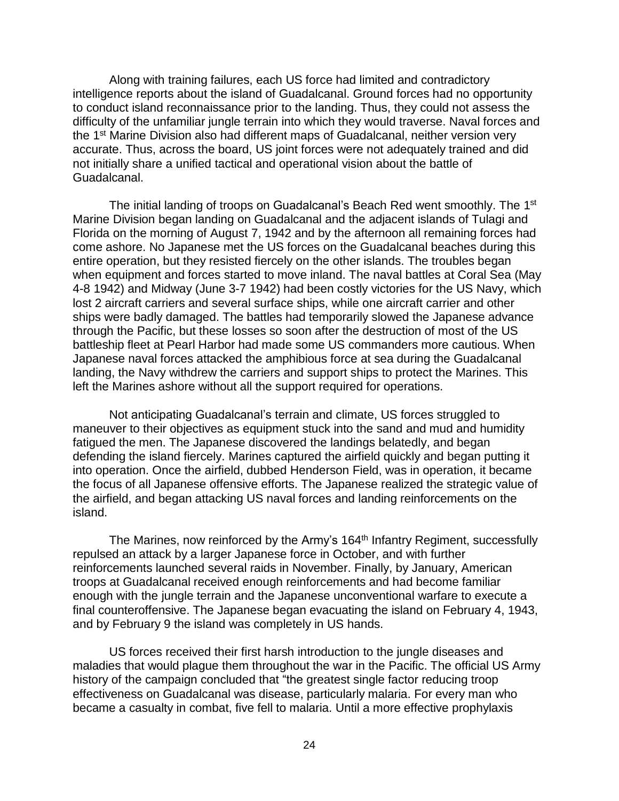Along with training failures, each US force had limited and contradictory intelligence reports about the island of Guadalcanal. Ground forces had no opportunity to conduct island reconnaissance prior to the landing. Thus, they could not assess the difficulty of the unfamiliar jungle terrain into which they would traverse. Naval forces and the 1<sup>st</sup> Marine Division also had different maps of Guadalcanal, neither version very accurate. Thus, across the board, US joint forces were not adequately trained and did not initially share a unified tactical and operational vision about the battle of Guadalcanal.

The initial landing of troops on Guadalcanal's Beach Red went smoothly. The 1<sup>st</sup> Marine Division began landing on Guadalcanal and the adjacent islands of Tulagi and Florida on the morning of August 7, 1942 and by the afternoon all remaining forces had come ashore. No Japanese met the US forces on the Guadalcanal beaches during this entire operation, but they resisted fiercely on the other islands. The troubles began when equipment and forces started to move inland. The naval battles at Coral Sea (May 4-8 1942) and Midway (June 3-7 1942) had been costly victories for the US Navy, which lost 2 aircraft carriers and several surface ships, while one aircraft carrier and other ships were badly damaged. The battles had temporarily slowed the Japanese advance through the Pacific, but these losses so soon after the destruction of most of the US battleship fleet at Pearl Harbor had made some US commanders more cautious. When Japanese naval forces attacked the amphibious force at sea during the Guadalcanal landing, the Navy withdrew the carriers and support ships to protect the Marines. This left the Marines ashore without all the support required for operations.

Not anticipating Guadalcanal's terrain and climate, US forces struggled to maneuver to their objectives as equipment stuck into the sand and mud and humidity fatigued the men. The Japanese discovered the landings belatedly, and began defending the island fiercely. Marines captured the airfield quickly and began putting it into operation. Once the airfield, dubbed Henderson Field, was in operation, it became the focus of all Japanese offensive efforts. The Japanese realized the strategic value of the airfield, and began attacking US naval forces and landing reinforcements on the island.

The Marines, now reinforced by the Army's 164<sup>th</sup> Infantry Regiment, successfully repulsed an attack by a larger Japanese force in October, and with further reinforcements launched several raids in November. Finally, by January, American troops at Guadalcanal received enough reinforcements and had become familiar enough with the jungle terrain and the Japanese unconventional warfare to execute a final counteroffensive. The Japanese began evacuating the island on February 4, 1943, and by February 9 the island was completely in US hands.

US forces received their first harsh introduction to the jungle diseases and maladies that would plague them throughout the war in the Pacific. The official US Army history of the campaign concluded that "the greatest single factor reducing troop effectiveness on Guadalcanal was disease, particularly malaria. For every man who became a casualty in combat, five fell to malaria. Until a more effective prophylaxis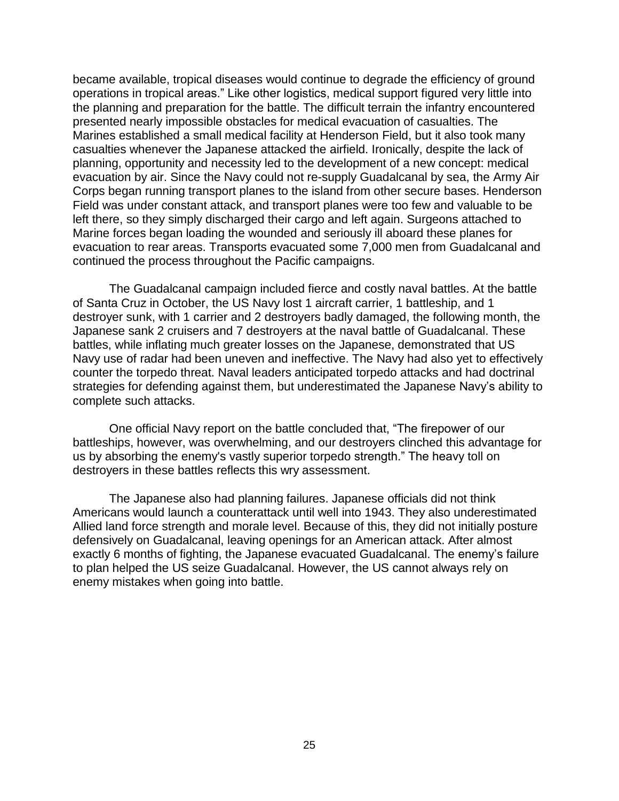became available, tropical diseases would continue to degrade the efficiency of ground operations in tropical areas." Like other logistics, medical support figured very little into the planning and preparation for the battle. The difficult terrain the infantry encountered presented nearly impossible obstacles for medical evacuation of casualties. The Marines established a small medical facility at Henderson Field, but it also took many casualties whenever the Japanese attacked the airfield. Ironically, despite the lack of planning, opportunity and necessity led to the development of a new concept: medical evacuation by air. Since the Navy could not re-supply Guadalcanal by sea, the Army Air Corps began running transport planes to the island from other secure bases. Henderson Field was under constant attack, and transport planes were too few and valuable to be left there, so they simply discharged their cargo and left again. Surgeons attached to Marine forces began loading the wounded and seriously ill aboard these planes for evacuation to rear areas. Transports evacuated some 7,000 men from Guadalcanal and continued the process throughout the Pacific campaigns.

The Guadalcanal campaign included fierce and costly naval battles. At the battle of Santa Cruz in October, the US Navy lost 1 aircraft carrier, 1 battleship, and 1 destroyer sunk, with 1 carrier and 2 destroyers badly damaged, the following month, the Japanese sank 2 cruisers and 7 destroyers at the naval battle of Guadalcanal. These battles, while inflating much greater losses on the Japanese, demonstrated that US Navy use of radar had been uneven and ineffective. The Navy had also yet to effectively counter the torpedo threat. Naval leaders anticipated torpedo attacks and had doctrinal strategies for defending against them, but underestimated the Japanese Navy's ability to complete such attacks.

One official Navy report on the battle concluded that, "The firepower of our battleships, however, was overwhelming, and our destroyers clinched this advantage for us by absorbing the enemy's vastly superior torpedo strength." The heavy toll on destroyers in these battles reflects this wry assessment.

The Japanese also had planning failures. Japanese officials did not think Americans would launch a counterattack until well into 1943. They also underestimated Allied land force strength and morale level. Because of this, they did not initially posture defensively on Guadalcanal, leaving openings for an American attack. After almost exactly 6 months of fighting, the Japanese evacuated Guadalcanal. The enemy's failure to plan helped the US seize Guadalcanal. However, the US cannot always rely on enemy mistakes when going into battle.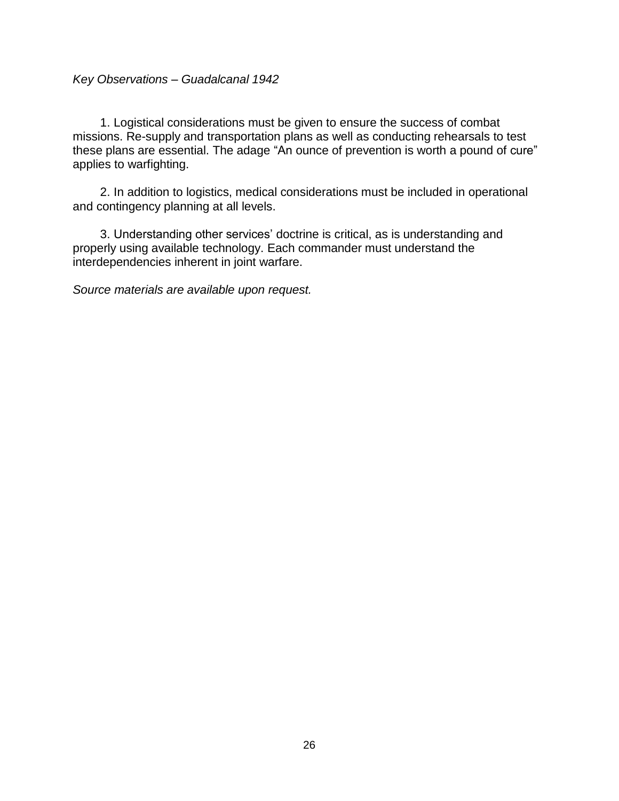### <span id="page-30-0"></span>*Key Observations – Guadalcanal 1942*

1. Logistical considerations must be given to ensure the success of combat missions. Re-supply and transportation plans as well as conducting rehearsals to test these plans are essential. The adage "An ounce of prevention is worth a pound of cure" applies to warfighting.

2. In addition to logistics, medical considerations must be included in operational and contingency planning at all levels.

3. Understanding other services' doctrine is critical, as is understanding and properly using available technology. Each commander must understand the interdependencies inherent in joint warfare.

*Source materials are available upon request.*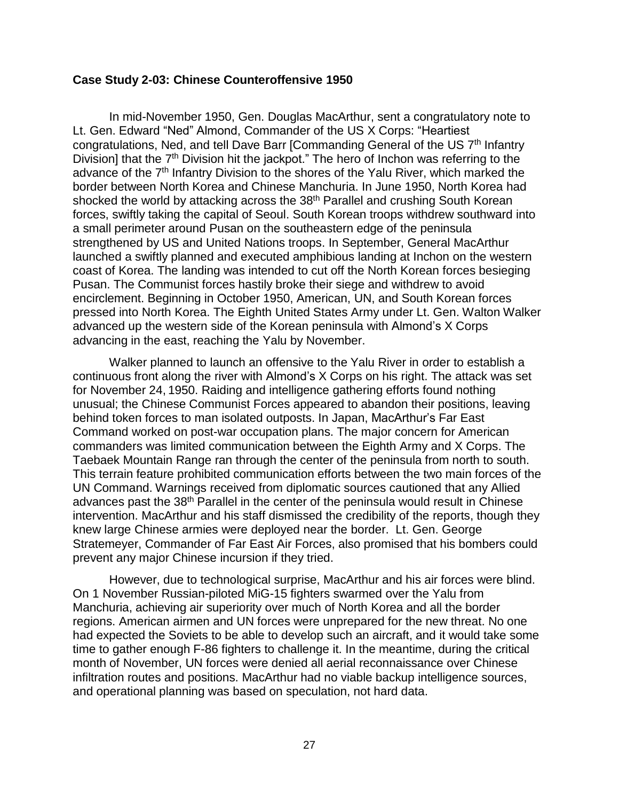#### <span id="page-31-0"></span>**Case Study 2-03: Chinese Counteroffensive 1950**

In mid-November 1950, Gen. Douglas MacArthur, sent a congratulatory note to Lt. Gen. Edward "Ned" Almond, Commander of the US X Corps: "Heartiest congratulations, Ned, and tell Dave Barr [Commanding General of the US 7<sup>th</sup> Infantry Division] that the 7<sup>th</sup> Division hit the jackpot." The hero of Inchon was referring to the advance of the 7<sup>th</sup> Infantry Division to the shores of the Yalu River, which marked the border between North Korea and Chinese Manchuria. In June 1950, North Korea had shocked the world by attacking across the 38<sup>th</sup> Parallel and crushing South Korean forces, swiftly taking the capital of Seoul. South Korean troops withdrew southward into a small perimeter around Pusan on the southeastern edge of the peninsula strengthened by US and United Nations troops. In September, General MacArthur launched a swiftly planned and executed amphibious landing at Inchon on the western coast of Korea. The landing was intended to cut off the North Korean forces besieging Pusan. The Communist forces hastily broke their siege and withdrew to avoid encirclement. Beginning in October 1950, American, UN, and South Korean forces pressed into North Korea. The Eighth United States Army under Lt. Gen. Walton Walker advanced up the western side of the Korean peninsula with Almond's X Corps advancing in the east, reaching the Yalu by November.

Walker planned to launch an offensive to the Yalu River in order to establish a continuous front along the river with Almond's X Corps on his right. The attack was set for November 24, 1950. Raiding and intelligence gathering efforts found nothing unusual; the Chinese Communist Forces appeared to abandon their positions, leaving behind token forces to man isolated outposts. In Japan, MacArthur's Far East Command worked on post-war occupation plans. The major concern for American commanders was limited communication between the Eighth Army and X Corps. The Taebaek Mountain Range ran through the center of the peninsula from north to south. This terrain feature prohibited communication efforts between the two main forces of the UN Command. Warnings received from diplomatic sources cautioned that any Allied advances past the 38<sup>th</sup> Parallel in the center of the peninsula would result in Chinese intervention. MacArthur and his staff dismissed the credibility of the reports, though they knew large Chinese armies were deployed near the border. Lt. Gen. George Stratemeyer, Commander of Far East Air Forces, also promised that his bombers could prevent any major Chinese incursion if they tried.

However, due to technological surprise, MacArthur and his air forces were blind. On 1 November Russian-piloted MiG-15 fighters swarmed over the Yalu from Manchuria, achieving air superiority over much of North Korea and all the border regions. American airmen and UN forces were unprepared for the new threat. No one had expected the Soviets to be able to develop such an aircraft, and it would take some time to gather enough F-86 fighters to challenge it. In the meantime, during the critical month of November, UN forces were denied all aerial reconnaissance over Chinese infiltration routes and positions. MacArthur had no viable backup intelligence sources, and operational planning was based on speculation, not hard data.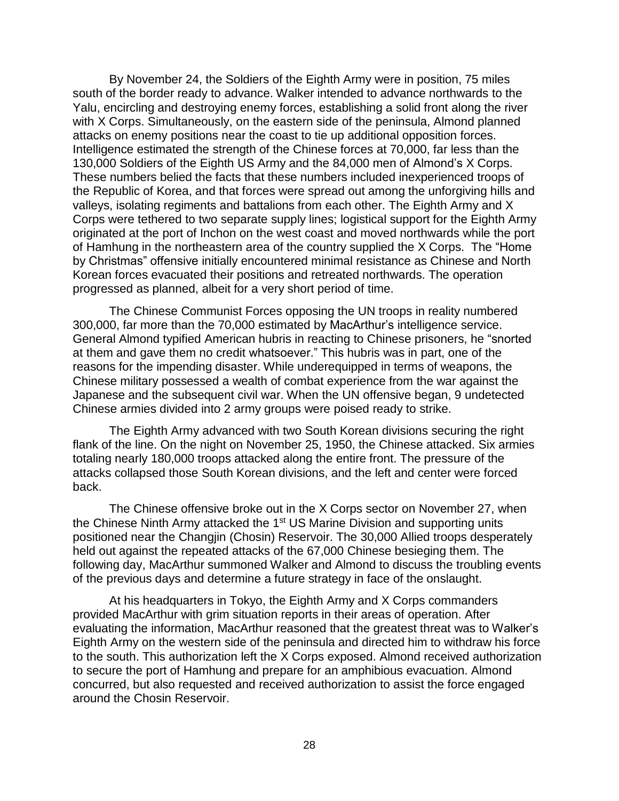By November 24, the Soldiers of the Eighth Army were in position, 75 miles south of the border ready to advance. Walker intended to advance northwards to the Yalu, encircling and destroying enemy forces, establishing a solid front along the river with X Corps. Simultaneously, on the eastern side of the peninsula, Almond planned attacks on enemy positions near the coast to tie up additional opposition forces. Intelligence estimated the strength of the Chinese forces at 70,000, far less than the 130,000 Soldiers of the Eighth US Army and the 84,000 men of Almond's X Corps. These numbers belied the facts that these numbers included inexperienced troops of the Republic of Korea, and that forces were spread out among the unforgiving hills and valleys, isolating regiments and battalions from each other. The Eighth Army and X Corps were tethered to two separate supply lines; logistical support for the Eighth Army originated at the port of Inchon on the west coast and moved northwards while the port of Hamhung in the northeastern area of the country supplied the X Corps. The "Home by Christmas" offensive initially encountered minimal resistance as Chinese and North Korean forces evacuated their positions and retreated northwards. The operation progressed as planned, albeit for a very short period of time.

The Chinese Communist Forces opposing the UN troops in reality numbered 300,000, far more than the 70,000 estimated by MacArthur's intelligence service. General Almond typified American hubris in reacting to Chinese prisoners, he "snorted at them and gave them no credit whatsoever." This hubris was in part, one of the reasons for the impending disaster. While underequipped in terms of weapons, the Chinese military possessed a wealth of combat experience from the war against the Japanese and the subsequent civil war. When the UN offensive began, 9 undetected Chinese armies divided into 2 army groups were poised ready to strike.

The Eighth Army advanced with two South Korean divisions securing the right flank of the line. On the night on November 25, 1950, the Chinese attacked. Six armies totaling nearly 180,000 troops attacked along the entire front. The pressure of the attacks collapsed those South Korean divisions, and the left and center were forced back.

The Chinese offensive broke out in the X Corps sector on November 27, when the Chinese Ninth Army attacked the 1<sup>st</sup> US Marine Division and supporting units positioned near the Changjin (Chosin) Reservoir. The 30,000 Allied troops desperately held out against the repeated attacks of the 67,000 Chinese besieging them. The following day, MacArthur summoned Walker and Almond to discuss the troubling events of the previous days and determine a future strategy in face of the onslaught.

At his headquarters in Tokyo, the Eighth Army and X Corps commanders provided MacArthur with grim situation reports in their areas of operation. After evaluating the information, MacArthur reasoned that the greatest threat was to Walker's Eighth Army on the western side of the peninsula and directed him to withdraw his force to the south. This authorization left the X Corps exposed. Almond received authorization to secure the port of Hamhung and prepare for an amphibious evacuation. Almond concurred, but also requested and received authorization to assist the force engaged around the Chosin Reservoir.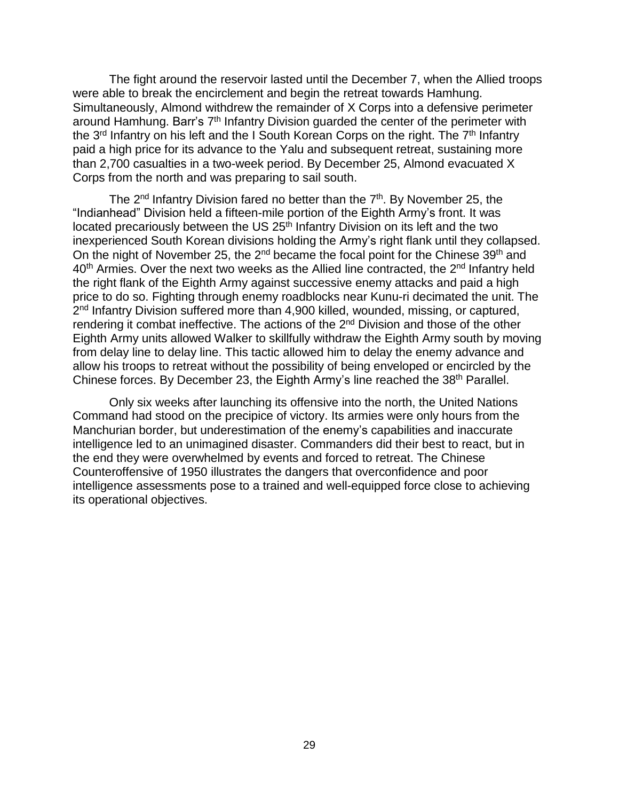The fight around the reservoir lasted until the December 7, when the Allied troops were able to break the encirclement and begin the retreat towards Hamhung. Simultaneously, Almond withdrew the remainder of X Corps into a defensive perimeter around Hamhung. Barr's 7<sup>th</sup> Infantry Division guarded the center of the perimeter with the 3<sup>rd</sup> Infantry on his left and the I South Korean Corps on the right. The 7<sup>th</sup> Infantry paid a high price for its advance to the Yalu and subsequent retreat, sustaining more than 2,700 casualties in a two-week period. By December 25, Almond evacuated X Corps from the north and was preparing to sail south.

The 2<sup>nd</sup> Infantry Division fared no better than the 7<sup>th</sup>. By November 25, the "Indianhead" Division held a fifteen-mile portion of the Eighth Army's front. It was located precariously between the US 25<sup>th</sup> Infantry Division on its left and the two inexperienced South Korean divisions holding the Army's right flank until they collapsed. On the night of November 25, the 2<sup>nd</sup> became the focal point for the Chinese 39<sup>th</sup> and 40<sup>th</sup> Armies. Over the next two weeks as the Allied line contracted, the 2<sup>nd</sup> Infantry held the right flank of the Eighth Army against successive enemy attacks and paid a high price to do so. Fighting through enemy roadblocks near Kunu-ri decimated the unit. The 2<sup>nd</sup> Infantry Division suffered more than 4,900 killed, wounded, missing, or captured, rendering it combat ineffective. The actions of the 2<sup>nd</sup> Division and those of the other Eighth Army units allowed Walker to skillfully withdraw the Eighth Army south by moving from delay line to delay line. This tactic allowed him to delay the enemy advance and allow his troops to retreat without the possibility of being enveloped or encircled by the Chinese forces. By December 23, the Eighth Army's line reached the 38<sup>th</sup> Parallel.

Only six weeks after launching its offensive into the north, the United Nations Command had stood on the precipice of victory. Its armies were only hours from the Manchurian border, but underestimation of the enemy's capabilities and inaccurate intelligence led to an unimagined disaster. Commanders did their best to react, but in the end they were overwhelmed by events and forced to retreat. The Chinese Counteroffensive of 1950 illustrates the dangers that overconfidence and poor intelligence assessments pose to a trained and well-equipped force close to achieving its operational objectives.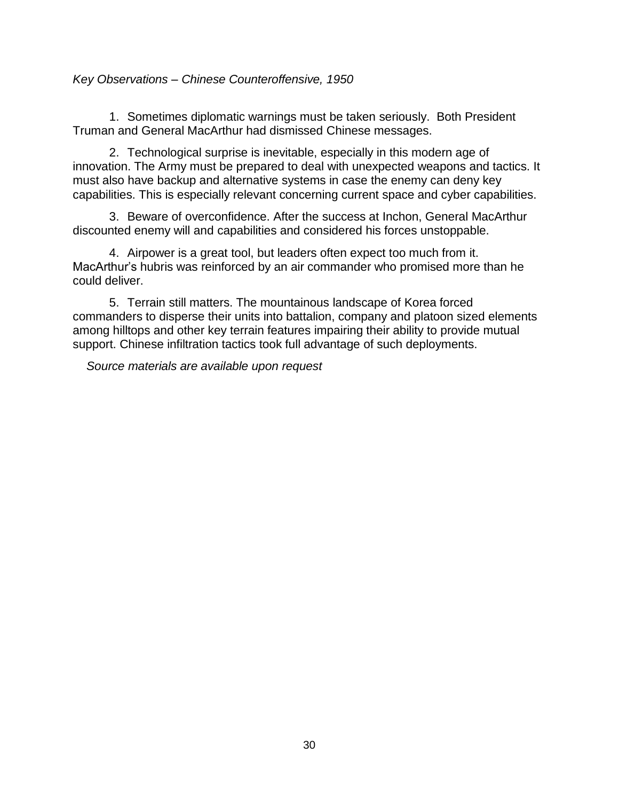# <span id="page-34-0"></span>*Key Observations – Chinese Counteroffensive, 1950*

1. Sometimes diplomatic warnings must be taken seriously. Both President Truman and General MacArthur had dismissed Chinese messages.

2. Technological surprise is inevitable, especially in this modern age of innovation. The Army must be prepared to deal with unexpected weapons and tactics. It must also have backup and alternative systems in case the enemy can deny key capabilities. This is especially relevant concerning current space and cyber capabilities.

3. Beware of overconfidence. After the success at Inchon, General MacArthur discounted enemy will and capabilities and considered his forces unstoppable.

4. Airpower is a great tool, but leaders often expect too much from it. MacArthur's hubris was reinforced by an air commander who promised more than he could deliver.

5. Terrain still matters. The mountainous landscape of Korea forced commanders to disperse their units into battalion, company and platoon sized elements among hilltops and other key terrain features impairing their ability to provide mutual support. Chinese infiltration tactics took full advantage of such deployments.

*Source materials are available upon request*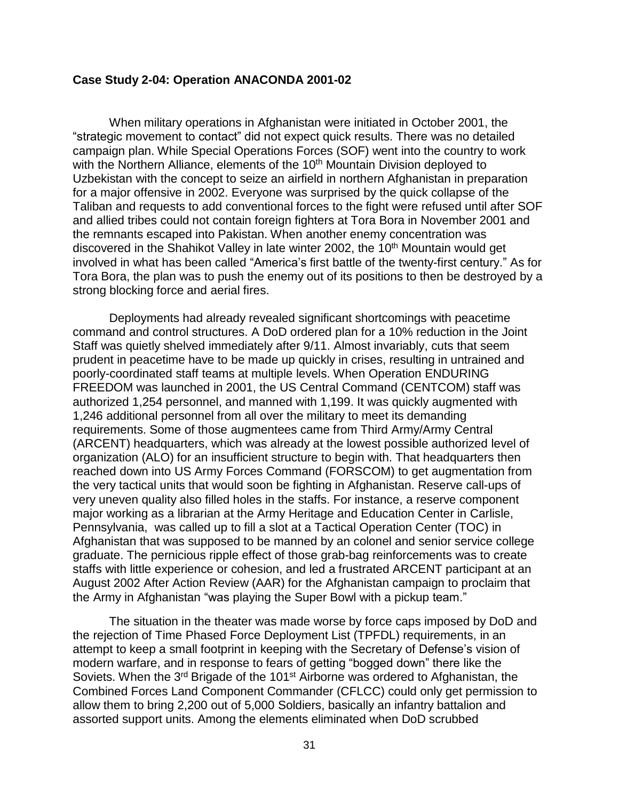#### <span id="page-35-0"></span>**Case Study 2-04: Operation ANACONDA 2001-02**

When military operations in Afghanistan were initiated in October 2001, the "strategic movement to contact" did not expect quick results. There was no detailed campaign plan. While Special Operations Forces (SOF) went into the country to work with the Northern Alliance, elements of the 10<sup>th</sup> Mountain Division deployed to Uzbekistan with the concept to seize an airfield in northern Afghanistan in preparation for a major offensive in 2002. Everyone was surprised by the quick collapse of the Taliban and requests to add conventional forces to the fight were refused until after SOF and allied tribes could not contain foreign fighters at Tora Bora in November 2001 and the remnants escaped into Pakistan. When another enemy concentration was discovered in the Shahikot Valley in late winter 2002, the  $10<sup>th</sup>$  Mountain would get involved in what has been called "America's first battle of the twenty-first century." As for Tora Bora, the plan was to push the enemy out of its positions to then be destroyed by a strong blocking force and aerial fires.

Deployments had already revealed significant shortcomings with peacetime command and control structures. A DoD ordered plan for a 10% reduction in the Joint Staff was quietly shelved immediately after 9/11. Almost invariably, cuts that seem prudent in peacetime have to be made up quickly in crises, resulting in untrained and poorly-coordinated staff teams at multiple levels. When Operation ENDURING FREEDOM was launched in 2001, the US Central Command (CENTCOM) staff was authorized 1,254 personnel, and manned with 1,199. It was quickly augmented with 1,246 additional personnel from all over the military to meet its demanding requirements. Some of those augmentees came from Third Army/Army Central (ARCENT) headquarters, which was already at the lowest possible authorized level of organization (ALO) for an insufficient structure to begin with. That headquarters then reached down into US Army Forces Command (FORSCOM) to get augmentation from the very tactical units that would soon be fighting in Afghanistan. Reserve call-ups of very uneven quality also filled holes in the staffs. For instance, a reserve component major working as a librarian at the Army Heritage and Education Center in Carlisle, Pennsylvania, was called up to fill a slot at a Tactical Operation Center (TOC) in Afghanistan that was supposed to be manned by an colonel and senior service college graduate. The pernicious ripple effect of those grab-bag reinforcements was to create staffs with little experience or cohesion, and led a frustrated ARCENT participant at an August 2002 After Action Review (AAR) for the Afghanistan campaign to proclaim that the Army in Afghanistan "was playing the Super Bowl with a pickup team."

The situation in the theater was made worse by force caps imposed by DoD and the rejection of Time Phased Force Deployment List (TPFDL) requirements, in an attempt to keep a small footprint in keeping with the Secretary of Defense's vision of modern warfare, and in response to fears of getting "bogged down" there like the Soviets. When the 3<sup>rd</sup> Brigade of the 101<sup>st</sup> Airborne was ordered to Afghanistan, the Combined Forces Land Component Commander (CFLCC) could only get permission to allow them to bring 2,200 out of 5,000 Soldiers, basically an infantry battalion and assorted support units. Among the elements eliminated when DoD scrubbed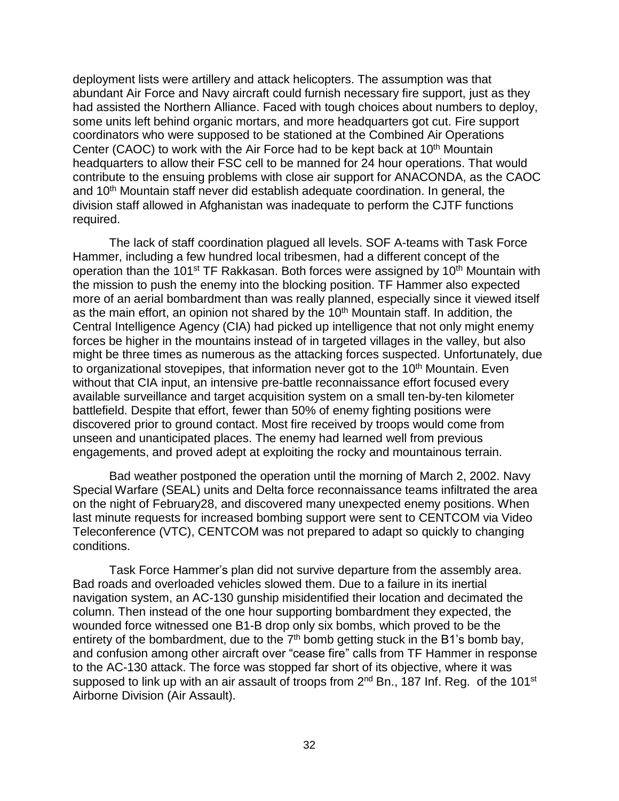deployment lists were artillery and attack helicopters. The assumption was that abundant Air Force and Navy aircraft could furnish necessary fire support, just as they had assisted the Northern Alliance. Faced with tough choices about numbers to deploy, some units left behind organic mortars, and more headquarters got cut. Fire support coordinators who were supposed to be stationed at the Combined Air Operations Center (CAOC) to work with the Air Force had to be kept back at 10<sup>th</sup> Mountain headquarters to allow their FSC cell to be manned for 24 hour operations. That would contribute to the ensuing problems with close air support for ANACONDA, as the CAOC and 10<sup>th</sup> Mountain staff never did establish adequate coordination. In general, the division staff allowed in Afghanistan was inadequate to perform the CJTF functions required.

The lack of staff coordination plagued all levels. SOF A-teams with Task Force Hammer, including a few hundred local tribesmen, had a different concept of the operation than the 101<sup>st</sup> TF Rakkasan. Both forces were assigned by 10<sup>th</sup> Mountain with the mission to push the enemy into the blocking position. TF Hammer also expected more of an aerial bombardment than was really planned, especially since it viewed itself as the main effort, an opinion not shared by the 10<sup>th</sup> Mountain staff. In addition, the Central Intelligence Agency (CIA) had picked up intelligence that not only might enemy forces be higher in the mountains instead of in targeted villages in the valley, but also might be three times as numerous as the attacking forces suspected. Unfortunately, due to organizational stovepipes, that information never got to the  $10<sup>th</sup>$  Mountain. Even without that CIA input, an intensive pre-battle reconnaissance effort focused every available surveillance and target acquisition system on a small ten-by-ten kilometer battlefield. Despite that effort, fewer than 50% of enemy fighting positions were discovered prior to ground contact. Most fire received by troops would come from unseen and unanticipated places. The enemy had learned well from previous engagements, and proved adept at exploiting the rocky and mountainous terrain.

Bad weather postponed the operation until the morning of March 2, 2002. Navy Special Warfare (SEAL) units and Delta force reconnaissance teams infiltrated the area on the night of February28, and discovered many unexpected enemy positions. When last minute requests for increased bombing support were sent to CENTCOM via Video Teleconference (VTC), CENTCOM was not prepared to adapt so quickly to changing conditions.

Task Force Hammer's plan did not survive departure from the assembly area. Bad roads and overloaded vehicles slowed them. Due to a failure in its inertial navigation system, an AC-130 gunship misidentified their location and decimated the column. Then instead of the one hour supporting bombardment they expected, the wounded force witnessed one B1-B drop only six bombs, which proved to be the entirety of the bombardment, due to the  $7<sup>th</sup>$  bomb getting stuck in the B1's bomb bay, and confusion among other aircraft over "cease fire" calls from TF Hammer in response to the AC-130 attack. The force was stopped far short of its objective, where it was supposed to link up with an air assault of troops from 2<sup>nd</sup> Bn., 187 Inf. Reg. of the 101<sup>st</sup> Airborne Division (Air Assault).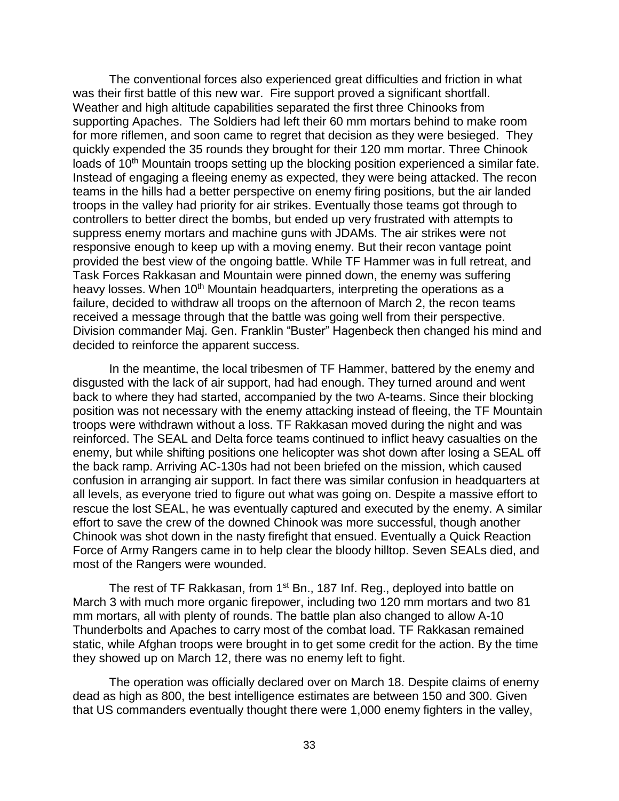The conventional forces also experienced great difficulties and friction in what was their first battle of this new war. Fire support proved a significant shortfall. Weather and high altitude capabilities separated the first three Chinooks from supporting Apaches. The Soldiers had left their 60 mm mortars behind to make room for more riflemen, and soon came to regret that decision as they were besieged. They quickly expended the 35 rounds they brought for their 120 mm mortar. Three Chinook loads of 10<sup>th</sup> Mountain troops setting up the blocking position experienced a similar fate. Instead of engaging a fleeing enemy as expected, they were being attacked. The recon teams in the hills had a better perspective on enemy firing positions, but the air landed troops in the valley had priority for air strikes. Eventually those teams got through to controllers to better direct the bombs, but ended up very frustrated with attempts to suppress enemy mortars and machine guns with JDAMs. The air strikes were not responsive enough to keep up with a moving enemy. But their recon vantage point provided the best view of the ongoing battle. While TF Hammer was in full retreat, and Task Forces Rakkasan and Mountain were pinned down, the enemy was suffering heavy losses. When 10<sup>th</sup> Mountain headquarters, interpreting the operations as a failure, decided to withdraw all troops on the afternoon of March 2, the recon teams received a message through that the battle was going well from their perspective. Division commander Maj. Gen. Franklin "Buster" Hagenbeck then changed his mind and decided to reinforce the apparent success.

In the meantime, the local tribesmen of TF Hammer, battered by the enemy and disgusted with the lack of air support, had had enough. They turned around and went back to where they had started, accompanied by the two A-teams. Since their blocking position was not necessary with the enemy attacking instead of fleeing, the TF Mountain troops were withdrawn without a loss. TF Rakkasan moved during the night and was reinforced. The SEAL and Delta force teams continued to inflict heavy casualties on the enemy, but while shifting positions one helicopter was shot down after losing a SEAL off the back ramp. Arriving AC-130s had not been briefed on the mission, which caused confusion in arranging air support. In fact there was similar confusion in headquarters at all levels, as everyone tried to figure out what was going on. Despite a massive effort to rescue the lost SEAL, he was eventually captured and executed by the enemy. A similar effort to save the crew of the downed Chinook was more successful, though another Chinook was shot down in the nasty firefight that ensued. Eventually a Quick Reaction Force of Army Rangers came in to help clear the bloody hilltop. Seven SEALs died, and most of the Rangers were wounded.

The rest of TF Rakkasan, from 1<sup>st</sup> Bn., 187 Inf. Reg., deployed into battle on March 3 with much more organic firepower, including two 120 mm mortars and two 81 mm mortars, all with plenty of rounds. The battle plan also changed to allow A-10 Thunderbolts and Apaches to carry most of the combat load. TF Rakkasan remained static, while Afghan troops were brought in to get some credit for the action. By the time they showed up on March 12, there was no enemy left to fight.

The operation was officially declared over on March 18. Despite claims of enemy dead as high as 800, the best intelligence estimates are between 150 and 300. Given that US commanders eventually thought there were 1,000 enemy fighters in the valley,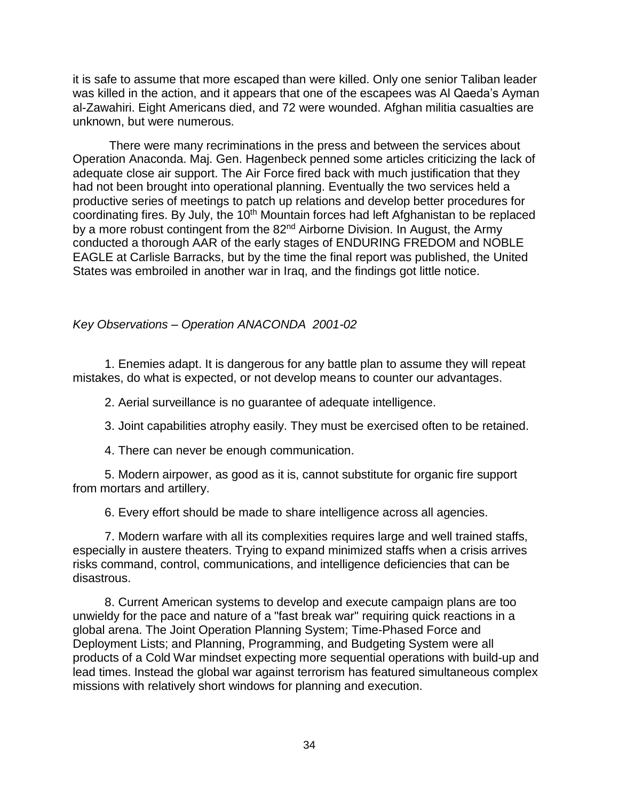it is safe to assume that more escaped than were killed. Only one senior Taliban leader was killed in the action, and it appears that one of the escapees was Al Qaeda's Ayman al-Zawahiri. Eight Americans died, and 72 were wounded. Afghan militia casualties are unknown, but were numerous.

There were many recriminations in the press and between the services about Operation Anaconda. Maj. Gen. Hagenbeck penned some articles criticizing the lack of adequate close air support. The Air Force fired back with much justification that they had not been brought into operational planning. Eventually the two services held a productive series of meetings to patch up relations and develop better procedures for coordinating fires. By July, the 10<sup>th</sup> Mountain forces had left Afghanistan to be replaced by a more robust contingent from the 82<sup>nd</sup> Airborne Division. In August, the Army conducted a thorough AAR of the early stages of ENDURING FREDOM and NOBLE EAGLE at Carlisle Barracks, but by the time the final report was published, the United States was embroiled in another war in Iraq, and the findings got little notice.

# <span id="page-38-0"></span>*Key Observations – Operation ANACONDA 2001-02*

1. Enemies adapt. It is dangerous for any battle plan to assume they will repeat mistakes, do what is expected, or not develop means to counter our advantages.

2. Aerial surveillance is no guarantee of adequate intelligence.

3. Joint capabilities atrophy easily. They must be exercised often to be retained.

4. There can never be enough communication.

5. Modern airpower, as good as it is, cannot substitute for organic fire support from mortars and artillery.

6. Every effort should be made to share intelligence across all agencies.

7. Modern warfare with all its complexities requires large and well trained staffs, especially in austere theaters. Trying to expand minimized staffs when a crisis arrives risks command, control, communications, and intelligence deficiencies that can be disastrous.

8. Current American systems to develop and execute campaign plans are too unwieldy for the pace and nature of a "fast break war" requiring quick reactions in a global arena. The Joint Operation Planning System; Time-Phased Force and Deployment Lists; and Planning, Programming, and Budgeting System were all products of a Cold War mindset expecting more sequential operations with build-up and lead times. Instead the global war against terrorism has featured simultaneous complex missions with relatively short windows for planning and execution.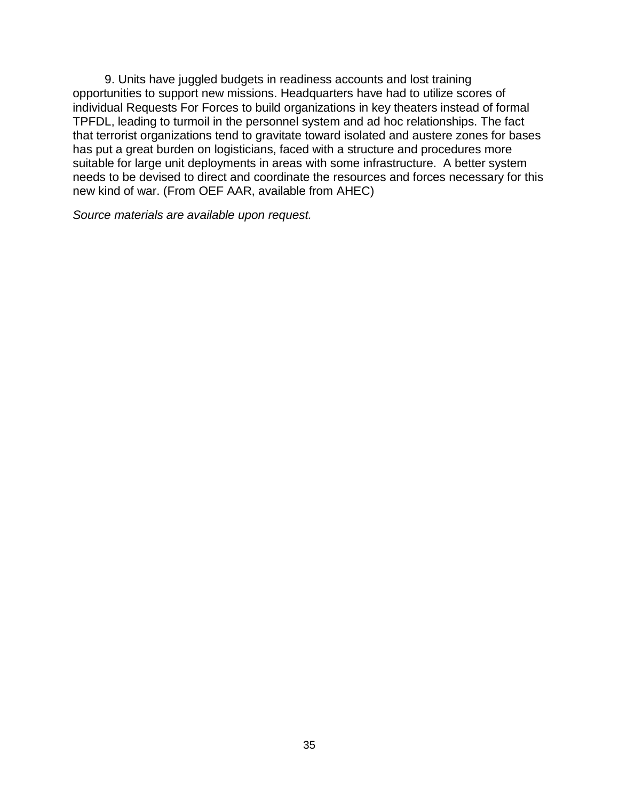9. Units have juggled budgets in readiness accounts and lost training opportunities to support new missions. Headquarters have had to utilize scores of individual Requests For Forces to build organizations in key theaters instead of formal TPFDL, leading to turmoil in the personnel system and ad hoc relationships. The fact that terrorist organizations tend to gravitate toward isolated and austere zones for bases has put a great burden on logisticians, faced with a structure and procedures more suitable for large unit deployments in areas with some infrastructure. A better system needs to be devised to direct and coordinate the resources and forces necessary for this new kind of war. (From OEF AAR, available from AHEC)

*Source materials are available upon request.*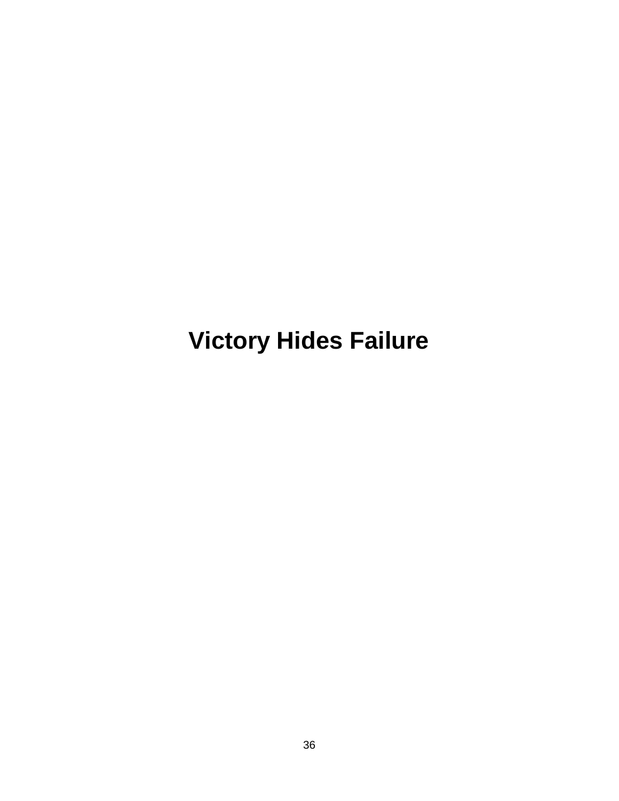# <span id="page-40-0"></span>**Victory Hides Failure**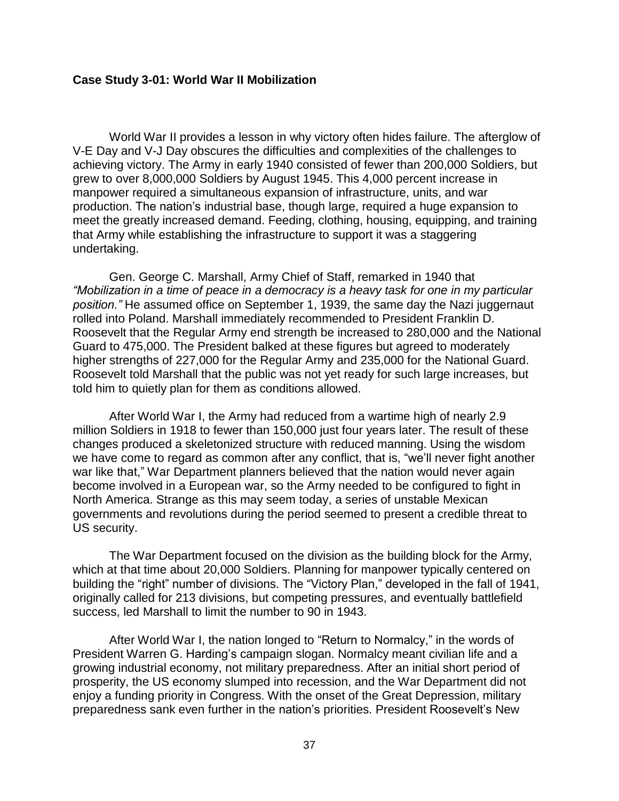#### <span id="page-41-0"></span>**Case Study 3-01: World War II Mobilization**

World War II provides a lesson in why victory often hides failure. The afterglow of V-E Day and V-J Day obscures the difficulties and complexities of the challenges to achieving victory. The Army in early 1940 consisted of fewer than 200,000 Soldiers, but grew to over 8,000,000 Soldiers by August 1945. This 4,000 percent increase in manpower required a simultaneous expansion of infrastructure, units, and war production. The nation's industrial base, though large, required a huge expansion to meet the greatly increased demand. Feeding, clothing, housing, equipping, and training that Army while establishing the infrastructure to support it was a staggering undertaking.

Gen. George C. Marshall, Army Chief of Staff, remarked in 1940 that *"Mobilization in a time of peace in a democracy is a heavy task for one in my particular position."* He assumed office on September 1, 1939, the same day the Nazi juggernaut rolled into Poland. Marshall immediately recommended to President Franklin D. Roosevelt that the Regular Army end strength be increased to 280,000 and the National Guard to 475,000. The President balked at these figures but agreed to moderately higher strengths of 227,000 for the Regular Army and 235,000 for the National Guard. Roosevelt told Marshall that the public was not yet ready for such large increases, but told him to quietly plan for them as conditions allowed.

After World War I, the Army had reduced from a wartime high of nearly 2.9 million Soldiers in 1918 to fewer than 150,000 just four years later. The result of these changes produced a skeletonized structure with reduced manning. Using the wisdom we have come to regard as common after any conflict, that is, "we'll never fight another war like that," War Department planners believed that the nation would never again become involved in a European war, so the Army needed to be configured to fight in North America. Strange as this may seem today, a series of unstable Mexican governments and revolutions during the period seemed to present a credible threat to US security.

The War Department focused on the division as the building block for the Army, which at that time about 20,000 Soldiers. Planning for manpower typically centered on building the "right" number of divisions. The "Victory Plan," developed in the fall of 1941, originally called for 213 divisions, but competing pressures, and eventually battlefield success, led Marshall to limit the number to 90 in 1943.

After World War I, the nation longed to "Return to Normalcy," in the words of President Warren G. Harding's campaign slogan. Normalcy meant civilian life and a growing industrial economy, not military preparedness. After an initial short period of prosperity, the US economy slumped into recession, and the War Department did not enjoy a funding priority in Congress. With the onset of the Great Depression, military preparedness sank even further in the nation's priorities. President Roosevelt's New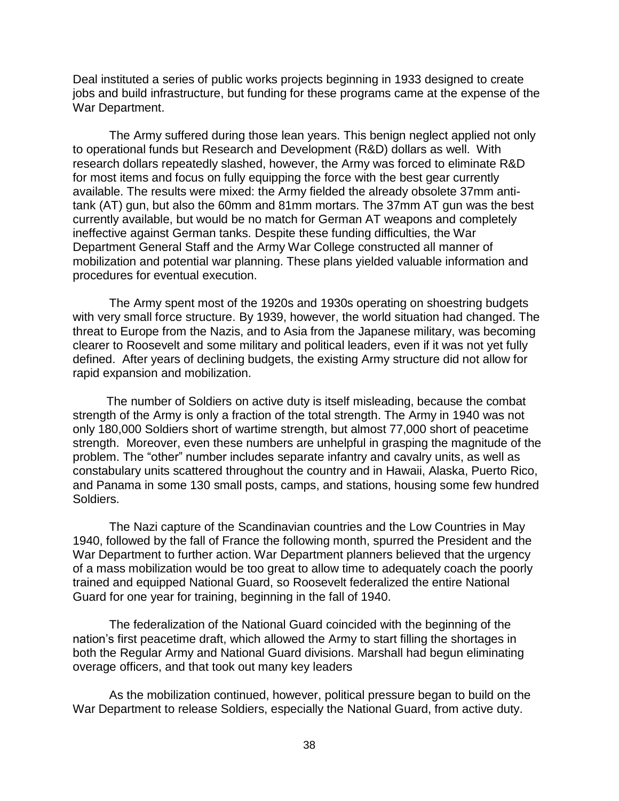Deal instituted a series of public works projects beginning in 1933 designed to create jobs and build infrastructure, but funding for these programs came at the expense of the War Department.

The Army suffered during those lean years. This benign neglect applied not only to operational funds but Research and Development (R&D) dollars as well. With research dollars repeatedly slashed, however, the Army was forced to eliminate R&D for most items and focus on fully equipping the force with the best gear currently available. The results were mixed: the Army fielded the already obsolete 37mm antitank (AT) gun, but also the 60mm and 81mm mortars. The 37mm AT gun was the best currently available, but would be no match for German AT weapons and completely ineffective against German tanks. Despite these funding difficulties, the War Department General Staff and the Army War College constructed all manner of mobilization and potential war planning. These plans yielded valuable information and procedures for eventual execution.

The Army spent most of the 1920s and 1930s operating on shoestring budgets with very small force structure. By 1939, however, the world situation had changed. The threat to Europe from the Nazis, and to Asia from the Japanese military, was becoming clearer to Roosevelt and some military and political leaders, even if it was not yet fully defined. After years of declining budgets, the existing Army structure did not allow for rapid expansion and mobilization.

The number of Soldiers on active duty is itself misleading, because the combat strength of the Army is only a fraction of the total strength. The Army in 1940 was not only 180,000 Soldiers short of wartime strength, but almost 77,000 short of peacetime strength. Moreover, even these numbers are unhelpful in grasping the magnitude of the problem. The "other" number includes separate infantry and cavalry units, as well as constabulary units scattered throughout the country and in Hawaii, Alaska, Puerto Rico, and Panama in some 130 small posts, camps, and stations, housing some few hundred Soldiers.

The Nazi capture of the Scandinavian countries and the Low Countries in May 1940, followed by the fall of France the following month, spurred the President and the War Department to further action. War Department planners believed that the urgency of a mass mobilization would be too great to allow time to adequately coach the poorly trained and equipped National Guard, so Roosevelt federalized the entire National Guard for one year for training, beginning in the fall of 1940.

The federalization of the National Guard coincided with the beginning of the nation's first peacetime draft, which allowed the Army to start filling the shortages in both the Regular Army and National Guard divisions. Marshall had begun eliminating overage officers, and that took out many key leaders

As the mobilization continued, however, political pressure began to build on the War Department to release Soldiers, especially the National Guard, from active duty.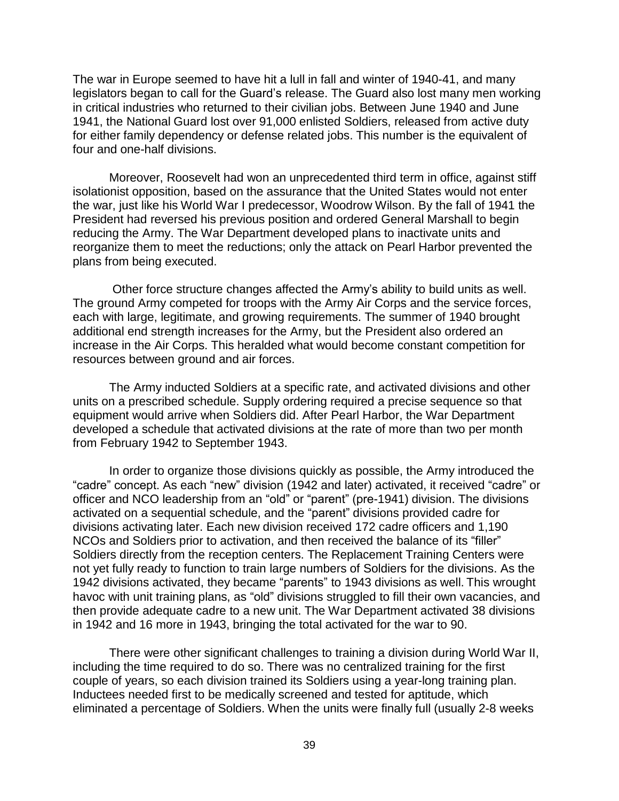The war in Europe seemed to have hit a lull in fall and winter of 1940-41, and many legislators began to call for the Guard's release. The Guard also lost many men working in critical industries who returned to their civilian jobs. Between June 1940 and June 1941, the National Guard lost over 91,000 enlisted Soldiers, released from active duty for either family dependency or defense related jobs. This number is the equivalent of four and one-half divisions.

Moreover, Roosevelt had won an unprecedented third term in office, against stiff isolationist opposition, based on the assurance that the United States would not enter the war, just like his World War I predecessor, Woodrow Wilson. By the fall of 1941 the President had reversed his previous position and ordered General Marshall to begin reducing the Army. The War Department developed plans to inactivate units and reorganize them to meet the reductions; only the attack on Pearl Harbor prevented the plans from being executed.

Other force structure changes affected the Army's ability to build units as well. The ground Army competed for troops with the Army Air Corps and the service forces, each with large, legitimate, and growing requirements. The summer of 1940 brought additional end strength increases for the Army, but the President also ordered an increase in the Air Corps. This heralded what would become constant competition for resources between ground and air forces.

The Army inducted Soldiers at a specific rate, and activated divisions and other units on a prescribed schedule. Supply ordering required a precise sequence so that equipment would arrive when Soldiers did. After Pearl Harbor, the War Department developed a schedule that activated divisions at the rate of more than two per month from February 1942 to September 1943.

In order to organize those divisions quickly as possible, the Army introduced the "cadre" concept. As each "new" division (1942 and later) activated, it received "cadre" or officer and NCO leadership from an "old" or "parent" (pre-1941) division. The divisions activated on a sequential schedule, and the "parent" divisions provided cadre for divisions activating later. Each new division received 172 cadre officers and 1,190 NCOs and Soldiers prior to activation, and then received the balance of its "filler" Soldiers directly from the reception centers. The Replacement Training Centers were not yet fully ready to function to train large numbers of Soldiers for the divisions. As the 1942 divisions activated, they became "parents" to 1943 divisions as well. This wrought havoc with unit training plans, as "old" divisions struggled to fill their own vacancies, and then provide adequate cadre to a new unit. The War Department activated 38 divisions in 1942 and 16 more in 1943, bringing the total activated for the war to 90.

There were other significant challenges to training a division during World War II, including the time required to do so. There was no centralized training for the first couple of years, so each division trained its Soldiers using a year-long training plan. Inductees needed first to be medically screened and tested for aptitude, which eliminated a percentage of Soldiers. When the units were finally full (usually 2-8 weeks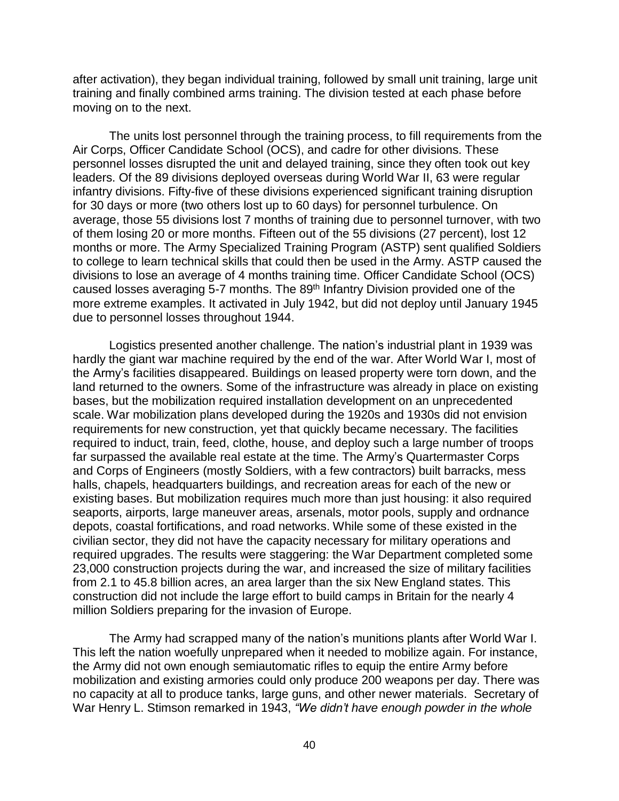after activation), they began individual training, followed by small unit training, large unit training and finally combined arms training. The division tested at each phase before moving on to the next.

The units lost personnel through the training process, to fill requirements from the Air Corps, Officer Candidate School (OCS), and cadre for other divisions. These personnel losses disrupted the unit and delayed training, since they often took out key leaders. Of the 89 divisions deployed overseas during World War II, 63 were regular infantry divisions. Fifty-five of these divisions experienced significant training disruption for 30 days or more (two others lost up to 60 days) for personnel turbulence. On average, those 55 divisions lost 7 months of training due to personnel turnover, with two of them losing 20 or more months. Fifteen out of the 55 divisions (27 percent), lost 12 months or more. The Army Specialized Training Program (ASTP) sent qualified Soldiers to college to learn technical skills that could then be used in the Army. ASTP caused the divisions to lose an average of 4 months training time. Officer Candidate School (OCS) caused losses averaging 5-7 months. The 89<sup>th</sup> Infantry Division provided one of the more extreme examples. It activated in July 1942, but did not deploy until January 1945 due to personnel losses throughout 1944.

Logistics presented another challenge. The nation's industrial plant in 1939 was hardly the giant war machine required by the end of the war. After World War I, most of the Army's facilities disappeared. Buildings on leased property were torn down, and the land returned to the owners. Some of the infrastructure was already in place on existing bases, but the mobilization required installation development on an unprecedented scale. War mobilization plans developed during the 1920s and 1930s did not envision requirements for new construction, yet that quickly became necessary. The facilities required to induct, train, feed, clothe, house, and deploy such a large number of troops far surpassed the available real estate at the time. The Army's Quartermaster Corps and Corps of Engineers (mostly Soldiers, with a few contractors) built barracks, mess halls, chapels, headquarters buildings, and recreation areas for each of the new or existing bases. But mobilization requires much more than just housing: it also required seaports, airports, large maneuver areas, arsenals, motor pools, supply and ordnance depots, coastal fortifications, and road networks. While some of these existed in the civilian sector, they did not have the capacity necessary for military operations and required upgrades. The results were staggering: the War Department completed some 23,000 construction projects during the war, and increased the size of military facilities from 2.1 to 45.8 billion acres, an area larger than the six New England states. This construction did not include the large effort to build camps in Britain for the nearly 4 million Soldiers preparing for the invasion of Europe.

The Army had scrapped many of the nation's munitions plants after World War I. This left the nation woefully unprepared when it needed to mobilize again. For instance, the Army did not own enough semiautomatic rifles to equip the entire Army before mobilization and existing armories could only produce 200 weapons per day. There was no capacity at all to produce tanks, large guns, and other newer materials. Secretary of War Henry L. Stimson remarked in 1943, *"We didn't have enough powder in the whole*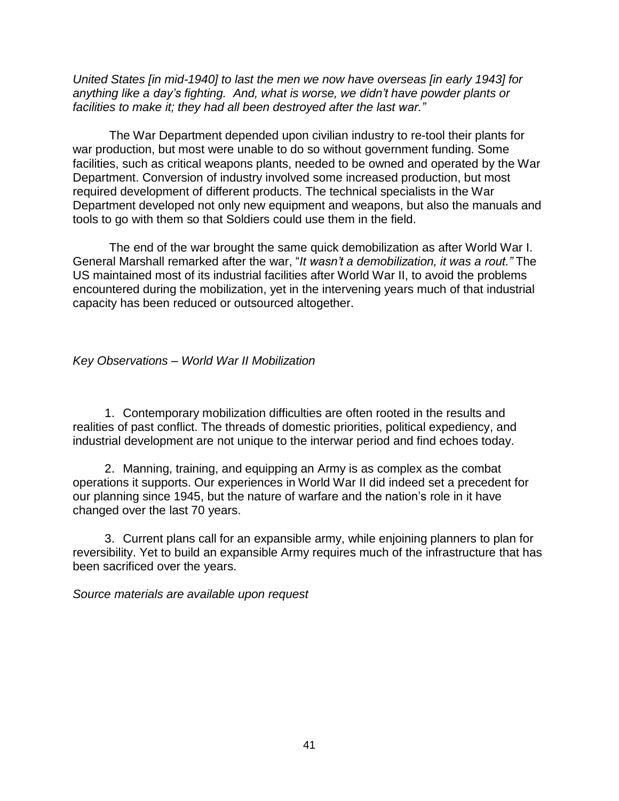*United States [in mid-1940] to last the men we now have overseas [in early 1943] for anything like a day's fighting. And, what is worse, we didn't have powder plants or facilities to make it; they had all been destroyed after the last war."*

The War Department depended upon civilian industry to re-tool their plants for war production, but most were unable to do so without government funding. Some facilities, such as critical weapons plants, needed to be owned and operated by the War Department. Conversion of industry involved some increased production, but most required development of different products. The technical specialists in the War Department developed not only new equipment and weapons, but also the manuals and tools to go with them so that Soldiers could use them in the field.

The end of the war brought the same quick demobilization as after World War I. General Marshall remarked after the war, "*It wasn't a demobilization, it was a rout."* The US maintained most of its industrial facilities after World War II, to avoid the problems encountered during the mobilization, yet in the intervening years much of that industrial capacity has been reduced or outsourced altogether.

# <span id="page-45-0"></span>*Key Observations – World War II Mobilization*

1. Contemporary mobilization difficulties are often rooted in the results and realities of past conflict. The threads of domestic priorities, political expediency, and industrial development are not unique to the interwar period and find echoes today.

2. Manning, training, and equipping an Army is as complex as the combat operations it supports. Our experiences in World War II did indeed set a precedent for our planning since 1945, but the nature of warfare and the nation's role in it have changed over the last 70 years.

3. Current plans call for an expansible army, while enjoining planners to plan for reversibility. Yet to build an expansible Army requires much of the infrastructure that has been sacrificed over the years.

*Source materials are available upon request*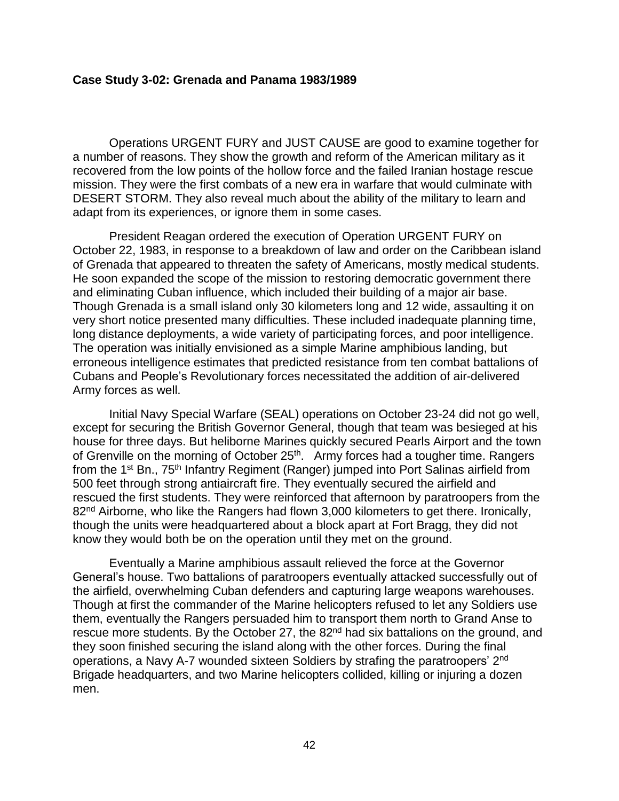#### <span id="page-46-0"></span>**Case Study 3-02: Grenada and Panama 1983/1989**

Operations URGENT FURY and JUST CAUSE are good to examine together for a number of reasons. They show the growth and reform of the American military as it recovered from the low points of the hollow force and the failed Iranian hostage rescue mission. They were the first combats of a new era in warfare that would culminate with DESERT STORM. They also reveal much about the ability of the military to learn and adapt from its experiences, or ignore them in some cases.

President Reagan ordered the execution of Operation URGENT FURY on October 22, 1983, in response to a breakdown of law and order on the Caribbean island of Grenada that appeared to threaten the safety of Americans, mostly medical students. He soon expanded the scope of the mission to restoring democratic government there and eliminating Cuban influence, which included their building of a major air base. Though Grenada is a small island only 30 kilometers long and 12 wide, assaulting it on very short notice presented many difficulties. These included inadequate planning time, long distance deployments, a wide variety of participating forces, and poor intelligence. The operation was initially envisioned as a simple Marine amphibious landing, but erroneous intelligence estimates that predicted resistance from ten combat battalions of Cubans and People's Revolutionary forces necessitated the addition of air-delivered Army forces as well.

Initial Navy Special Warfare (SEAL) operations on October 23-24 did not go well, except for securing the British Governor General, though that team was besieged at his house for three days. But heliborne Marines quickly secured Pearls Airport and the town of Grenville on the morning of October 25<sup>th</sup>. Army forces had a tougher time. Rangers from the 1<sup>st</sup> Bn., 75<sup>th</sup> Infantry Regiment (Ranger) jumped into Port Salinas airfield from 500 feet through strong antiaircraft fire. They eventually secured the airfield and rescued the first students. They were reinforced that afternoon by paratroopers from the 82<sup>nd</sup> Airborne, who like the Rangers had flown 3,000 kilometers to get there. Ironically, though the units were headquartered about a block apart at Fort Bragg, they did not know they would both be on the operation until they met on the ground.

Eventually a Marine amphibious assault relieved the force at the Governor General's house. Two battalions of paratroopers eventually attacked successfully out of the airfield, overwhelming Cuban defenders and capturing large weapons warehouses. Though at first the commander of the Marine helicopters refused to let any Soldiers use them, eventually the Rangers persuaded him to transport them north to Grand Anse to rescue more students. By the October 27, the 82<sup>nd</sup> had six battalions on the ground, and they soon finished securing the island along with the other forces. During the final operations, a Navy A-7 wounded sixteen Soldiers by strafing the paratroopers' 2<sup>nd</sup> Brigade headquarters, and two Marine helicopters collided, killing or injuring a dozen men.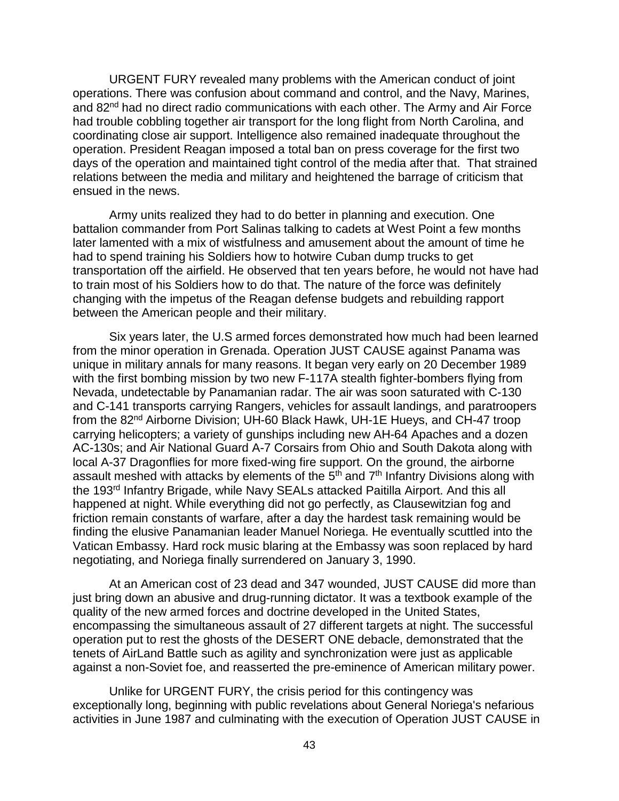URGENT FURY revealed many problems with the American conduct of joint operations. There was confusion about command and control, and the Navy, Marines, and 82<sup>nd</sup> had no direct radio communications with each other. The Army and Air Force had trouble cobbling together air transport for the long flight from North Carolina, and coordinating close air support. Intelligence also remained inadequate throughout the operation. President Reagan imposed a total ban on press coverage for the first two days of the operation and maintained tight control of the media after that. That strained relations between the media and military and heightened the barrage of criticism that ensued in the news.

Army units realized they had to do better in planning and execution. One battalion commander from Port Salinas talking to cadets at West Point a few months later lamented with a mix of wistfulness and amusement about the amount of time he had to spend training his Soldiers how to hotwire Cuban dump trucks to get transportation off the airfield. He observed that ten years before, he would not have had to train most of his Soldiers how to do that. The nature of the force was definitely changing with the impetus of the Reagan defense budgets and rebuilding rapport between the American people and their military.

Six years later, the U.S armed forces demonstrated how much had been learned from the minor operation in Grenada. Operation JUST CAUSE against Panama was unique in military annals for many reasons. It began very early on 20 December 1989 with the first bombing mission by two new F-117A stealth fighter-bombers flying from Nevada, undetectable by Panamanian radar. The air was soon saturated with C-130 and C-141 transports carrying Rangers, vehicles for assault landings, and paratroopers from the 82nd Airborne Division; UH-60 Black Hawk, UH-1E Hueys, and CH-47 troop carrying helicopters; a variety of gunships including new AH-64 Apaches and a dozen AC-130s; and Air National Guard A-7 Corsairs from Ohio and South Dakota along with local A-37 Dragonflies for more fixed-wing fire support. On the ground, the airborne assault meshed with attacks by elements of the 5<sup>th</sup> and 7<sup>th</sup> Infantry Divisions along with the 193<sup>rd</sup> Infantry Brigade, while Navy SEALs attacked Paitilla Airport. And this all happened at night. While everything did not go perfectly, as Clausewitzian fog and friction remain constants of warfare, after a day the hardest task remaining would be finding the elusive Panamanian leader Manuel Noriega. He eventually scuttled into the Vatican Embassy. Hard rock music blaring at the Embassy was soon replaced by hard negotiating, and Noriega finally surrendered on January 3, 1990.

At an American cost of 23 dead and 347 wounded, JUST CAUSE did more than just bring down an abusive and drug-running dictator. It was a textbook example of the quality of the new armed forces and doctrine developed in the United States, encompassing the simultaneous assault of 27 different targets at night. The successful operation put to rest the ghosts of the DESERT ONE debacle, demonstrated that the tenets of AirLand Battle such as agility and synchronization were just as applicable against a non-Soviet foe, and reasserted the pre-eminence of American military power.

Unlike for URGENT FURY, the crisis period for this contingency was exceptionally long, beginning with public revelations about General Noriega's nefarious activities in June 1987 and culminating with the execution of Operation JUST CAUSE in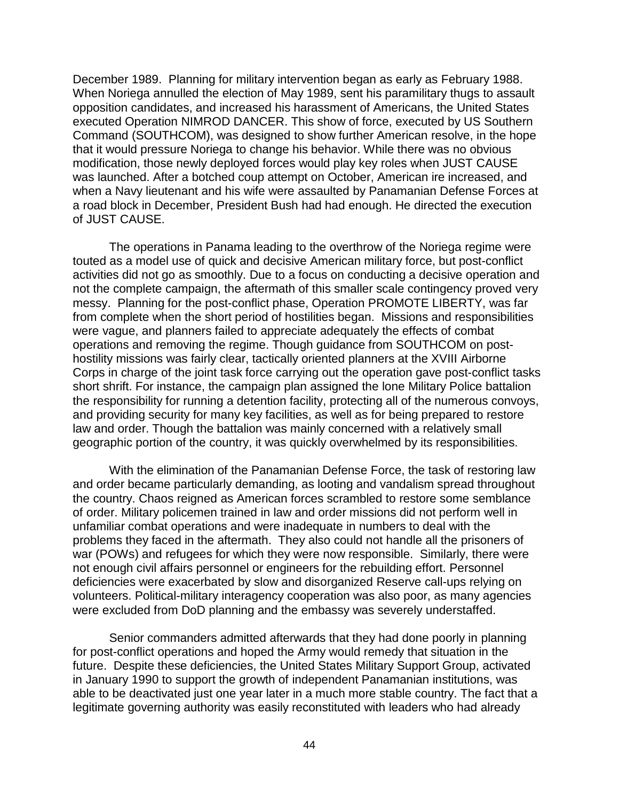December 1989. Planning for military intervention began as early as February 1988. When Noriega annulled the election of May 1989, sent his paramilitary thugs to assault opposition candidates, and increased his harassment of Americans, the United States executed Operation NIMROD DANCER. This show of force, executed by US Southern Command (SOUTHCOM), was designed to show further American resolve, in the hope that it would pressure Noriega to change his behavior. While there was no obvious modification, those newly deployed forces would play key roles when JUST CAUSE was launched. After a botched coup attempt on October, American ire increased, and when a Navy lieutenant and his wife were assaulted by Panamanian Defense Forces at a road block in December, President Bush had had enough. He directed the execution of JUST CAUSE.

The operations in Panama leading to the overthrow of the Noriega regime were touted as a model use of quick and decisive American military force, but post-conflict activities did not go as smoothly. Due to a focus on conducting a decisive operation and not the complete campaign, the aftermath of this smaller scale contingency proved very messy. Planning for the post-conflict phase, Operation PROMOTE LIBERTY, was far from complete when the short period of hostilities began. Missions and responsibilities were vague, and planners failed to appreciate adequately the effects of combat operations and removing the regime. Though guidance from SOUTHCOM on posthostility missions was fairly clear, tactically oriented planners at the XVIII Airborne Corps in charge of the joint task force carrying out the operation gave post-conflict tasks short shrift. For instance, the campaign plan assigned the lone Military Police battalion the responsibility for running a detention facility, protecting all of the numerous convoys, and providing security for many key facilities, as well as for being prepared to restore law and order. Though the battalion was mainly concerned with a relatively small geographic portion of the country, it was quickly overwhelmed by its responsibilities.

With the elimination of the Panamanian Defense Force, the task of restoring law and order became particularly demanding, as looting and vandalism spread throughout the country. Chaos reigned as American forces scrambled to restore some semblance of order. Military policemen trained in law and order missions did not perform well in unfamiliar combat operations and were inadequate in numbers to deal with the problems they faced in the aftermath. They also could not handle all the prisoners of war (POWs) and refugees for which they were now responsible. Similarly, there were not enough civil affairs personnel or engineers for the rebuilding effort. Personnel deficiencies were exacerbated by slow and disorganized Reserve call-ups relying on volunteers. Political-military interagency cooperation was also poor, as many agencies were excluded from DoD planning and the embassy was severely understaffed.

Senior commanders admitted afterwards that they had done poorly in planning for post-conflict operations and hoped the Army would remedy that situation in the future. Despite these deficiencies, the United States Military Support Group, activated in January 1990 to support the growth of independent Panamanian institutions, was able to be deactivated just one year later in a much more stable country. The fact that a legitimate governing authority was easily reconstituted with leaders who had already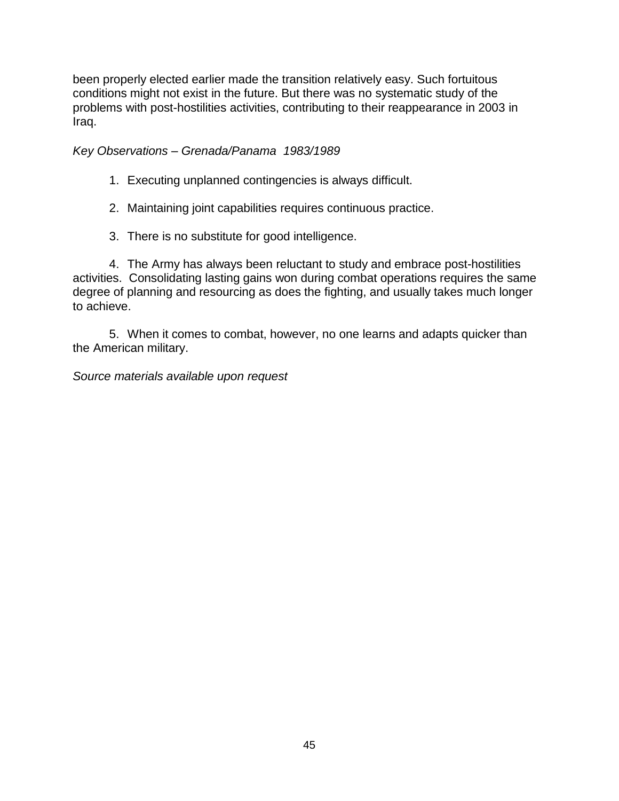been properly elected earlier made the transition relatively easy. Such fortuitous conditions might not exist in the future. But there was no systematic study of the problems with post-hostilities activities, contributing to their reappearance in 2003 in Iraq.

<span id="page-49-0"></span>*Key Observations – Grenada/Panama 1983/1989*

- 1. Executing unplanned contingencies is always difficult.
- 2. Maintaining joint capabilities requires continuous practice.
- 3. There is no substitute for good intelligence.

4. The Army has always been reluctant to study and embrace post-hostilities activities. Consolidating lasting gains won during combat operations requires the same degree of planning and resourcing as does the fighting, and usually takes much longer to achieve.

5. When it comes to combat, however, no one learns and adapts quicker than the American military.

*Source materials available upon request*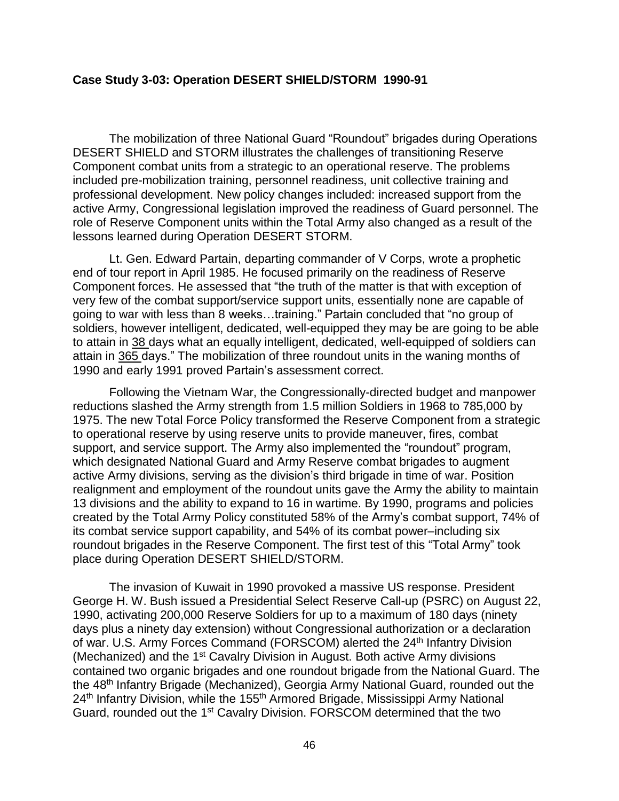#### <span id="page-50-0"></span>**Case Study 3-03: Operation DESERT SHIELD/STORM 1990-91**

The mobilization of three National Guard "Roundout" brigades during Operations DESERT SHIELD and STORM illustrates the challenges of transitioning Reserve Component combat units from a strategic to an operational reserve. The problems included pre-mobilization training, personnel readiness, unit collective training and professional development. New policy changes included: increased support from the active Army, Congressional legislation improved the readiness of Guard personnel. The role of Reserve Component units within the Total Army also changed as a result of the lessons learned during Operation DESERT STORM.

Lt. Gen. Edward Partain, departing commander of V Corps, wrote a prophetic end of tour report in April 1985. He focused primarily on the readiness of Reserve Component forces. He assessed that "the truth of the matter is that with exception of very few of the combat support/service support units, essentially none are capable of going to war with less than 8 weeks…training." Partain concluded that "no group of soldiers, however intelligent, dedicated, well-equipped they may be are going to be able to attain in 38 days what an equally intelligent, dedicated, well-equipped of soldiers can attain in 365 days." The mobilization of three roundout units in the waning months of 1990 and early 1991 proved Partain's assessment correct.

Following the Vietnam War, the Congressionally-directed budget and manpower reductions slashed the Army strength from 1.5 million Soldiers in 1968 to 785,000 by 1975. The new Total Force Policy transformed the Reserve Component from a strategic to operational reserve by using reserve units to provide maneuver, fires, combat support, and service support. The Army also implemented the "roundout" program, which designated National Guard and Army Reserve combat brigades to augment active Army divisions, serving as the division's third brigade in time of war. Position realignment and employment of the roundout units gave the Army the ability to maintain 13 divisions and the ability to expand to 16 in wartime. By 1990, programs and policies created by the Total Army Policy constituted 58% of the Army's combat support, 74% of its combat service support capability, and 54% of its combat power–including six roundout brigades in the Reserve Component. The first test of this "Total Army" took place during Operation DESERT SHIELD/STORM.

The invasion of Kuwait in 1990 provoked a massive US response. President George H. W. Bush issued a Presidential Select Reserve Call-up (PSRC) on August 22, 1990, activating 200,000 Reserve Soldiers for up to a maximum of 180 days (ninety days plus a ninety day extension) without Congressional authorization or a declaration of war. U.S. Army Forces Command (FORSCOM) alerted the 24<sup>th</sup> Infantry Division (Mechanized) and the 1<sup>st</sup> Cavalry Division in August. Both active Army divisions contained two organic brigades and one roundout brigade from the National Guard. The the 48th Infantry Brigade (Mechanized), Georgia Army National Guard, rounded out the 24<sup>th</sup> Infantry Division, while the 155<sup>th</sup> Armored Brigade, Mississippi Army National Guard, rounded out the 1<sup>st</sup> Cavalry Division. FORSCOM determined that the two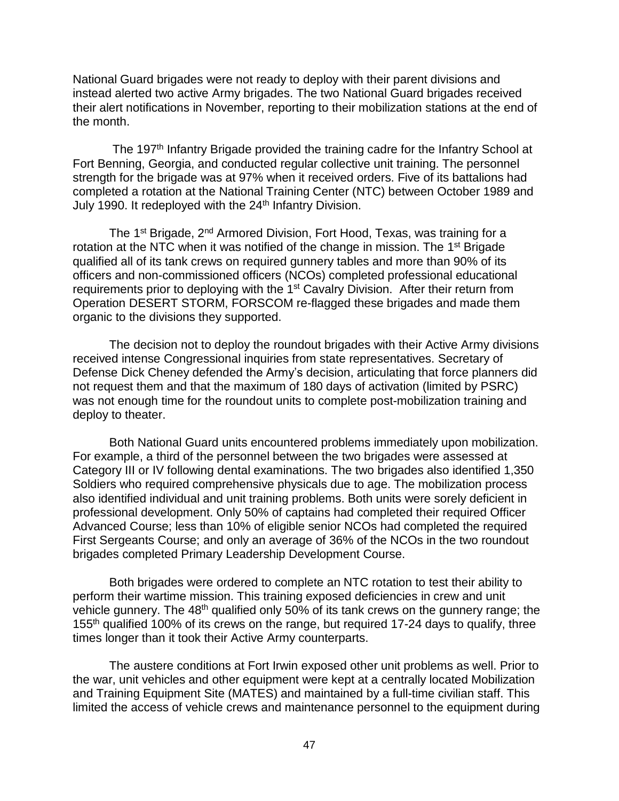National Guard brigades were not ready to deploy with their parent divisions and instead alerted two active Army brigades. The two National Guard brigades received their alert notifications in November, reporting to their mobilization stations at the end of the month.

The 197<sup>th</sup> Infantry Brigade provided the training cadre for the Infantry School at Fort Benning, Georgia, and conducted regular collective unit training. The personnel strength for the brigade was at 97% when it received orders. Five of its battalions had completed a rotation at the National Training Center (NTC) between October 1989 and July 1990. It redeployed with the 24<sup>th</sup> Infantry Division.

The 1<sup>st</sup> Brigade, 2<sup>nd</sup> Armored Division, Fort Hood, Texas, was training for a rotation at the NTC when it was notified of the change in mission. The 1<sup>st</sup> Brigade qualified all of its tank crews on required gunnery tables and more than 90% of its officers and non-commissioned officers (NCOs) completed professional educational requirements prior to deploying with the 1<sup>st</sup> Cavalry Division. After their return from Operation DESERT STORM, FORSCOM re-flagged these brigades and made them organic to the divisions they supported.

The decision not to deploy the roundout brigades with their Active Army divisions received intense Congressional inquiries from state representatives. Secretary of Defense Dick Cheney defended the Army's decision, articulating that force planners did not request them and that the maximum of 180 days of activation (limited by PSRC) was not enough time for the roundout units to complete post-mobilization training and deploy to theater.

Both National Guard units encountered problems immediately upon mobilization. For example, a third of the personnel between the two brigades were assessed at Category III or IV following dental examinations. The two brigades also identified 1,350 Soldiers who required comprehensive physicals due to age. The mobilization process also identified individual and unit training problems. Both units were sorely deficient in professional development. Only 50% of captains had completed their required Officer Advanced Course; less than 10% of eligible senior NCOs had completed the required First Sergeants Course; and only an average of 36% of the NCOs in the two roundout brigades completed Primary Leadership Development Course.

Both brigades were ordered to complete an NTC rotation to test their ability to perform their wartime mission. This training exposed deficiencies in crew and unit vehicle gunnery. The 48<sup>th</sup> qualified only 50% of its tank crews on the gunnery range; the 155<sup>th</sup> qualified 100% of its crews on the range, but required 17-24 days to qualify, three times longer than it took their Active Army counterparts.

The austere conditions at Fort Irwin exposed other unit problems as well. Prior to the war, unit vehicles and other equipment were kept at a centrally located Mobilization and Training Equipment Site (MATES) and maintained by a full-time civilian staff. This limited the access of vehicle crews and maintenance personnel to the equipment during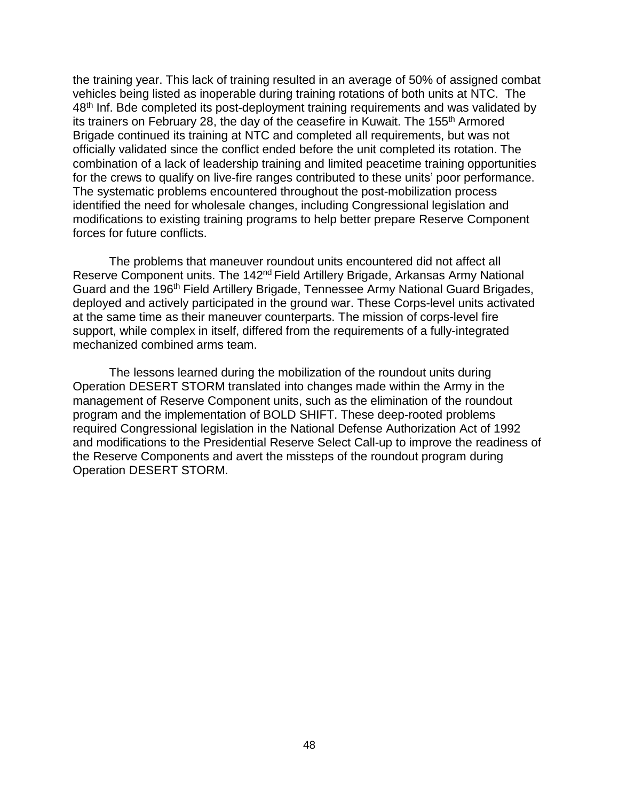the training year. This lack of training resulted in an average of 50% of assigned combat vehicles being listed as inoperable during training rotations of both units at NTC. The 48<sup>th</sup> Inf. Bde completed its post-deployment training requirements and was validated by its trainers on February 28, the day of the ceasefire in Kuwait. The 155<sup>th</sup> Armored Brigade continued its training at NTC and completed all requirements, but was not officially validated since the conflict ended before the unit completed its rotation. The combination of a lack of leadership training and limited peacetime training opportunities for the crews to qualify on live-fire ranges contributed to these units' poor performance. The systematic problems encountered throughout the post-mobilization process identified the need for wholesale changes, including Congressional legislation and modifications to existing training programs to help better prepare Reserve Component forces for future conflicts.

The problems that maneuver roundout units encountered did not affect all Reserve Component units. The 142<sup>nd</sup> Field Artillery Brigade, Arkansas Army National Guard and the 196th Field Artillery Brigade, Tennessee Army National Guard Brigades, deployed and actively participated in the ground war. These Corps-level units activated at the same time as their maneuver counterparts. The mission of corps-level fire support, while complex in itself, differed from the requirements of a fully-integrated mechanized combined arms team.

The lessons learned during the mobilization of the roundout units during Operation DESERT STORM translated into changes made within the Army in the management of Reserve Component units, such as the elimination of the roundout program and the implementation of BOLD SHIFT. These deep-rooted problems required Congressional legislation in the National Defense Authorization Act of 1992 and modifications to the Presidential Reserve Select Call-up to improve the readiness of the Reserve Components and avert the missteps of the roundout program during Operation DESERT STORM.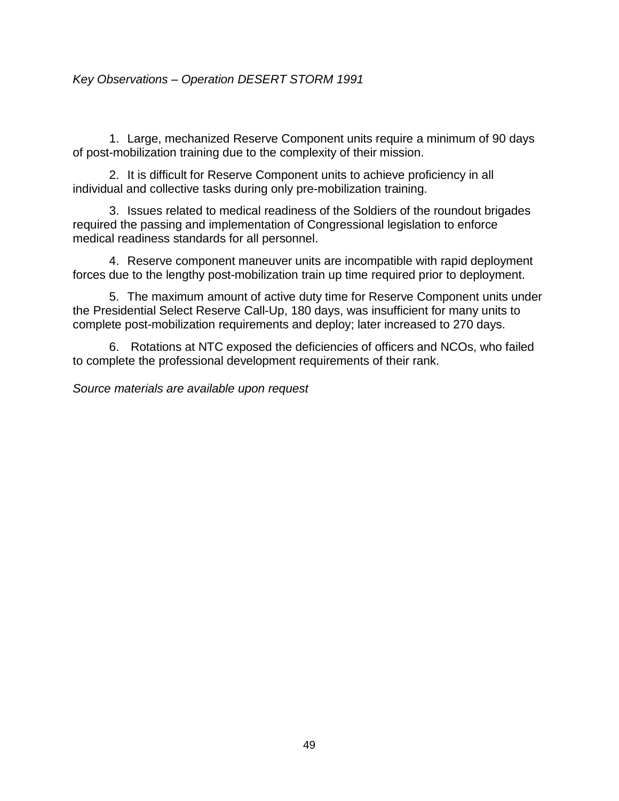# <span id="page-53-0"></span>*Key Observations – Operation DESERT STORM 1991*

1. Large, mechanized Reserve Component units require a minimum of 90 days of post-mobilization training due to the complexity of their mission.

2. It is difficult for Reserve Component units to achieve proficiency in all individual and collective tasks during only pre-mobilization training.

3. Issues related to medical readiness of the Soldiers of the roundout brigades required the passing and implementation of Congressional legislation to enforce medical readiness standards for all personnel.

4. Reserve component maneuver units are incompatible with rapid deployment forces due to the lengthy post-mobilization train up time required prior to deployment.

5. The maximum amount of active duty time for Reserve Component units under the Presidential Select Reserve Call-Up, 180 days, was insufficient for many units to complete post-mobilization requirements and deploy; later increased to 270 days.

6. Rotations at NTC exposed the deficiencies of officers and NCOs, who failed to complete the professional development requirements of their rank.

*Source materials are available upon request*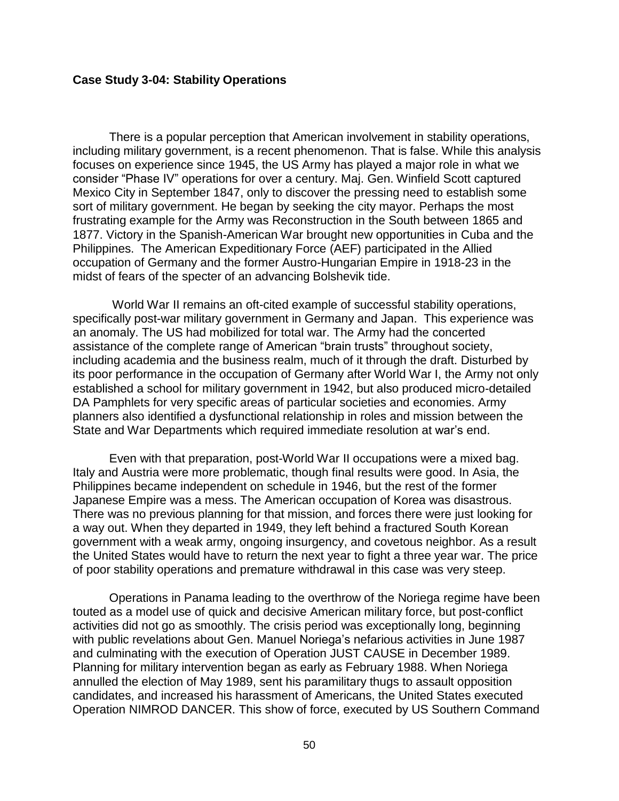#### <span id="page-54-0"></span>**Case Study 3-04: Stability Operations**

There is a popular perception that American involvement in stability operations, including military government, is a recent phenomenon. That is false. While this analysis focuses on experience since 1945, the US Army has played a major role in what we consider "Phase IV" operations for over a century. Maj. Gen. Winfield Scott captured Mexico City in September 1847, only to discover the pressing need to establish some sort of military government. He began by seeking the city mayor. Perhaps the most frustrating example for the Army was Reconstruction in the South between 1865 and 1877. Victory in the Spanish-American War brought new opportunities in Cuba and the Philippines. The American Expeditionary Force (AEF) participated in the Allied occupation of Germany and the former Austro-Hungarian Empire in 1918-23 in the midst of fears of the specter of an advancing Bolshevik tide.

World War II remains an oft-cited example of successful stability operations, specifically post-war military government in Germany and Japan. This experience was an anomaly. The US had mobilized for total war. The Army had the concerted assistance of the complete range of American "brain trusts" throughout society, including academia and the business realm, much of it through the draft. Disturbed by its poor performance in the occupation of Germany after World War I, the Army not only established a school for military government in 1942, but also produced micro-detailed DA Pamphlets for very specific areas of particular societies and economies. Army planners also identified a dysfunctional relationship in roles and mission between the State and War Departments which required immediate resolution at war's end.

Even with that preparation, post-World War II occupations were a mixed bag. Italy and Austria were more problematic, though final results were good. In Asia, the Philippines became independent on schedule in 1946, but the rest of the former Japanese Empire was a mess. The American occupation of Korea was disastrous. There was no previous planning for that mission, and forces there were just looking for a way out. When they departed in 1949, they left behind a fractured South Korean government with a weak army, ongoing insurgency, and covetous neighbor. As a result the United States would have to return the next year to fight a three year war. The price of poor stability operations and premature withdrawal in this case was very steep.

Operations in Panama leading to the overthrow of the Noriega regime have been touted as a model use of quick and decisive American military force, but post-conflict activities did not go as smoothly. The crisis period was exceptionally long, beginning with public revelations about Gen. Manuel Noriega's nefarious activities in June 1987 and culminating with the execution of Operation JUST CAUSE in December 1989. Planning for military intervention began as early as February 1988. When Noriega annulled the election of May 1989, sent his paramilitary thugs to assault opposition candidates, and increased his harassment of Americans, the United States executed Operation NIMROD DANCER. This show of force, executed by US Southern Command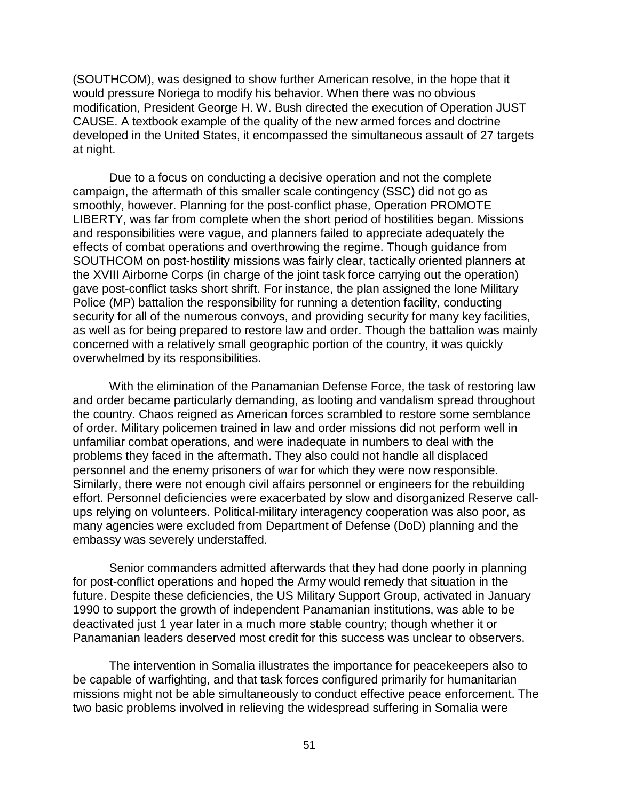(SOUTHCOM), was designed to show further American resolve, in the hope that it would pressure Noriega to modify his behavior. When there was no obvious modification, President George H. W. Bush directed the execution of Operation JUST CAUSE. A textbook example of the quality of the new armed forces and doctrine developed in the United States, it encompassed the simultaneous assault of 27 targets at night.

Due to a focus on conducting a decisive operation and not the complete campaign, the aftermath of this smaller scale contingency (SSC) did not go as smoothly, however. Planning for the post-conflict phase, Operation PROMOTE LIBERTY, was far from complete when the short period of hostilities began. Missions and responsibilities were vague, and planners failed to appreciate adequately the effects of combat operations and overthrowing the regime. Though guidance from SOUTHCOM on post-hostility missions was fairly clear, tactically oriented planners at the XVIII Airborne Corps (in charge of the joint task force carrying out the operation) gave post-conflict tasks short shrift. For instance, the plan assigned the lone Military Police (MP) battalion the responsibility for running a detention facility, conducting security for all of the numerous convoys, and providing security for many key facilities, as well as for being prepared to restore law and order. Though the battalion was mainly concerned with a relatively small geographic portion of the country, it was quickly overwhelmed by its responsibilities.

With the elimination of the Panamanian Defense Force, the task of restoring law and order became particularly demanding, as looting and vandalism spread throughout the country. Chaos reigned as American forces scrambled to restore some semblance of order. Military policemen trained in law and order missions did not perform well in unfamiliar combat operations, and were inadequate in numbers to deal with the problems they faced in the aftermath. They also could not handle all displaced personnel and the enemy prisoners of war for which they were now responsible. Similarly, there were not enough civil affairs personnel or engineers for the rebuilding effort. Personnel deficiencies were exacerbated by slow and disorganized Reserve callups relying on volunteers. Political-military interagency cooperation was also poor, as many agencies were excluded from Department of Defense (DoD) planning and the embassy was severely understaffed.

Senior commanders admitted afterwards that they had done poorly in planning for post-conflict operations and hoped the Army would remedy that situation in the future. Despite these deficiencies, the US Military Support Group, activated in January 1990 to support the growth of independent Panamanian institutions, was able to be deactivated just 1 year later in a much more stable country; though whether it or Panamanian leaders deserved most credit for this success was unclear to observers.

The intervention in Somalia illustrates the importance for peacekeepers also to be capable of warfighting, and that task forces configured primarily for humanitarian missions might not be able simultaneously to conduct effective peace enforcement. The two basic problems involved in relieving the widespread suffering in Somalia were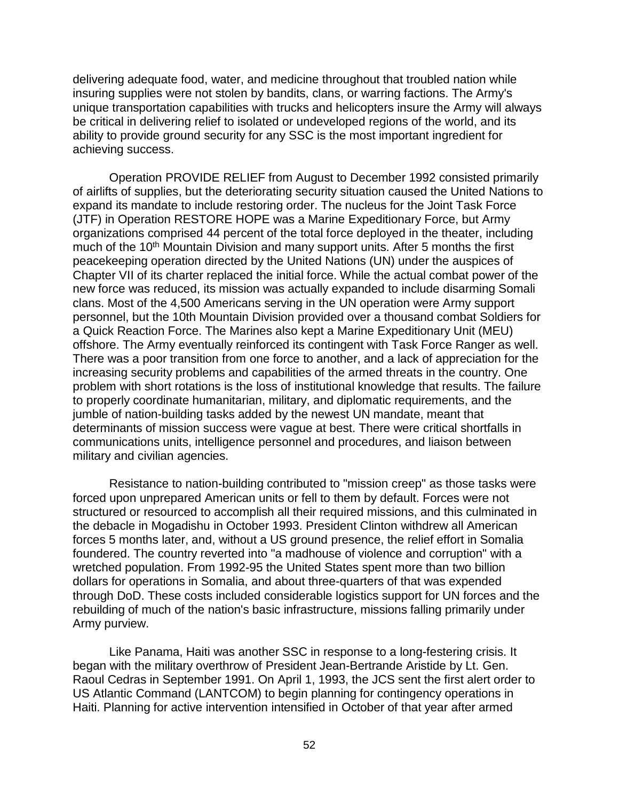delivering adequate food, water, and medicine throughout that troubled nation while insuring supplies were not stolen by bandits, clans, or warring factions. The Army's unique transportation capabilities with trucks and helicopters insure the Army will always be critical in delivering relief to isolated or undeveloped regions of the world, and its ability to provide ground security for any SSC is the most important ingredient for achieving success.

Operation PROVIDE RELIEF from August to December 1992 consisted primarily of airlifts of supplies, but the deteriorating security situation caused the United Nations to expand its mandate to include restoring order. The nucleus for the Joint Task Force (JTF) in Operation RESTORE HOPE was a Marine Expeditionary Force, but Army organizations comprised 44 percent of the total force deployed in the theater, including much of the 10<sup>th</sup> Mountain Division and many support units. After 5 months the first peacekeeping operation directed by the United Nations (UN) under the auspices of Chapter VII of its charter replaced the initial force. While the actual combat power of the new force was reduced, its mission was actually expanded to include disarming Somali clans. Most of the 4,500 Americans serving in the UN operation were Army support personnel, but the 10th Mountain Division provided over a thousand combat Soldiers for a Quick Reaction Force. The Marines also kept a Marine Expeditionary Unit (MEU) offshore. The Army eventually reinforced its contingent with Task Force Ranger as well. There was a poor transition from one force to another, and a lack of appreciation for the increasing security problems and capabilities of the armed threats in the country. One problem with short rotations is the loss of institutional knowledge that results. The failure to properly coordinate humanitarian, military, and diplomatic requirements, and the jumble of nation-building tasks added by the newest UN mandate, meant that determinants of mission success were vague at best. There were critical shortfalls in communications units, intelligence personnel and procedures, and liaison between military and civilian agencies.

Resistance to nation-building contributed to "mission creep" as those tasks were forced upon unprepared American units or fell to them by default. Forces were not structured or resourced to accomplish all their required missions, and this culminated in the debacle in Mogadishu in October 1993. President Clinton withdrew all American forces 5 months later, and, without a US ground presence, the relief effort in Somalia foundered. The country reverted into "a madhouse of violence and corruption" with a wretched population. From 1992-95 the United States spent more than two billion dollars for operations in Somalia, and about three-quarters of that was expended through DoD. These costs included considerable logistics support for UN forces and the rebuilding of much of the nation's basic infrastructure, missions falling primarily under Army purview.

Like Panama, Haiti was another SSC in response to a long-festering crisis. It began with the military overthrow of President Jean-Bertrande Aristide by Lt. Gen. Raoul Cedras in September 1991. On April 1, 1993, the JCS sent the first alert order to US Atlantic Command (LANTCOM) to begin planning for contingency operations in Haiti. Planning for active intervention intensified in October of that year after armed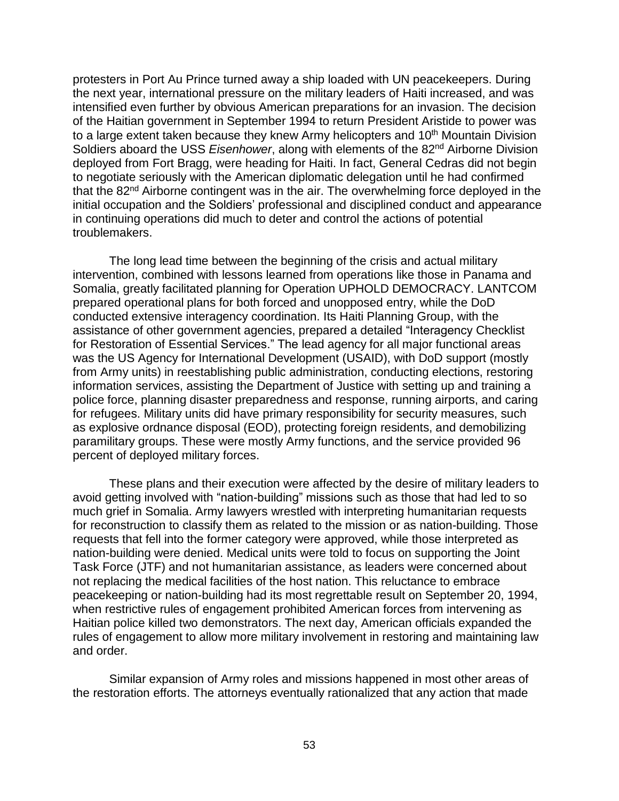protesters in Port Au Prince turned away a ship loaded with UN peacekeepers. During the next year, international pressure on the military leaders of Haiti increased, and was intensified even further by obvious American preparations for an invasion. The decision of the Haitian government in September 1994 to return President Aristide to power was to a large extent taken because they knew Army helicopters and  $10<sup>th</sup>$  Mountain Division Soldiers aboard the USS *Eisenhower*, along with elements of the 82<sup>nd</sup> Airborne Division deployed from Fort Bragg, were heading for Haiti. In fact, General Cedras did not begin to negotiate seriously with the American diplomatic delegation until he had confirmed that the 82<sup>nd</sup> Airborne contingent was in the air. The overwhelming force deployed in the initial occupation and the Soldiers' professional and disciplined conduct and appearance in continuing operations did much to deter and control the actions of potential troublemakers.

The long lead time between the beginning of the crisis and actual military intervention, combined with lessons learned from operations like those in Panama and Somalia, greatly facilitated planning for Operation UPHOLD DEMOCRACY. LANTCOM prepared operational plans for both forced and unopposed entry, while the DoD conducted extensive interagency coordination. Its Haiti Planning Group, with the assistance of other government agencies, prepared a detailed "Interagency Checklist for Restoration of Essential Services." The lead agency for all major functional areas was the US Agency for International Development (USAID), with DoD support (mostly from Army units) in reestablishing public administration, conducting elections, restoring information services, assisting the Department of Justice with setting up and training a police force, planning disaster preparedness and response, running airports, and caring for refugees. Military units did have primary responsibility for security measures, such as explosive ordnance disposal (EOD), protecting foreign residents, and demobilizing paramilitary groups. These were mostly Army functions, and the service provided 96 percent of deployed military forces.

These plans and their execution were affected by the desire of military leaders to avoid getting involved with "nation-building" missions such as those that had led to so much grief in Somalia. Army lawyers wrestled with interpreting humanitarian requests for reconstruction to classify them as related to the mission or as nation-building. Those requests that fell into the former category were approved, while those interpreted as nation-building were denied. Medical units were told to focus on supporting the Joint Task Force (JTF) and not humanitarian assistance, as leaders were concerned about not replacing the medical facilities of the host nation. This reluctance to embrace peacekeeping or nation-building had its most regrettable result on September 20, 1994, when restrictive rules of engagement prohibited American forces from intervening as Haitian police killed two demonstrators. The next day, American officials expanded the rules of engagement to allow more military involvement in restoring and maintaining law and order.

Similar expansion of Army roles and missions happened in most other areas of the restoration efforts. The attorneys eventually rationalized that any action that made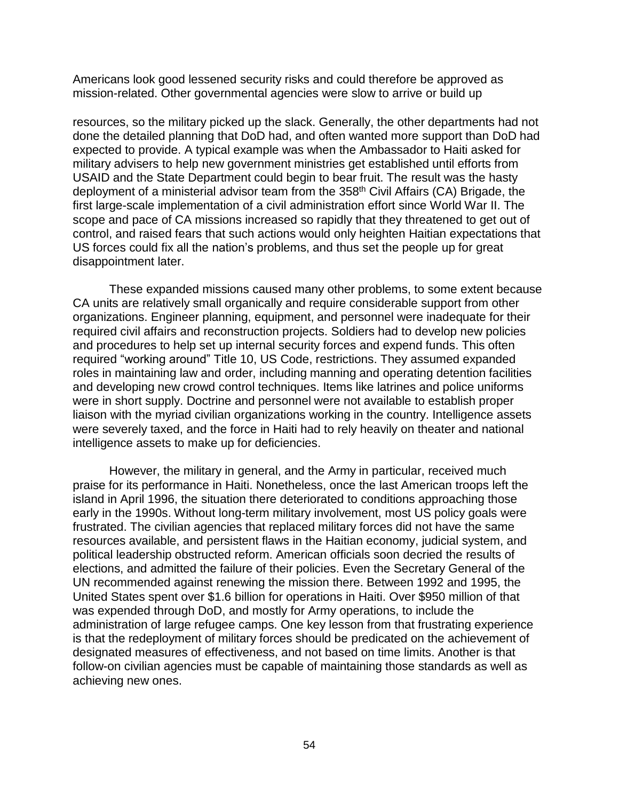Americans look good lessened security risks and could therefore be approved as mission-related. Other governmental agencies were slow to arrive or build up

resources, so the military picked up the slack. Generally, the other departments had not done the detailed planning that DoD had, and often wanted more support than DoD had expected to provide. A typical example was when the Ambassador to Haiti asked for military advisers to help new government ministries get established until efforts from USAID and the State Department could begin to bear fruit. The result was the hasty deployment of a ministerial advisor team from the 358<sup>th</sup> Civil Affairs (CA) Brigade, the first large-scale implementation of a civil administration effort since World War II. The scope and pace of CA missions increased so rapidly that they threatened to get out of control, and raised fears that such actions would only heighten Haitian expectations that US forces could fix all the nation's problems, and thus set the people up for great disappointment later.

These expanded missions caused many other problems, to some extent because CA units are relatively small organically and require considerable support from other organizations. Engineer planning, equipment, and personnel were inadequate for their required civil affairs and reconstruction projects. Soldiers had to develop new policies and procedures to help set up internal security forces and expend funds. This often required "working around" Title 10, US Code, restrictions. They assumed expanded roles in maintaining law and order, including manning and operating detention facilities and developing new crowd control techniques. Items like latrines and police uniforms were in short supply. Doctrine and personnel were not available to establish proper liaison with the myriad civilian organizations working in the country. Intelligence assets were severely taxed, and the force in Haiti had to rely heavily on theater and national intelligence assets to make up for deficiencies.

However, the military in general, and the Army in particular, received much praise for its performance in Haiti. Nonetheless, once the last American troops left the island in April 1996, the situation there deteriorated to conditions approaching those early in the 1990s. Without long-term military involvement, most US policy goals were frustrated. The civilian agencies that replaced military forces did not have the same resources available, and persistent flaws in the Haitian economy, judicial system, and political leadership obstructed reform. American officials soon decried the results of elections, and admitted the failure of their policies. Even the Secretary General of the UN recommended against renewing the mission there. Between 1992 and 1995, the United States spent over \$1.6 billion for operations in Haiti. Over \$950 million of that was expended through DoD, and mostly for Army operations, to include the administration of large refugee camps. One key lesson from that frustrating experience is that the redeployment of military forces should be predicated on the achievement of designated measures of effectiveness, and not based on time limits. Another is that follow-on civilian agencies must be capable of maintaining those standards as well as achieving new ones.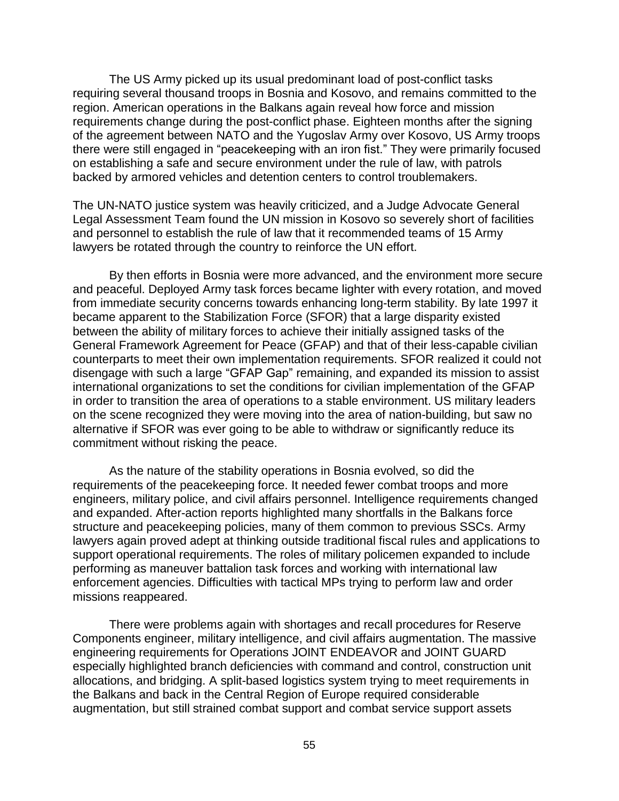The US Army picked up its usual predominant load of post-conflict tasks requiring several thousand troops in Bosnia and Kosovo, and remains committed to the region. American operations in the Balkans again reveal how force and mission requirements change during the post-conflict phase. Eighteen months after the signing of the agreement between NATO and the Yugoslav Army over Kosovo, US Army troops there were still engaged in "peacekeeping with an iron fist." They were primarily focused on establishing a safe and secure environment under the rule of law, with patrols backed by armored vehicles and detention centers to control troublemakers.

The UN-NATO justice system was heavily criticized, and a Judge Advocate General Legal Assessment Team found the UN mission in Kosovo so severely short of facilities and personnel to establish the rule of law that it recommended teams of 15 Army lawyers be rotated through the country to reinforce the UN effort.

By then efforts in Bosnia were more advanced, and the environment more secure and peaceful. Deployed Army task forces became lighter with every rotation, and moved from immediate security concerns towards enhancing long-term stability. By late 1997 it became apparent to the Stabilization Force (SFOR) that a large disparity existed between the ability of military forces to achieve their initially assigned tasks of the General Framework Agreement for Peace (GFAP) and that of their less-capable civilian counterparts to meet their own implementation requirements. SFOR realized it could not disengage with such a large "GFAP Gap" remaining, and expanded its mission to assist international organizations to set the conditions for civilian implementation of the GFAP in order to transition the area of operations to a stable environment. US military leaders on the scene recognized they were moving into the area of nation-building, but saw no alternative if SFOR was ever going to be able to withdraw or significantly reduce its commitment without risking the peace.

As the nature of the stability operations in Bosnia evolved, so did the requirements of the peacekeeping force. It needed fewer combat troops and more engineers, military police, and civil affairs personnel. Intelligence requirements changed and expanded. After-action reports highlighted many shortfalls in the Balkans force structure and peacekeeping policies, many of them common to previous SSCs. Army lawyers again proved adept at thinking outside traditional fiscal rules and applications to support operational requirements. The roles of military policemen expanded to include performing as maneuver battalion task forces and working with international law enforcement agencies. Difficulties with tactical MPs trying to perform law and order missions reappeared.

There were problems again with shortages and recall procedures for Reserve Components engineer, military intelligence, and civil affairs augmentation. The massive engineering requirements for Operations JOINT ENDEAVOR and JOINT GUARD especially highlighted branch deficiencies with command and control, construction unit allocations, and bridging. A split-based logistics system trying to meet requirements in the Balkans and back in the Central Region of Europe required considerable augmentation, but still strained combat support and combat service support assets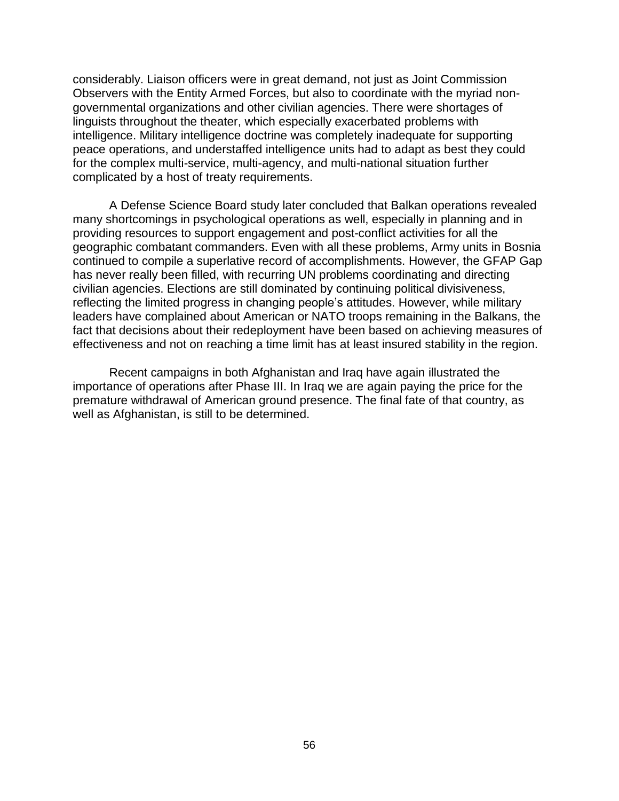considerably. Liaison officers were in great demand, not just as Joint Commission Observers with the Entity Armed Forces, but also to coordinate with the myriad nongovernmental organizations and other civilian agencies. There were shortages of linguists throughout the theater, which especially exacerbated problems with intelligence. Military intelligence doctrine was completely inadequate for supporting peace operations, and understaffed intelligence units had to adapt as best they could for the complex multi-service, multi-agency, and multi-national situation further complicated by a host of treaty requirements.

A Defense Science Board study later concluded that Balkan operations revealed many shortcomings in psychological operations as well, especially in planning and in providing resources to support engagement and post-conflict activities for all the geographic combatant commanders. Even with all these problems, Army units in Bosnia continued to compile a superlative record of accomplishments. However, the GFAP Gap has never really been filled, with recurring UN problems coordinating and directing civilian agencies. Elections are still dominated by continuing political divisiveness, reflecting the limited progress in changing people's attitudes. However, while military leaders have complained about American or NATO troops remaining in the Balkans, the fact that decisions about their redeployment have been based on achieving measures of effectiveness and not on reaching a time limit has at least insured stability in the region.

Recent campaigns in both Afghanistan and Iraq have again illustrated the importance of operations after Phase III. In Iraq we are again paying the price for the premature withdrawal of American ground presence. The final fate of that country, as well as Afghanistan, is still to be determined.